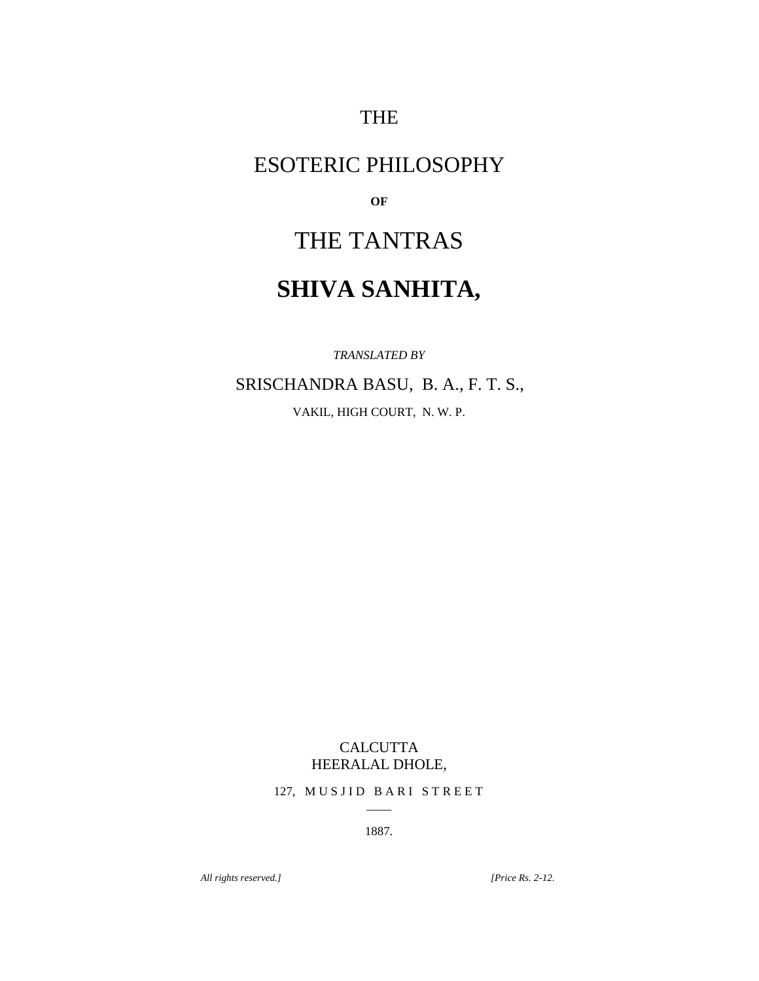THE

# ESOTERIC PHILOSOPHY

**OF**

# THE TANTRAS

# **SHIVA SANHITA,**

*TRANSLATED BY*

SRISCHANDRA BASU, B. A., F. T. S.,

VAKIL, HIGH COURT, N. W. P.

# CALCUTTA HEERALAL DHOLE,

127, MUSJID BARI STREET  $\overline{\phantom{a}}$ 

1887.

*All rights reserved.] [Price Rs. 2-12.*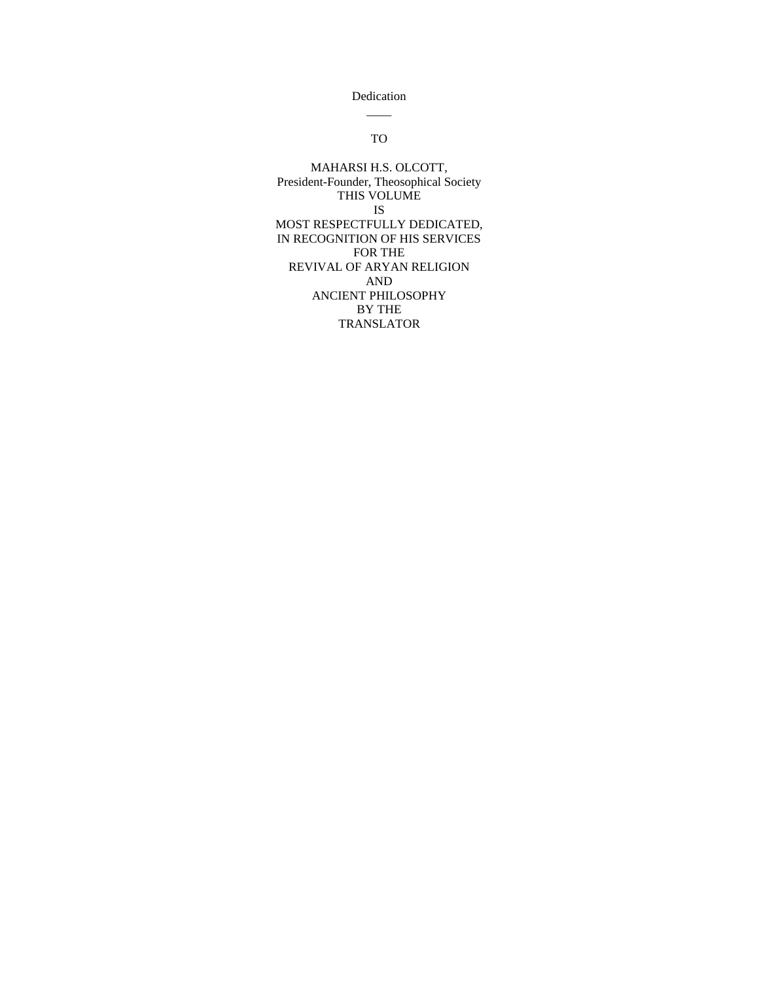Dedication  $\overline{\phantom{a}}$ 

# TO

MAHARSI H.S. OLCOTT, President-Founder, Theosophical Society THIS VOLUME IS MOST RESPECTFULLY DEDICATED, IN RECOGNITION OF HIS SERVICES FOR THE REVIVAL OF ARYAN RELIGION AND ANCIENT PHILOSOPHY BY THE TRANSLATOR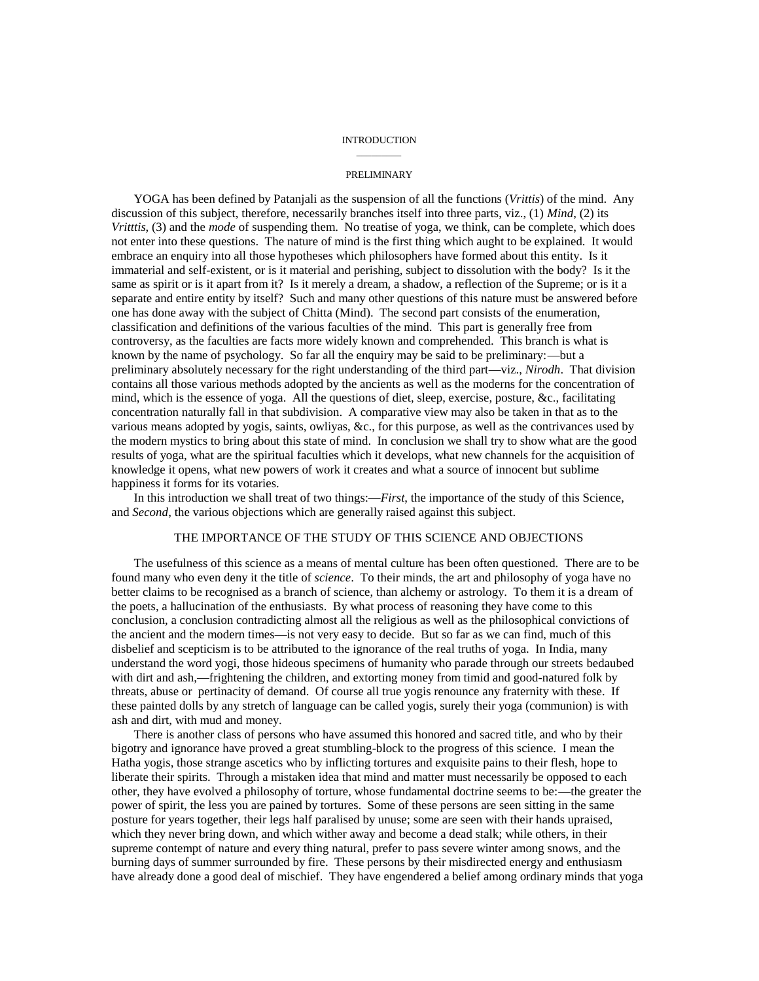#### INTRODUCTION  $\overline{\phantom{a}}$

#### PRELIMINARY

YOGA has been defined by Patanjali as the suspension of all the functions (*Vrittis*) of the mind. Any discussion of this subject, therefore, necessarily branches itself into three parts, viz., (1) *Mind*, (2) its *Vritttis*, (3) and the *mode* of suspending them. No treatise of yoga, we think, can be complete, which does not enter into these questions. The nature of mind is the first thing which aught to be explained. It would embrace an enquiry into all those hypotheses which philosophers have formed about this entity. Is it immaterial and self-existent, or is it material and perishing, subject to dissolution with the body? Is it the same as spirit or is it apart from it? Is it merely a dream, a shadow, a reflection of the Supreme; or is it a separate and entire entity by itself? Such and many other questions of this nature must be answered before one has done away with the subject of Chitta (Mind). The second part consists of the enumeration, classification and definitions of the various faculties of the mind. This part is generally free from controversy, as the faculties are facts more widely known and comprehended. This branch is what is known by the name of psychology. So far all the enquiry may be said to be preliminary:—but a preliminary absolutely necessary for the right understanding of the third part—viz., *Nirodh*. That division contains all those various methods adopted by the ancients as well as the moderns for the concentration of mind, which is the essence of yoga. All the questions of diet, sleep, exercise, posture, &c., facilitating concentration naturally fall in that subdivision. A comparative view may also be taken in that as to the various means adopted by yogis, saints, owliyas, &c., for this purpose, as well as the contrivances used by the modern mystics to bring about this state of mind. In conclusion we shall try to show what are the good results of yoga, what are the spiritual faculties which it develops, what new channels for the acquisition of knowledge it opens, what new powers of work it creates and what a source of innocent but sublime happiness it forms for its votaries.

In this introduction we shall treat of two things:—*First*, the importance of the study of this Science, and *Second*, the various objections which are generally raised against this subject.

## THE IMPORTANCE OF THE STUDY OF THIS SCIENCE AND OBJECTIONS

The usefulness of this science as a means of mental culture has been often questioned. There are to be found many who even deny it the title of *science*. To their minds, the art and philosophy of yoga have no better claims to be recognised as a branch of science, than alchemy or astrology. To them it is a dream of the poets, a hallucination of the enthusiasts. By what process of reasoning they have come to this conclusion, a conclusion contradicting almost all the religious as well as the philosophical convictions of the ancient and the modern times—is not very easy to decide. But so far as we can find, much of this disbelief and scepticism is to be attributed to the ignorance of the real truths of yoga. In India, many understand the word yogi, those hideous specimens of humanity who parade through our streets bedaubed with dirt and ash,—frightening the children, and extorting money from timid and good-natured folk by threats, abuse or pertinacity of demand. Of course all true yogis renounce any fraternity with these. If these painted dolls by any stretch of language can be called yogis, surely their yoga (communion) is with ash and dirt, with mud and money.

There is another class of persons who have assumed this honored and sacred title, and who by their bigotry and ignorance have proved a great stumbling-block to the progress of this science. I mean the Hatha yogis, those strange ascetics who by inflicting tortures and exquisite pains to their flesh, hope to liberate their spirits. Through a mistaken idea that mind and matter must necessarily be opposed to each other, they have evolved a philosophy of torture, whose fundamental doctrine seems to be:—the greater the power of spirit, the less you are pained by tortures. Some of these persons are seen sitting in the same posture for years together, their legs half paralised by unuse; some are seen with their hands upraised, which they never bring down, and which wither away and become a dead stalk; while others, in their supreme contempt of nature and every thing natural, prefer to pass severe winter among snows, and the burning days of summer surrounded by fire. These persons by their misdirected energy and enthusiasm have already done a good deal of mischief. They have engendered a belief among ordinary minds that yoga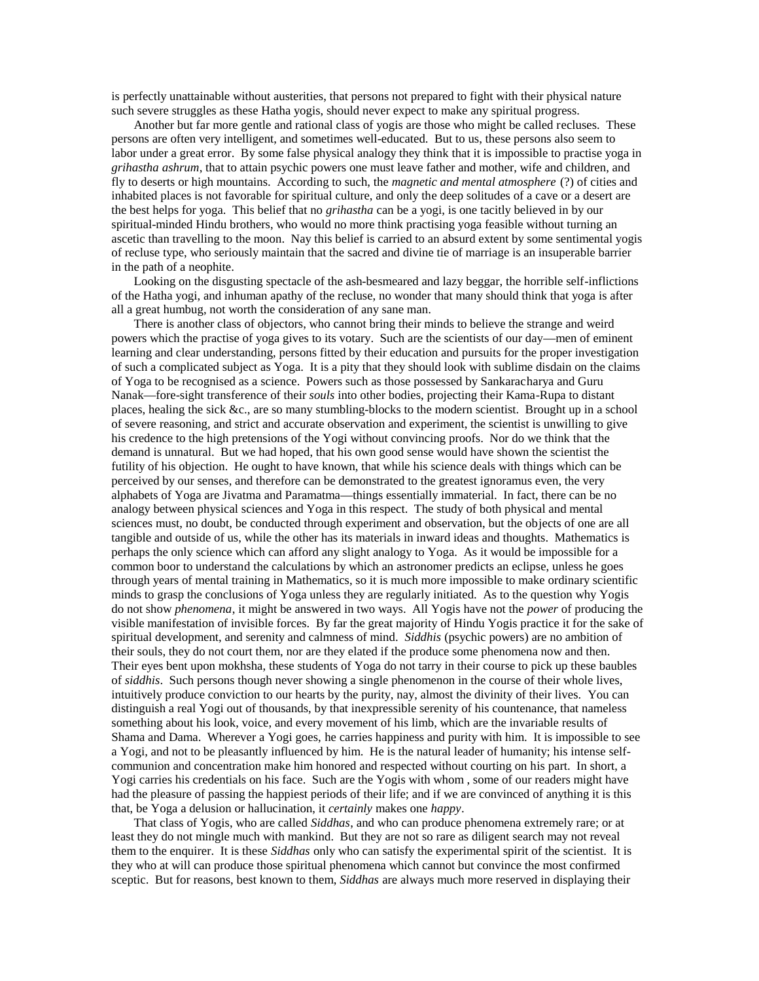is perfectly unattainable without austerities, that persons not prepared to fight with their physical nature such severe struggles as these Hatha yogis, should never expect to make any spiritual progress.

Another but far more gentle and rational class of yogis are those who might be called recluses. These persons are often very intelligent, and sometimes well-educated. But to us, these persons also seem to labor under a great error. By some false physical analogy they think that it is impossible to practise yoga in *grihastha ashrum*, that to attain psychic powers one must leave father and mother, wife and children, and fly to deserts or high mountains. According to such, the *magnetic and mental atmosphere* (?) of cities and inhabited places is not favorable for spiritual culture, and only the deep solitudes of a cave or a desert are the best helps for yoga. This belief that no *grihastha* can be a yogi, is one tacitly believed in by our spiritual-minded Hindu brothers, who would no more think practising yoga feasible without turning an ascetic than travelling to the moon. Nay this belief is carried to an absurd extent by some sentimental yogis of recluse type, who seriously maintain that the sacred and divine tie of marriage is an insuperable barrier in the path of a neophite.

Looking on the disgusting spectacle of the ash-besmeared and lazy beggar, the horrible self-inflictions of the Hatha yogi, and inhuman apathy of the recluse, no wonder that many should think that yoga is after all a great humbug, not worth the consideration of any sane man.

There is another class of objectors, who cannot bring their minds to believe the strange and weird powers which the practise of yoga gives to its votary. Such are the scientists of our day—men of eminent learning and clear understanding, persons fitted by their education and pursuits for the proper investigation of such a complicated subject as Yoga. It is a pity that they should look with sublime disdain on the claims of Yoga to be recognised as a science. Powers such as those possessed by Sankaracharya and Guru Nanak—fore-sight transference of their *souls* into other bodies, projecting their Kama-Rupa to distant places, healing the sick &c., are so many stumbling-blocks to the modern scientist. Brought up in a school of severe reasoning, and strict and accurate observation and experiment, the scientist is unwilling to give his credence to the high pretensions of the Yogi without convincing proofs. Nor do we think that the demand is unnatural. But we had hoped, that his own good sense would have shown the scientist the futility of his objection. He ought to have known, that while his science deals with things which can be perceived by our senses, and therefore can be demonstrated to the greatest ignoramus even, the very alphabets of Yoga are Jivatma and Paramatma—things essentially immaterial. In fact, there can be no analogy between physical sciences and Yoga in this respect. The study of both physical and mental sciences must, no doubt, be conducted through experiment and observation, but the objects of one are all tangible and outside of us, while the other has its materials in inward ideas and thoughts. Mathematics is perhaps the only science which can afford any slight analogy to Yoga. As it would be impossible for a common boor to understand the calculations by which an astronomer predicts an eclipse, unless he goes through years of mental training in Mathematics, so it is much more impossible to make ordinary scientific minds to grasp the conclusions of Yoga unless they are regularly initiated. As to the question why Yogis do not show *phenomena*, it might be answered in two ways. All Yogis have not the *power* of producing the visible manifestation of invisible forces. By far the great majority of Hindu Yogis practice it for the sake of spiritual development, and serenity and calmness of mind. *Siddhis* (psychic powers) are no ambition of their souls, they do not court them, nor are they elated if the produce some phenomena now and then. Their eyes bent upon mokhsha, these students of Yoga do not tarry in their course to pick up these baubles of *siddhis*. Such persons though never showing a single phenomenon in the course of their whole lives, intuitively produce conviction to our hearts by the purity, nay, almost the divinity of their lives. You can distinguish a real Yogi out of thousands, by that inexpressible serenity of his countenance, that nameless something about his look, voice, and every movement of his limb, which are the invariable results of Shama and Dama. Wherever a Yogi goes, he carries happiness and purity with him. It is impossible to see a Yogi, and not to be pleasantly influenced by him. He is the natural leader of humanity; his intense selfcommunion and concentration make him honored and respected without courting on his part. In short, a Yogi carries his credentials on his face. Such are the Yogis with whom , some of our readers might have had the pleasure of passing the happiest periods of their life; and if we are convinced of anything it is this that, be Yoga a delusion or hallucination, it *certainly* makes one *happy*.

That class of Yogis, who are called *Siddhas*, and who can produce phenomena extremely rare; or at least they do not mingle much with mankind. But they are not so rare as diligent search may not reveal them to the enquirer. It is these *Siddhas* only who can satisfy the experimental spirit of the scientist. It is they who at will can produce those spiritual phenomena which cannot but convince the most confirmed sceptic. But for reasons, best known to them, *Siddhas* are always much more reserved in displaying their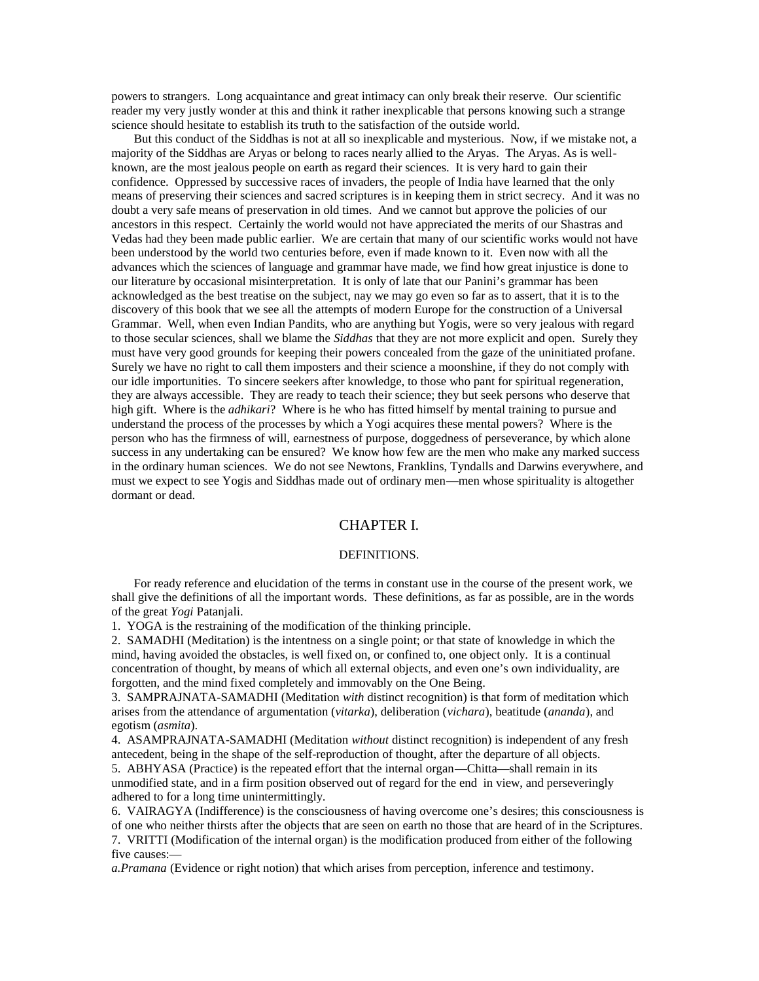powers to strangers. Long acquaintance and great intimacy can only break their reserve. Our scientific reader my very justly wonder at this and think it rather inexplicable that persons knowing such a strange science should hesitate to establish its truth to the satisfaction of the outside world.

But this conduct of the Siddhas is not at all so inexplicable and mysterious. Now, if we mistake not, a majority of the Siddhas are Aryas or belong to races nearly allied to the Aryas. The Aryas. As is wellknown, are the most jealous people on earth as regard their sciences. It is very hard to gain their confidence. Oppressed by successive races of invaders, the people of India have learned that the only means of preserving their sciences and sacred scriptures is in keeping them in strict secrecy. And it was no doubt a very safe means of preservation in old times. And we cannot but approve the policies of our ancestors in this respect. Certainly the world would not have appreciated the merits of our Shastras and Vedas had they been made public earlier. We are certain that many of our scientific works would not have been understood by the world two centuries before, even if made known to it. Even now with all the advances which the sciences of language and grammar have made, we find how great injustice is done to our literature by occasional misinterpretation. It is only of late that our Panini's grammar has been acknowledged as the best treatise on the subject, nay we may go even so far as to assert, that it is to the discovery of this book that we see all the attempts of modern Europe for the construction of a Universal Grammar. Well, when even Indian Pandits, who are anything but Yogis, were so very jealous with regard to those secular sciences, shall we blame the *Siddhas* that they are not more explicit and open. Surely they must have very good grounds for keeping their powers concealed from the gaze of the uninitiated profane. Surely we have no right to call them imposters and their science a moonshine, if they do not comply with our idle importunities. To sincere seekers after knowledge, to those who pant for spiritual regeneration, they are always accessible. They are ready to teach their science; they but seek persons who deserve that high gift. Where is the *adhikari*? Where is he who has fitted himself by mental training to pursue and understand the process of the processes by which a Yogi acquires these mental powers? Where is the person who has the firmness of will, earnestness of purpose, doggedness of perseverance, by which alone success in any undertaking can be ensured? We know how few are the men who make any marked success in the ordinary human sciences. We do not see Newtons, Franklins, Tyndalls and Darwins everywhere, and must we expect to see Yogis and Siddhas made out of ordinary men—men whose spirituality is altogether dormant or dead.

# CHAPTER I.

#### DEFINITIONS.

For ready reference and elucidation of the terms in constant use in the course of the present work, we shall give the definitions of all the important words. These definitions, as far as possible, are in the words of the great *Yogi* Patanjali.

1. YOGA is the restraining of the modification of the thinking principle.

2. SAMADHI (Meditation) is the intentness on a single point; or that state of knowledge in which the mind, having avoided the obstacles, is well fixed on, or confined to, one object only. It is a continual concentration of thought, by means of which all external objects, and even one's own individuality, are forgotten, and the mind fixed completely and immovably on the One Being.

3. SAMPRAJNATA-SAMADHI (Meditation *with* distinct recognition) is that form of meditation which arises from the attendance of argumentation (*vitarka*), deliberation (*vichara*), beatitude (*ananda*), and egotism (*asmita*).

4. ASAMPRAJNATA-SAMADHI (Meditation *without* distinct recognition) is independent of any fresh antecedent, being in the shape of the self-reproduction of thought, after the departure of all objects. 5. ABHYASA (Practice) is the repeated effort that the internal organ—Chitta—shall remain in its unmodified state, and in a firm position observed out of regard for the end in view, and perseveringly adhered to for a long time unintermittingly.

6. VAIRAGYA (Indifference) is the consciousness of having overcome one's desires; this consciousness is of one who neither thirsts after the objects that are seen on earth no those that are heard of in the Scriptures. 7. VRITTI (Modification of the internal organ) is the modification produced from either of the following five causes:—

*a.Pramana* (Evidence or right notion) that which arises from perception, inference and testimony.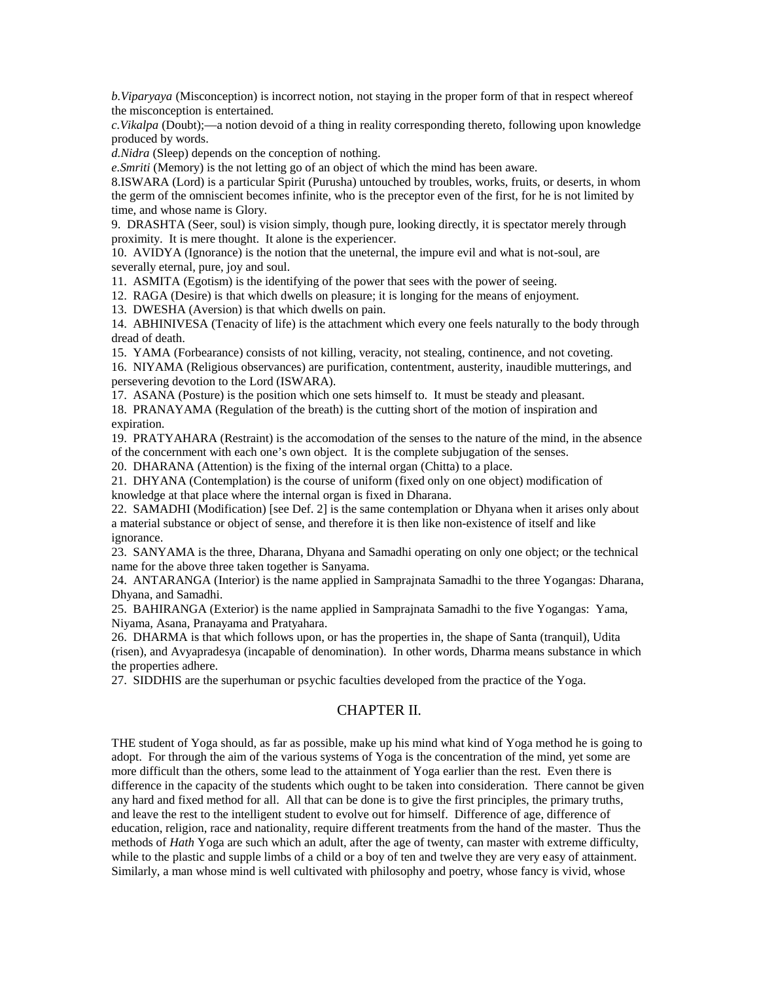*b.Viparyaya* (Misconception) is incorrect notion, not staying in the proper form of that in respect whereof the misconception is entertained.

*c.Vikalpa* (Doubt);—a notion devoid of a thing in reality corresponding thereto, following upon knowledge produced by words.

*d.Nidra* (Sleep) depends on the conception of nothing.

*e.Smriti* (Memory) is the not letting go of an object of which the mind has been aware.

8.ISWARA (Lord) is a particular Spirit (Purusha) untouched by troubles, works, fruits, or deserts, in whom the germ of the omniscient becomes infinite, who is the preceptor even of the first, for he is not limited by time, and whose name is Glory.

9. DRASHTA (Seer, soul) is vision simply, though pure, looking directly, it is spectator merely through proximity. It is mere thought. It alone is the experiencer.

10. AVIDYA (Ignorance) is the notion that the uneternal, the impure evil and what is not-soul, are severally eternal, pure, joy and soul.

11. ASMITA (Egotism) is the identifying of the power that sees with the power of seeing.

12. RAGA (Desire) is that which dwells on pleasure; it is longing for the means of enjoyment.

13. DWESHA (Aversion) is that which dwells on pain.

14. ABHINIVESA (Tenacity of life) is the attachment which every one feels naturally to the body through dread of death.

15. YAMA (Forbearance) consists of not killing, veracity, not stealing, continence, and not coveting.

16. NIYAMA (Religious observances) are purification, contentment, austerity, inaudible mutterings, and persevering devotion to the Lord (ISWARA).

17. ASANA (Posture) is the position which one sets himself to. It must be steady and pleasant.

18. PRANAYAMA (Regulation of the breath) is the cutting short of the motion of inspiration and expiration.

19. PRATYAHARA (Restraint) is the accomodation of the senses to the nature of the mind, in the absence of the concernment with each one's own object. It is the complete subjugation of the senses.

20. DHARANA (Attention) is the fixing of the internal organ (Chitta) to a place.

21. DHYANA (Contemplation) is the course of uniform (fixed only on one object) modification of knowledge at that place where the internal organ is fixed in Dharana.

22. SAMADHI (Modification) [see Def. 2] is the same contemplation or Dhyana when it arises only about a material substance or object of sense, and therefore it is then like non-existence of itself and like ignorance.

23. SANYAMA is the three, Dharana, Dhyana and Samadhi operating on only one object; or the technical name for the above three taken together is Sanyama.

24. ANTARANGA (Interior) is the name applied in Samprajnata Samadhi to the three Yogangas: Dharana, Dhyana, and Samadhi.

25. BAHIRANGA (Exterior) is the name applied in Samprajnata Samadhi to the five Yogangas: Yama, Niyama, Asana, Pranayama and Pratyahara.

26. DHARMA is that which follows upon, or has the properties in, the shape of Santa (tranquil), Udita (risen), and Avyapradesya (incapable of denomination). In other words, Dharma means substance in which the properties adhere.

27. SIDDHIS are the superhuman or psychic faculties developed from the practice of the Yoga.

# CHAPTER II.

THE student of Yoga should, as far as possible, make up his mind what kind of Yoga method he is going to adopt. For through the aim of the various systems of Yoga is the concentration of the mind, yet some are more difficult than the others, some lead to the attainment of Yoga earlier than the rest. Even there is difference in the capacity of the students which ought to be taken into consideration. There cannot be given any hard and fixed method for all. All that can be done is to give the first principles, the primary truths, and leave the rest to the intelligent student to evolve out for himself. Difference of age, difference of education, religion, race and nationality, require different treatments from the hand of the master. Thus the methods of *Hath* Yoga are such which an adult, after the age of twenty, can master with extreme difficulty, while to the plastic and supple limbs of a child or a boy of ten and twelve they are very easy of attainment. Similarly, a man whose mind is well cultivated with philosophy and poetry, whose fancy is vivid, whose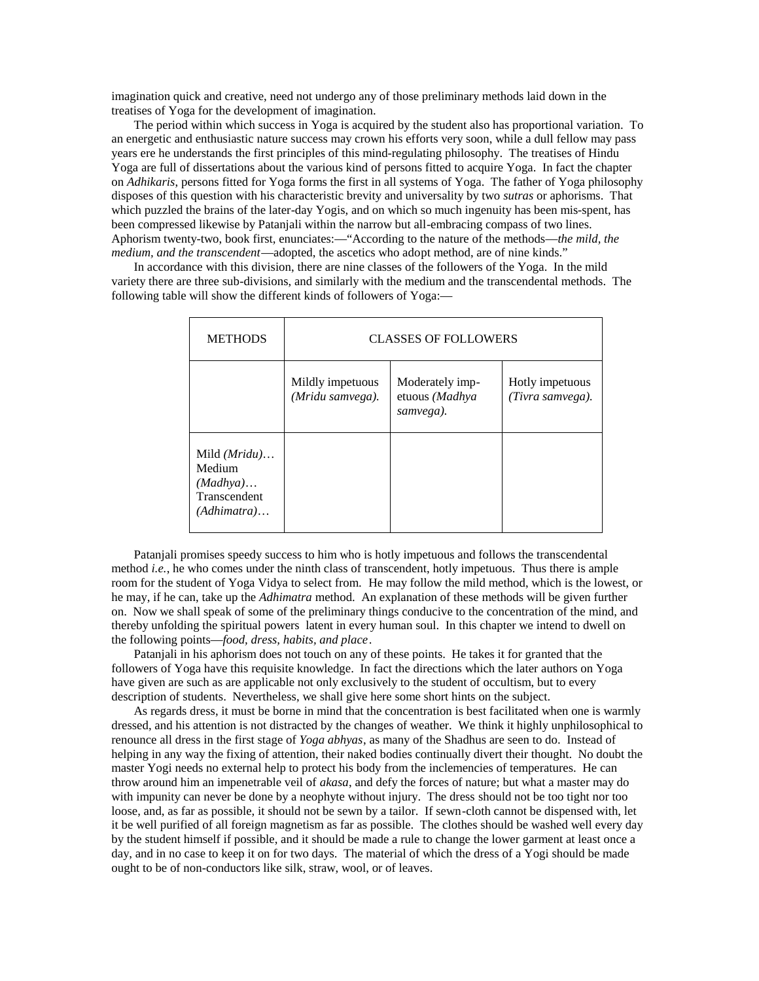imagination quick and creative, need not undergo any of those preliminary methods laid down in the treatises of Yoga for the development of imagination.

The period within which success in Yoga is acquired by the student also has proportional variation. To an energetic and enthusiastic nature success may crown his efforts very soon, while a dull fellow may pass years ere he understands the first principles of this mind-regulating philosophy. The treatises of Hindu Yoga are full of dissertations about the various kind of persons fitted to acquire Yoga. In fact the chapter on *Adhikaris*, persons fitted for Yoga forms the first in all systems of Yoga. The father of Yoga philosophy disposes of this question with his characteristic brevity and universality by two *sutras* or aphorisms. That which puzzled the brains of the later-day Yogis, and on which so much ingenuity has been mis-spent, has been compressed likewise by Patanjali within the narrow but all-embracing compass of two lines. Aphorism twenty-two, book first, enunciates:—"According to the nature of the methods—*the mild, the medium, and the transcendent*—adopted, the ascetics who adopt method, are of nine kinds."

In accordance with this division, there are nine classes of the followers of the Yoga. In the mild variety there are three sub-divisions, and similarly with the medium and the transcendental methods. The following table will show the different kinds of followers of Yoga:—

| <b>METHODS</b>                                                      | <b>CLASSES OF FOLLOWERS</b>          |                                                |                                     |
|---------------------------------------------------------------------|--------------------------------------|------------------------------------------------|-------------------------------------|
|                                                                     | Mildly impetuous<br>(Mridu samvega). | Moderately imp-<br>etuous (Madhya<br>samvega). | Hotly impetuous<br>(Tivra samvega). |
| Mild $(Mridu)$<br>Medium<br>(Madhya)<br>Transcendent<br>(Adhimatra) |                                      |                                                |                                     |

Patanjali promises speedy success to him who is hotly impetuous and follows the transcendental method *i.e.*, he who comes under the ninth class of transcendent, hotly impetuous. Thus there is ample room for the student of Yoga Vidya to select from. He may follow the mild method, which is the lowest, or he may, if he can, take up the *Adhimatra* method. An explanation of these methods will be given further on. Now we shall speak of some of the preliminary things conducive to the concentration of the mind, and thereby unfolding the spiritual powers latent in every human soul. In this chapter we intend to dwell on the following points—*food, dress, habits, and place*.

Patanjali in his aphorism does not touch on any of these points. He takes it for granted that the followers of Yoga have this requisite knowledge. In fact the directions which the later authors on Yoga have given are such as are applicable not only exclusively to the student of occultism, but to every description of students. Nevertheless, we shall give here some short hints on the subject.

As regards dress, it must be borne in mind that the concentration is best facilitated when one is warmly dressed, and his attention is not distracted by the changes of weather. We think it highly unphilosophical to renounce all dress in the first stage of *Yoga abhyas*, as many of the Shadhus are seen to do. Instead of helping in any way the fixing of attention, their naked bodies continually divert their thought. No doubt the master Yogi needs no external help to protect his body from the inclemencies of temperatures. He can throw around him an impenetrable veil of *akasa*, and defy the forces of nature; but what a master may do with impunity can never be done by a neophyte without injury. The dress should not be too tight nor too loose, and, as far as possible, it should not be sewn by a tailor. If sewn-cloth cannot be dispensed with, let it be well purified of all foreign magnetism as far as possible. The clothes should be washed well every day by the student himself if possible, and it should be made a rule to change the lower garment at least once a day, and in no case to keep it on for two days. The material of which the dress of a Yogi should be made ought to be of non-conductors like silk, straw, wool, or of leaves.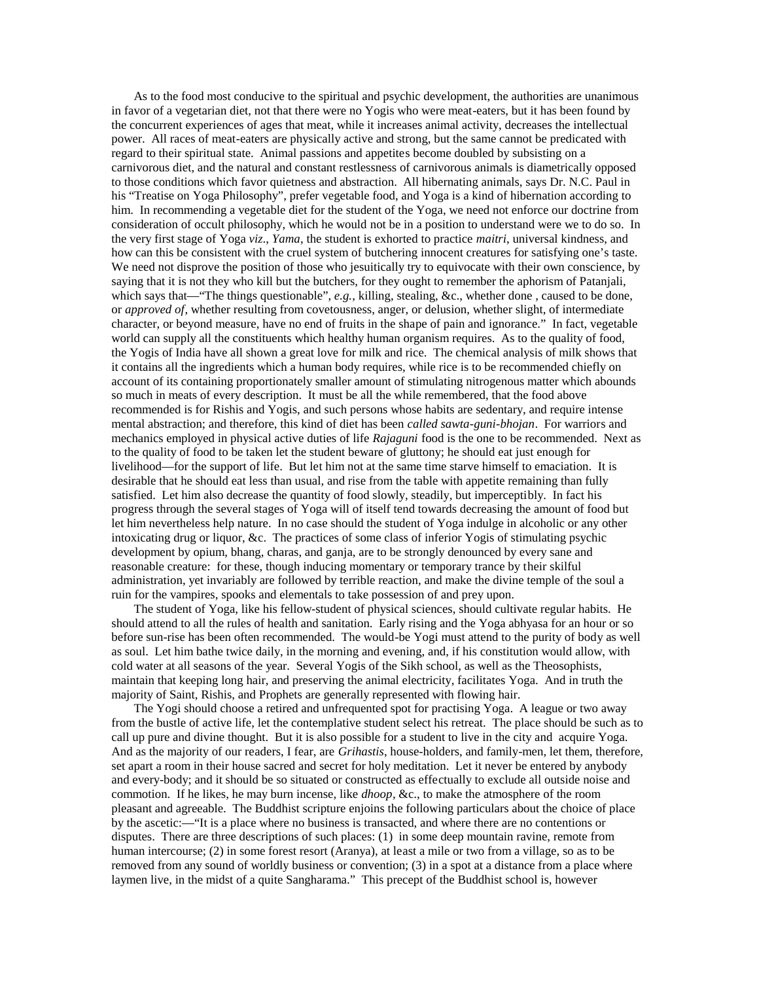As to the food most conducive to the spiritual and psychic development, the authorities are unanimous in favor of a vegetarian diet, not that there were no Yogis who were meat-eaters, but it has been found by the concurrent experiences of ages that meat, while it increases animal activity, decreases the intellectual power. All races of meat-eaters are physically active and strong, but the same cannot be predicated with regard to their spiritual state. Animal passions and appetites become doubled by subsisting on a carnivorous diet, and the natural and constant restlessness of carnivorous animals is diametrically opposed to those conditions which favor quietness and abstraction. All hibernating animals, says Dr. N.C. Paul in his "Treatise on Yoga Philosophy", prefer vegetable food, and Yoga is a kind of hibernation according to him. In recommending a vegetable diet for the student of the Yoga, we need not enforce our doctrine from consideration of occult philosophy, which he would not be in a position to understand were we to do so. In the very first stage of Yoga *viz*., *Yama*, the student is exhorted to practice *maitri*, universal kindness, and how can this be consistent with the cruel system of butchering innocent creatures for satisfying one's taste. We need not disprove the position of those who jesuitically try to equivocate with their own conscience, by saying that it is not they who kill but the butchers, for they ought to remember the aphorism of Patanjali, which says that—"The things questionable", *e.g.*, killing, stealing, &c., whether done, caused to be done, or *approved of*, whether resulting from covetousness, anger, or delusion, whether slight, of intermediate character, or beyond measure, have no end of fruits in the shape of pain and ignorance." In fact, vegetable world can supply all the constituents which healthy human organism requires. As to the quality of food, the Yogis of India have all shown a great love for milk and rice. The chemical analysis of milk shows that it contains all the ingredients which a human body requires, while rice is to be recommended chiefly on account of its containing proportionately smaller amount of stimulating nitrogenous matter which abounds so much in meats of every description. It must be all the while remembered, that the food above recommended is for Rishis and Yogis, and such persons whose habits are sedentary, and require intense mental abstraction; and therefore, this kind of diet has been *called sawta-guni-bhojan*. For warriors and mechanics employed in physical active duties of life *Rajaguni* food is the one to be recommended. Next as to the quality of food to be taken let the student beware of gluttony; he should eat just enough for livelihood—for the support of life. But let him not at the same time starve himself to emaciation. It is desirable that he should eat less than usual, and rise from the table with appetite remaining than fully satisfied. Let him also decrease the quantity of food slowly, steadily, but imperceptibly. In fact his progress through the several stages of Yoga will of itself tend towards decreasing the amount of food but let him nevertheless help nature. In no case should the student of Yoga indulge in alcoholic or any other intoxicating drug or liquor, &c. The practices of some class of inferior Yogis of stimulating psychic development by opium, bhang, charas, and ganja, are to be strongly denounced by every sane and reasonable creature: for these, though inducing momentary or temporary trance by their skilful administration, yet invariably are followed by terrible reaction, and make the divine temple of the soul a ruin for the vampires, spooks and elementals to take possession of and prey upon.

The student of Yoga, like his fellow-student of physical sciences, should cultivate regular habits. He should attend to all the rules of health and sanitation. Early rising and the Yoga abhyasa for an hour or so before sun-rise has been often recommended. The would-be Yogi must attend to the purity of body as well as soul. Let him bathe twice daily, in the morning and evening, and, if his constitution would allow, with cold water at all seasons of the year. Several Yogis of the Sikh school, as well as the Theosophists, maintain that keeping long hair, and preserving the animal electricity, facilitates Yoga. And in truth the majority of Saint, Rishis, and Prophets are generally represented with flowing hair.

The Yogi should choose a retired and unfrequented spot for practising Yoga. A league or two away from the bustle of active life, let the contemplative student select his retreat. The place should be such as to call up pure and divine thought. But it is also possible for a student to live in the city and acquire Yoga. And as the majority of our readers, I fear, are *Grihastis*, house-holders, and family-men, let them, therefore, set apart a room in their house sacred and secret for holy meditation. Let it never be entered by anybody and every-body; and it should be so situated or constructed as effectually to exclude all outside noise and commotion. If he likes, he may burn incense, like *dhoop*, &c., to make the atmosphere of the room pleasant and agreeable. The Buddhist scripture enjoins the following particulars about the choice of place by the ascetic:—"It is a place where no business is transacted, and where there are no contentions or disputes. There are three descriptions of such places: (1) in some deep mountain ravine, remote from human intercourse; (2) in some forest resort (Aranya), at least a mile or two from a village, so as to be removed from any sound of worldly business or convention; (3) in a spot at a distance from a place where laymen live, in the midst of a quite Sangharama." This precept of the Buddhist school is, however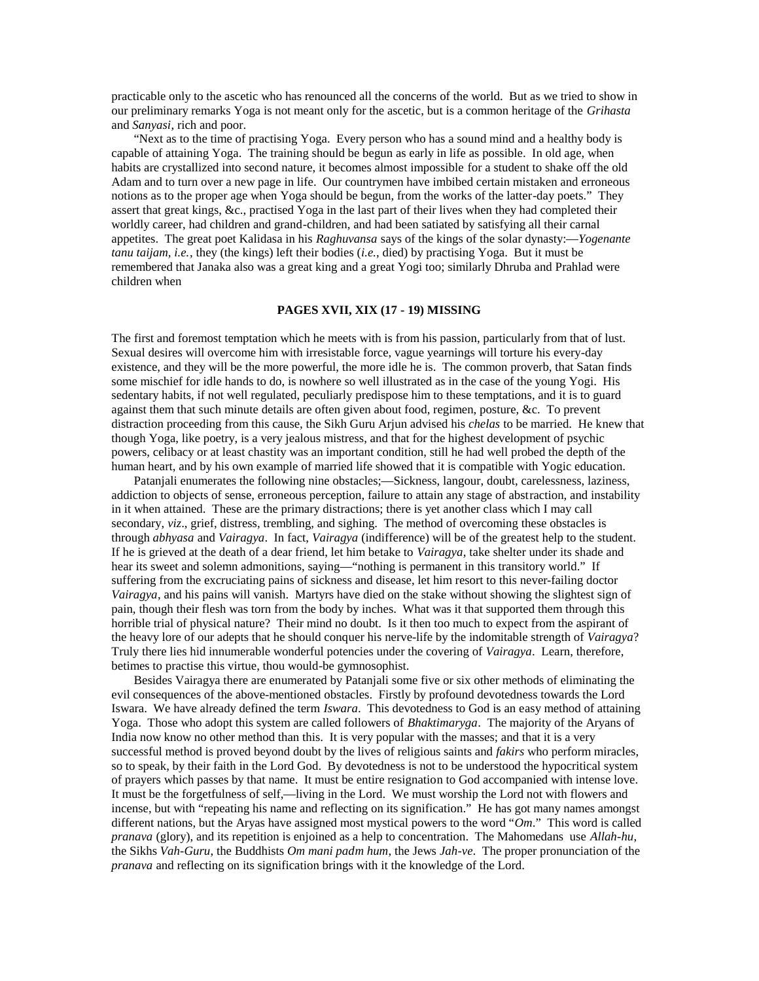practicable only to the ascetic who has renounced all the concerns of the world. But as we tried to show in our preliminary remarks Yoga is not meant only for the ascetic, but is a common heritage of the *Grihasta* and *Sanyasi*, rich and poor.

"Next as to the time of practising Yoga. Every person who has a sound mind and a healthy body is capable of attaining Yoga. The training should be begun as early in life as possible. In old age, when habits are crystallized into second nature, it becomes almost impossible for a student to shake off the old Adam and to turn over a new page in life. Our countrymen have imbibed certain mistaken and erroneous notions as to the proper age when Yoga should be begun, from the works of the latter-day poets." They assert that great kings, &c., practised Yoga in the last part of their lives when they had completed their worldly career, had children and grand-children, and had been satiated by satisfying all their carnal appetites. The great poet Kalidasa in his *Raghuvansa* says of the kings of the solar dynasty:—*Yogenante tanu taijam, i.e.*, they (the kings) left their bodies (*i.e.*, died) by practising Yoga. But it must be remembered that Janaka also was a great king and a great Yogi too; similarly Dhruba and Prahlad were children when

# **PAGES XVII, XIX (17 - 19) MISSING**

The first and foremost temptation which he meets with is from his passion, particularly from that of lust. Sexual desires will overcome him with irresistable force, vague yearnings will torture his every-day existence, and they will be the more powerful, the more idle he is. The common proverb, that Satan finds some mischief for idle hands to do, is nowhere so well illustrated as in the case of the young Yogi. His sedentary habits, if not well regulated, peculiarly predispose him to these temptations, and it is to guard against them that such minute details are often given about food, regimen, posture, &c. To prevent distraction proceeding from this cause, the Sikh Guru Arjun advised his *chelas* to be married. He knew that though Yoga, like poetry, is a very jealous mistress, and that for the highest development of psychic powers, celibacy or at least chastity was an important condition, still he had well probed the depth of the human heart, and by his own example of married life showed that it is compatible with Yogic education.

Patanjali enumerates the following nine obstacles;—Sickness, langour, doubt, carelessness, laziness, addiction to objects of sense, erroneous perception, failure to attain any stage of abstraction, and instability in it when attained. These are the primary distractions; there is yet another class which I may call secondary, *viz*., grief, distress, trembling, and sighing. The method of overcoming these obstacles is through *abhyasa* and *Vairagya*. In fact, *Vairagya* (indifference) will be of the greatest help to the student. If he is grieved at the death of a dear friend, let him betake to *Vairagya*, take shelter under its shade and hear its sweet and solemn admonitions, saying—"nothing is permanent in this transitory world." If suffering from the excruciating pains of sickness and disease, let him resort to this never-failing doctor *Vairagya*, and his pains will vanish. Martyrs have died on the stake without showing the slightest sign of pain, though their flesh was torn from the body by inches. What was it that supported them through this horrible trial of physical nature? Their mind no doubt. Is it then too much to expect from the aspirant of the heavy lore of our adepts that he should conquer his nerve-life by the indomitable strength of *Vairagya*? Truly there lies hid innumerable wonderful potencies under the covering of *Vairagya*. Learn, therefore, betimes to practise this virtue, thou would-be gymnosophist.

Besides Vairagya there are enumerated by Patanjali some five or six other methods of eliminating the evil consequences of the above-mentioned obstacles. Firstly by profound devotedness towards the Lord Iswara. We have already defined the term *Iswara*. This devotedness to God is an easy method of attaining Yoga. Those who adopt this system are called followers of *Bhaktimaryga*. The majority of the Aryans of India now know no other method than this. It is very popular with the masses; and that it is a very successful method is proved beyond doubt by the lives of religious saints and *fakirs* who perform miracles, so to speak, by their faith in the Lord God. By devotedness is not to be understood the hypocritical system of prayers which passes by that name. It must be entire resignation to God accompanied with intense love. It must be the forgetfulness of self,—living in the Lord. We must worship the Lord not with flowers and incense, but with "repeating his name and reflecting on its signification." He has got many names amongst different nations, but the Aryas have assigned most mystical powers to the word "*Om*." This word is called *pranava* (glory), and its repetition is enjoined as a help to concentration. The Mahomedans use *Allah-hu*, the Sikhs *Vah-Guru*, the Buddhists *Om mani padm hum*, the Jews *Jah-ve*. The proper pronunciation of the *pranava* and reflecting on its signification brings with it the knowledge of the Lord.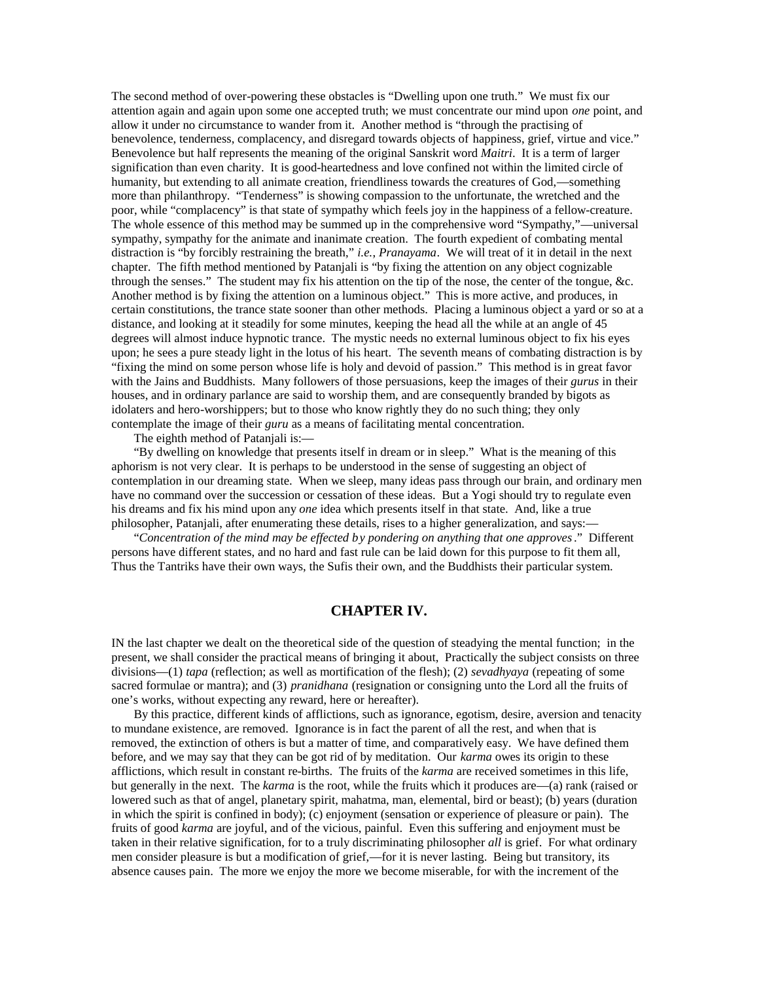The second method of over-powering these obstacles is "Dwelling upon one truth." We must fix our attention again and again upon some one accepted truth; we must concentrate our mind upon *one* point, and allow it under no circumstance to wander from it. Another method is "through the practising of benevolence, tenderness, complacency, and disregard towards objects of happiness, grief, virtue and vice." Benevolence but half represents the meaning of the original Sanskrit word *Maitri*. It is a term of larger signification than even charity. It is good-heartedness and love confined not within the limited circle of humanity, but extending to all animate creation, friendliness towards the creatures of God,—something more than philanthropy. "Tenderness" is showing compassion to the unfortunate, the wretched and the poor, while "complacency" is that state of sympathy which feels joy in the happiness of a fellow-creature. The whole essence of this method may be summed up in the comprehensive word "Sympathy,"—universal sympathy, sympathy for the animate and inanimate creation. The fourth expedient of combating mental distraction is "by forcibly restraining the breath," *i.e.*, *Pranayama*. We will treat of it in detail in the next chapter. The fifth method mentioned by Patanjali is "by fixing the attention on any object cognizable through the senses." The student may fix his attention on the tip of the nose, the center of the tongue, &c. Another method is by fixing the attention on a luminous object." This is more active, and produces, in certain constitutions, the trance state sooner than other methods. Placing a luminous object a yard or so at a distance, and looking at it steadily for some minutes, keeping the head all the while at an angle of 45 degrees will almost induce hypnotic trance. The mystic needs no external luminous object to fix his eyes upon; he sees a pure steady light in the lotus of his heart. The seventh means of combating distraction is by "fixing the mind on some person whose life is holy and devoid of passion." This method is in great favor with the Jains and Buddhists. Many followers of those persuasions, keep the images of their *gurus* in their houses, and in ordinary parlance are said to worship them, and are consequently branded by bigots as idolaters and hero-worshippers; but to those who know rightly they do no such thing; they only contemplate the image of their *guru* as a means of facilitating mental concentration.

The eighth method of Patanjali is:—

"By dwelling on knowledge that presents itself in dream or in sleep." What is the meaning of this aphorism is not very clear. It is perhaps to be understood in the sense of suggesting an object of contemplation in our dreaming state. When we sleep, many ideas pass through our brain, and ordinary men have no command over the succession or cessation of these ideas. But a Yogi should try to regulate even his dreams and fix his mind upon any *one* idea which presents itself in that state. And, like a true philosopher, Patanjali, after enumerating these details, rises to a higher generalization, and says:—

"*Concentration of the mind may be effected by pondering on anything that one approves*." Different persons have different states, and no hard and fast rule can be laid down for this purpose to fit them all, Thus the Tantriks have their own ways, the Sufis their own, and the Buddhists their particular system.

# **CHAPTER IV.**

IN the last chapter we dealt on the theoretical side of the question of steadying the mental function; in the present, we shall consider the practical means of bringing it about, Practically the subject consists on three divisions—(1) *tapa* (reflection; as well as mortification of the flesh); (2) *sevadhyaya* (repeating of some sacred formulae or mantra); and (3) *pranidhana* (resignation or consigning unto the Lord all the fruits of one's works, without expecting any reward, here or hereafter).

By this practice, different kinds of afflictions, such as ignorance, egotism, desire, aversion and tenacity to mundane existence, are removed. Ignorance is in fact the parent of all the rest, and when that is removed, the extinction of others is but a matter of time, and comparatively easy. We have defined them before, and we may say that they can be got rid of by meditation. Our *karma* owes its origin to these afflictions, which result in constant re-births. The fruits of the *karma* are received sometimes in this life, but generally in the next. The *karma* is the root, while the fruits which it produces are—(a) rank (raised or lowered such as that of angel, planetary spirit, mahatma, man, elemental, bird or beast); (b) years (duration in which the spirit is confined in body); (c) enjoyment (sensation or experience of pleasure or pain). The fruits of good *karma* are joyful, and of the vicious, painful. Even this suffering and enjoyment must be taken in their relative signification, for to a truly discriminating philosopher *all* is grief. For what ordinary men consider pleasure is but a modification of grief,—for it is never lasting. Being but transitory, its absence causes pain. The more we enjoy the more we become miserable, for with the increment of the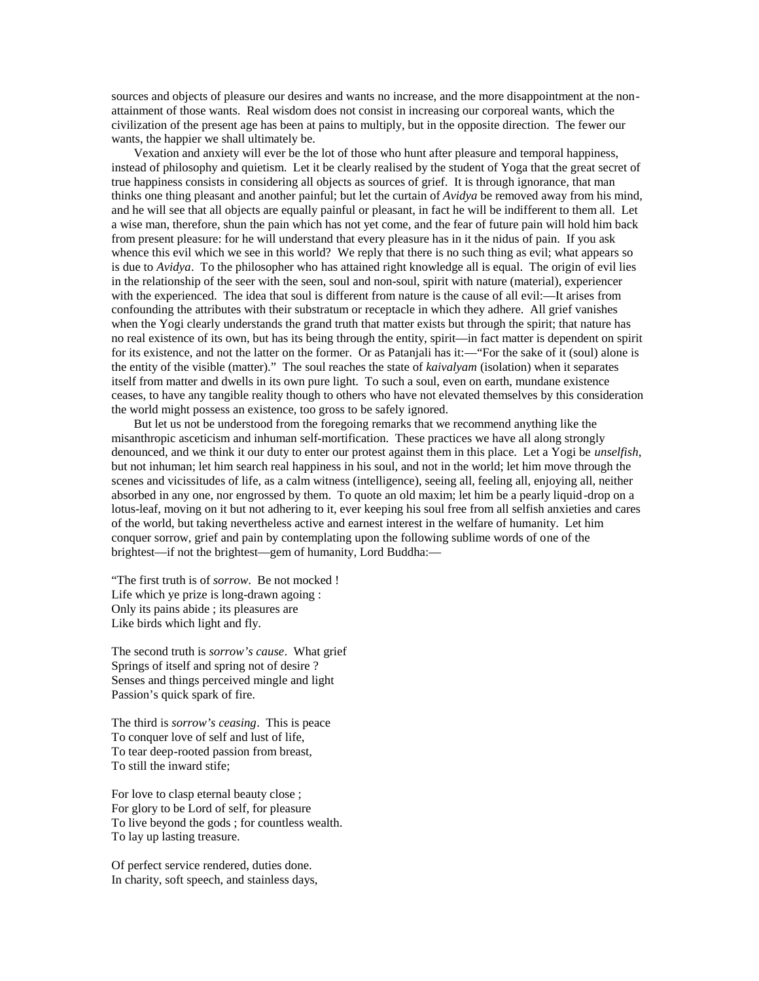sources and objects of pleasure our desires and wants no increase, and the more disappointment at the nonattainment of those wants. Real wisdom does not consist in increasing our corporeal wants, which the civilization of the present age has been at pains to multiply, but in the opposite direction. The fewer our wants, the happier we shall ultimately be.

Vexation and anxiety will ever be the lot of those who hunt after pleasure and temporal happiness, instead of philosophy and quietism. Let it be clearly realised by the student of Yoga that the great secret of true happiness consists in considering all objects as sources of grief. It is through ignorance, that man thinks one thing pleasant and another painful; but let the curtain of *Avidya* be removed away from his mind, and he will see that all objects are equally painful or pleasant, in fact he will be indifferent to them all. Let a wise man, therefore, shun the pain which has not yet come, and the fear of future pain will hold him back from present pleasure: for he will understand that every pleasure has in it the nidus of pain. If you ask whence this evil which we see in this world? We reply that there is no such thing as evil; what appears so is due to *Avidya*. To the philosopher who has attained right knowledge all is equal. The origin of evil lies in the relationship of the seer with the seen, soul and non-soul, spirit with nature (material), experiencer with the experienced. The idea that soul is different from nature is the cause of all evil:—It arises from confounding the attributes with their substratum or receptacle in which they adhere. All grief vanishes when the Yogi clearly understands the grand truth that matter exists but through the spirit; that nature has no real existence of its own, but has its being through the entity, spirit—in fact matter is dependent on spirit for its existence, and not the latter on the former. Or as Patanjali has it:—"For the sake of it (soul) alone is the entity of the visible (matter)." The soul reaches the state of *kaivalyam* (isolation) when it separates itself from matter and dwells in its own pure light. To such a soul, even on earth, mundane existence ceases, to have any tangible reality though to others who have not elevated themselves by this consideration the world might possess an existence, too gross to be safely ignored.

But let us not be understood from the foregoing remarks that we recommend anything like the misanthropic asceticism and inhuman self-mortification. These practices we have all along strongly denounced, and we think it our duty to enter our protest against them in this place. Let a Yogi be *unselfish*, but not inhuman; let him search real happiness in his soul, and not in the world; let him move through the scenes and vicissitudes of life, as a calm witness (intelligence), seeing all, feeling all, enjoying all, neither absorbed in any one, nor engrossed by them. To quote an old maxim; let him be a pearly liquid-drop on a lotus-leaf, moving on it but not adhering to it, ever keeping his soul free from all selfish anxieties and cares of the world, but taking nevertheless active and earnest interest in the welfare of humanity. Let him conquer sorrow, grief and pain by contemplating upon the following sublime words of one of the brightest—if not the brightest—gem of humanity, Lord Buddha:—

"The first truth is of *sorrow*. Be not mocked ! Life which ye prize is long-drawn agoing : Only its pains abide ; its pleasures are Like birds which light and fly.

The second truth is *sorrow's cause*. What grief Springs of itself and spring not of desire ? Senses and things perceived mingle and light Passion's quick spark of fire.

The third is *sorrow's ceasing*. This is peace To conquer love of self and lust of life, To tear deep-rooted passion from breast, To still the inward stife;

For love to clasp eternal beauty close ; For glory to be Lord of self, for pleasure To live beyond the gods ; for countless wealth. To lay up lasting treasure.

Of perfect service rendered, duties done. In charity, soft speech, and stainless days,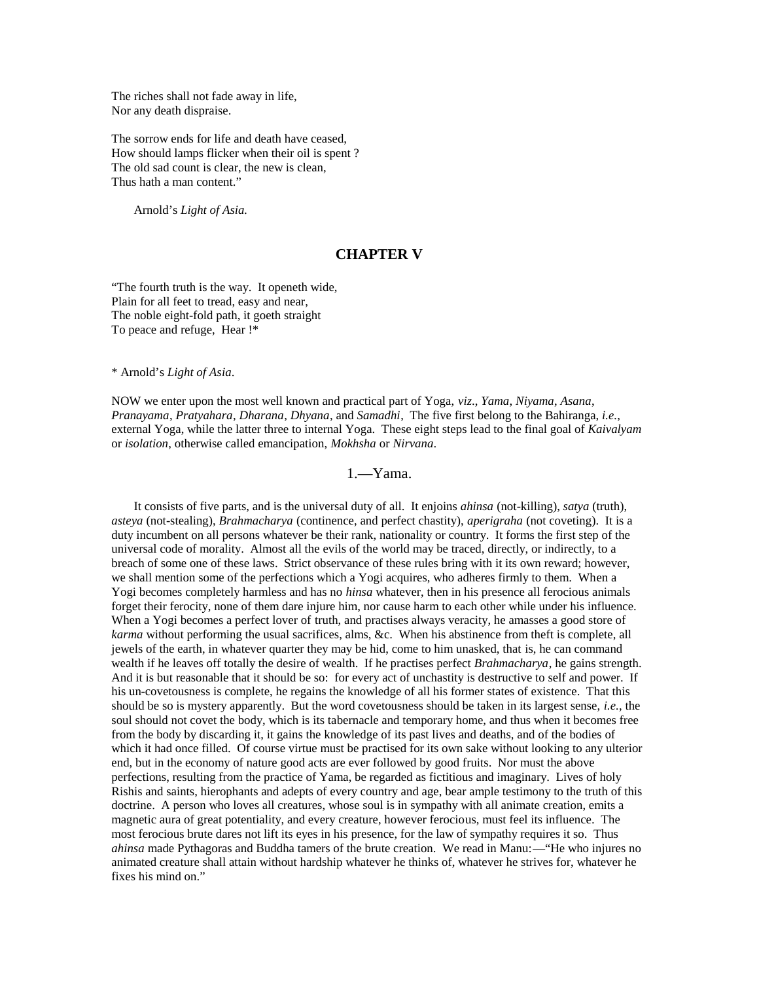The riches shall not fade away in life, Nor any death dispraise.

The sorrow ends for life and death have ceased, How should lamps flicker when their oil is spent ? The old sad count is clear, the new is clean, Thus hath a man content."

Arnold's *Light of Asia.*

# **CHAPTER V**

"The fourth truth is the way. It openeth wide, Plain for all feet to tread, easy and near, The noble eight-fold path, it goeth straight To peace and refuge, Hear !\*

\* Arnold's *Light of Asia*.

NOW we enter upon the most well known and practical part of Yoga, *viz*., *Yama*, *Niyama*, *Asana*, *Pranayama*, *Pratyahara*, *Dharana*, *Dhyana*, and *Samadhi*, The five first belong to the Bahiranga, *i.e.*, external Yoga, while the latter three to internal Yoga. These eight steps lead to the final goal of *Kaivalyam* or *isolation*, otherwise called emancipation, *Mokhsha* or *Nirvana*.

1.—Yama.

It consists of five parts, and is the universal duty of all. It enjoins *ahinsa* (not-killing), *satya* (truth), *asteya* (not-stealing), *Brahmacharya* (continence, and perfect chastity), *aperigraha* (not coveting). It is a duty incumbent on all persons whatever be their rank, nationality or country. It forms the first step of the universal code of morality. Almost all the evils of the world may be traced, directly, or indirectly, to a breach of some one of these laws. Strict observance of these rules bring with it its own reward; however, we shall mention some of the perfections which a Yogi acquires, who adheres firmly to them. When a Yogi becomes completely harmless and has no *hinsa* whatever, then in his presence all ferocious animals forget their ferocity, none of them dare injure him, nor cause harm to each other while under his influence. When a Yogi becomes a perfect lover of truth, and practises always veracity, he amasses a good store of *karma* without performing the usual sacrifices, alms, &c. When his abstinence from theft is complete, all jewels of the earth, in whatever quarter they may be hid, come to him unasked, that is, he can command wealth if he leaves off totally the desire of wealth. If he practises perfect *Brahmacharya*, he gains strength. And it is but reasonable that it should be so: for every act of unchastity is destructive to self and power. If his un-covetousness is complete, he regains the knowledge of all his former states of existence. That this should be so is mystery apparently. But the word covetousness should be taken in its largest sense, *i.e.*, the soul should not covet the body, which is its tabernacle and temporary home, and thus when it becomes free from the body by discarding it, it gains the knowledge of its past lives and deaths, and of the bodies of which it had once filled. Of course virtue must be practised for its own sake without looking to any ulterior end, but in the economy of nature good acts are ever followed by good fruits. Nor must the above perfections, resulting from the practice of Yama, be regarded as fictitious and imaginary. Lives of holy Rishis and saints, hierophants and adepts of every country and age, bear ample testimony to the truth of this doctrine. A person who loves all creatures, whose soul is in sympathy with all animate creation, emits a magnetic aura of great potentiality, and every creature, however ferocious, must feel its influence. The most ferocious brute dares not lift its eyes in his presence, for the law of sympathy requires it so. Thus *ahinsa* made Pythagoras and Buddha tamers of the brute creation. We read in Manu:—"He who injures no animated creature shall attain without hardship whatever he thinks of, whatever he strives for, whatever he fixes his mind on."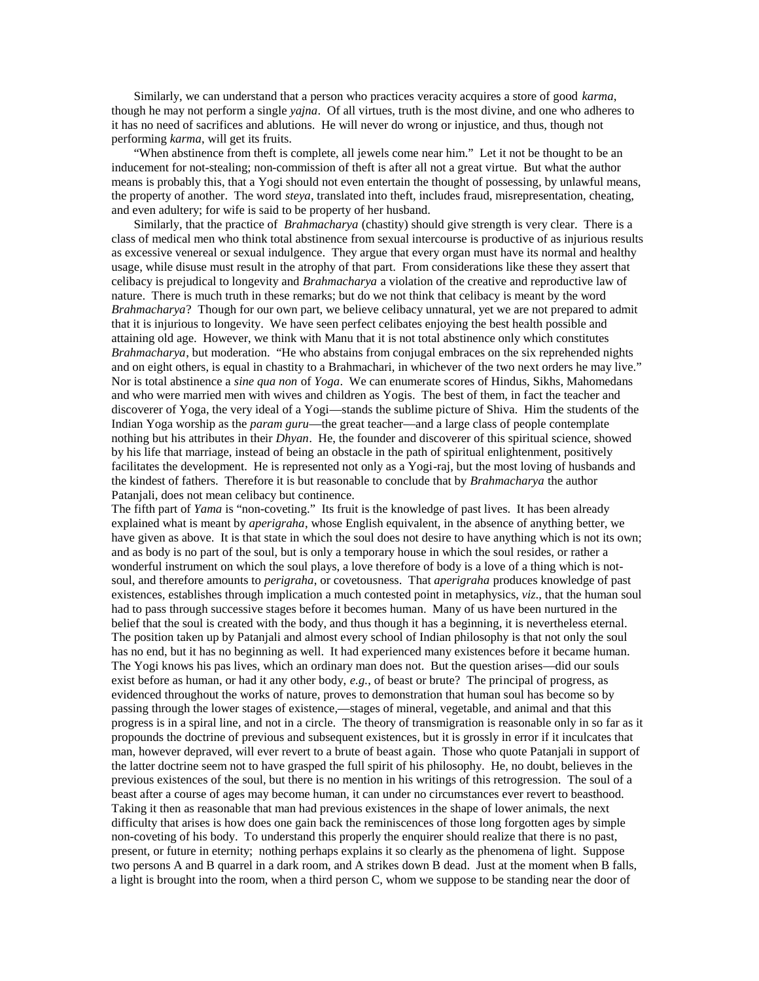Similarly, we can understand that a person who practices veracity acquires a store of good *karma*, though he may not perform a single *yajna*. Of all virtues, truth is the most divine, and one who adheres to it has no need of sacrifices and ablutions. He will never do wrong or injustice, and thus, though not performing *karma*, will get its fruits.

"When abstinence from theft is complete, all jewels come near him." Let it not be thought to be an inducement for not-stealing; non-commission of theft is after all not a great virtue. But what the author means is probably this, that a Yogi should not even entertain the thought of possessing, by unlawful means, the property of another. The word *steya*, translated into theft, includes fraud, misrepresentation, cheating, and even adultery; for wife is said to be property of her husband.

Similarly, that the practice of *Brahmacharya* (chastity) should give strength is very clear. There is a class of medical men who think total abstinence from sexual intercourse is productive of as injurious results as excessive venereal or sexual indulgence. They argue that every organ must have its normal and healthy usage, while disuse must result in the atrophy of that part. From considerations like these they assert that celibacy is prejudical to longevity and *Brahmacharya* a violation of the creative and reproductive law of nature. There is much truth in these remarks; but do we not think that celibacy is meant by the word *Brahmacharya*? Though for our own part, we believe celibacy unnatural, yet we are not prepared to admit that it is injurious to longevity. We have seen perfect celibates enjoying the best health possible and attaining old age. However, we think with Manu that it is not total abstinence only which constitutes *Brahmacharya*, but moderation. "He who abstains from conjugal embraces on the six reprehended nights and on eight others, is equal in chastity to a Brahmachari, in whichever of the two next orders he may live." Nor is total abstinence a *sine qua non* of *Yoga*. We can enumerate scores of Hindus, Sikhs, Mahomedans and who were married men with wives and children as Yogis. The best of them, in fact the teacher and discoverer of Yoga, the very ideal of a Yogi—stands the sublime picture of Shiva. Him the students of the Indian Yoga worship as the *param guru*—the great teacher—and a large class of people contemplate nothing but his attributes in their *Dhyan*. He, the founder and discoverer of this spiritual science, showed by his life that marriage, instead of being an obstacle in the path of spiritual enlightenment, positively facilitates the development. He is represented not only as a Yogi-raj, but the most loving of husbands and the kindest of fathers. Therefore it is but reasonable to conclude that by *Brahmacharya* the author Patanjali, does not mean celibacy but continence.

The fifth part of *Yama* is "non-coveting." Its fruit is the knowledge of past lives. It has been already explained what is meant by *aperigraha*, whose English equivalent, in the absence of anything better, we have given as above. It is that state in which the soul does not desire to have anything which is not its own; and as body is no part of the soul, but is only a temporary house in which the soul resides, or rather a wonderful instrument on which the soul plays, a love therefore of body is a love of a thing which is notsoul, and therefore amounts to *perigraha*, or covetousness. That *aperigraha* produces knowledge of past existences, establishes through implication a much contested point in metaphysics, *viz*., that the human soul had to pass through successive stages before it becomes human. Many of us have been nurtured in the belief that the soul is created with the body, and thus though it has a beginning, it is nevertheless eternal. The position taken up by Patanjali and almost every school of Indian philosophy is that not only the soul has no end, but it has no beginning as well. It had experienced many existences before it became human. The Yogi knows his pas lives, which an ordinary man does not. But the question arises—did our souls exist before as human, or had it any other body, *e.g.*, of beast or brute? The principal of progress, as evidenced throughout the works of nature, proves to demonstration that human soul has become so by passing through the lower stages of existence,—stages of mineral, vegetable, and animal and that this progress is in a spiral line, and not in a circle. The theory of transmigration is reasonable only in so far as it propounds the doctrine of previous and subsequent existences, but it is grossly in error if it inculcates that man, however depraved, will ever revert to a brute of beast again. Those who quote Patanjali in support of the latter doctrine seem not to have grasped the full spirit of his philosophy. He, no doubt, believes in the previous existences of the soul, but there is no mention in his writings of this retrogression. The soul of a beast after a course of ages may become human, it can under no circumstances ever revert to beasthood. Taking it then as reasonable that man had previous existences in the shape of lower animals, the next difficulty that arises is how does one gain back the reminiscences of those long forgotten ages by simple non-coveting of his body. To understand this properly the enquirer should realize that there is no past, present, or future in eternity; nothing perhaps explains it so clearly as the phenomena of light. Suppose two persons A and B quarrel in a dark room, and A strikes down B dead. Just at the moment when B falls, a light is brought into the room, when a third person C, whom we suppose to be standing near the door of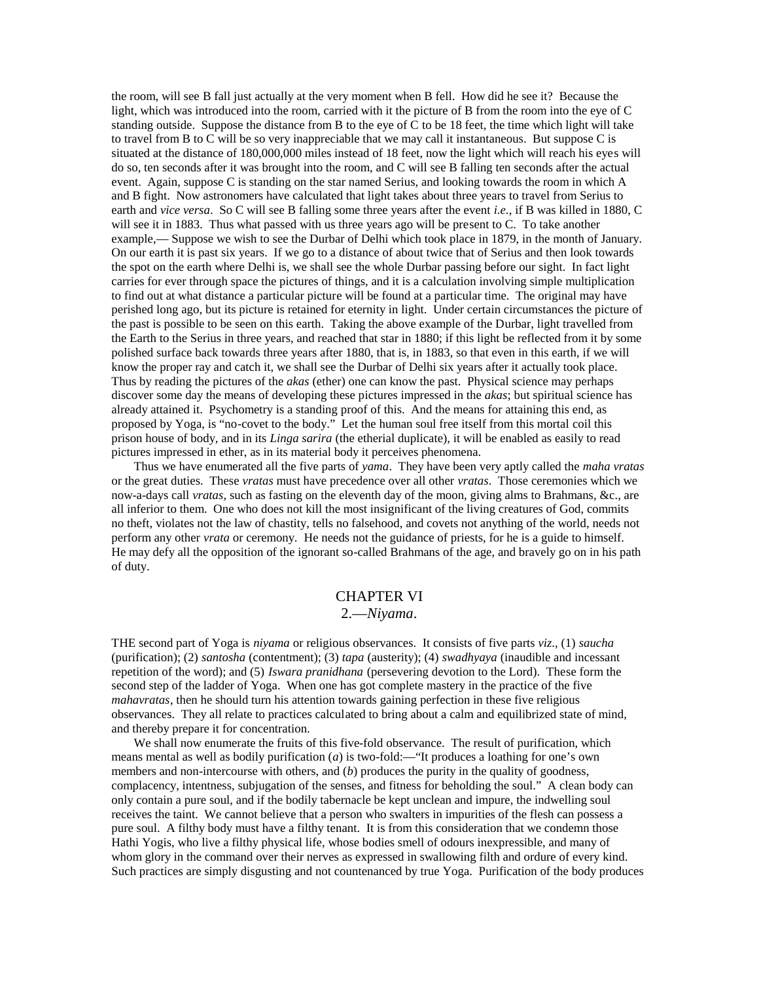the room, will see B fall just actually at the very moment when B fell. How did he see it? Because the light, which was introduced into the room, carried with it the picture of B from the room into the eye of C standing outside. Suppose the distance from B to the eye of C to be 18 feet, the time which light will take to travel from B to C will be so very inappreciable that we may call it instantaneous. But suppose C is situated at the distance of 180,000,000 miles instead of 18 feet, now the light which will reach his eyes will do so, ten seconds after it was brought into the room, and C will see B falling ten seconds after the actual event. Again, suppose C is standing on the star named Serius, and looking towards the room in which A and B fight. Now astronomers have calculated that light takes about three years to travel from Serius to earth and *vice versa*. So C will see B falling some three years after the event *i.e.*, if B was killed in 1880, C will see it in 1883. Thus what passed with us three years ago will be present to C. To take another example,— Suppose we wish to see the Durbar of Delhi which took place in 1879, in the month of January. On our earth it is past six years. If we go to a distance of about twice that of Serius and then look towards the spot on the earth where Delhi is, we shall see the whole Durbar passing before our sight. In fact light carries for ever through space the pictures of things, and it is a calculation involving simple multiplication to find out at what distance a particular picture will be found at a particular time. The original may have perished long ago, but its picture is retained for eternity in light. Under certain circumstances the picture of the past is possible to be seen on this earth. Taking the above example of the Durbar, light travelled from the Earth to the Serius in three years, and reached that star in 1880; if this light be reflected from it by some polished surface back towards three years after 1880, that is, in 1883, so that even in this earth, if we will know the proper ray and catch it, we shall see the Durbar of Delhi six years after it actually took place. Thus by reading the pictures of the *akas* (ether) one can know the past. Physical science may perhaps discover some day the means of developing these pictures impressed in the *akas*; but spiritual science has already attained it. Psychometry is a standing proof of this. And the means for attaining this end, as proposed by Yoga, is "no-covet to the body." Let the human soul free itself from this mortal coil this prison house of body, and in its *Linga sarira* (the etherial duplicate), it will be enabled as easily to read pictures impressed in ether, as in its material body it perceives phenomena.

Thus we have enumerated all the five parts of *yama*. They have been very aptly called the *maha vratas* or the great duties. These *vratas* must have precedence over all other *vratas*. Those ceremonies which we now-a-days call *vratas*, such as fasting on the eleventh day of the moon, giving alms to Brahmans, &c., are all inferior to them. One who does not kill the most insignificant of the living creatures of God, commits no theft, violates not the law of chastity, tells no falsehood, and covets not anything of the world, needs not perform any other *vrata* or ceremony. He needs not the guidance of priests, for he is a guide to himself. He may defy all the opposition of the ignorant so-called Brahmans of the age, and bravely go on in his path of duty.

# CHAPTER VI

# 2.—*Niyama*.

THE second part of Yoga is *niyama* or religious observances. It consists of five parts *viz*., (1) *saucha* (purification); (2) *santosha* (contentment); (3) *tapa* (austerity); (4) *swadhyaya* (inaudible and incessant repetition of the word); and (5) *Iswara pranidhana* (persevering devotion to the Lord). These form the second step of the ladder of Yoga. When one has got complete mastery in the practice of the five *mahavratas*, then he should turn his attention towards gaining perfection in these five religious observances. They all relate to practices calculated to bring about a calm and equilibrized state of mind, and thereby prepare it for concentration.

We shall now enumerate the fruits of this five-fold observance. The result of purification, which means mental as well as bodily purification (*a*) is two-fold:—"It produces a loathing for one's own members and non-intercourse with others, and (*b*) produces the purity in the quality of goodness, complacency, intentness, subjugation of the senses, and fitness for beholding the soul." A clean body can only contain a pure soul, and if the bodily tabernacle be kept unclean and impure, the indwelling soul receives the taint. We cannot believe that a person who swalters in impurities of the flesh can possess a pure soul. A filthy body must have a filthy tenant. It is from this consideration that we condemn those Hathi Yogis, who live a filthy physical life, whose bodies smell of odours inexpressible, and many of whom glory in the command over their nerves as expressed in swallowing filth and ordure of every kind. Such practices are simply disgusting and not countenanced by true Yoga. Purification of the body produces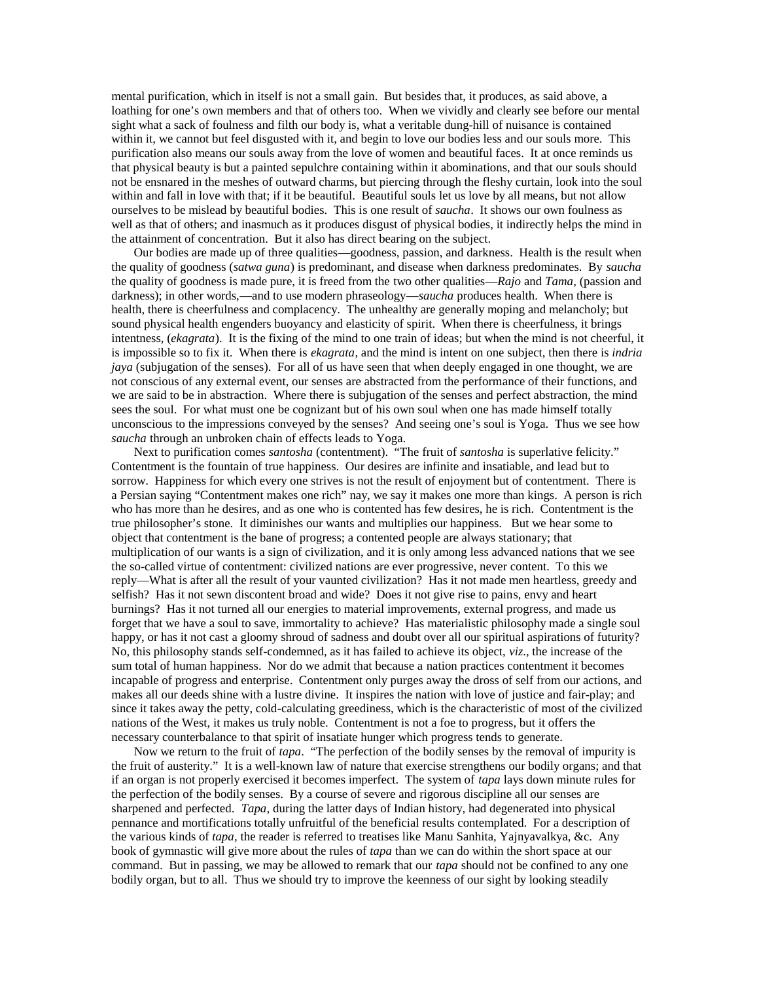mental purification, which in itself is not a small gain. But besides that, it produces, as said above, a loathing for one's own members and that of others too. When we vividly and clearly see before our mental sight what a sack of foulness and filth our body is, what a veritable dung-hill of nuisance is contained within it, we cannot but feel disgusted with it, and begin to love our bodies less and our souls more. This purification also means our souls away from the love of women and beautiful faces. It at once reminds us that physical beauty is but a painted sepulchre containing within it abominations, and that our souls should not be ensnared in the meshes of outward charms, but piercing through the fleshy curtain, look into the soul within and fall in love with that; if it be beautiful. Beautiful souls let us love by all means, but not allow ourselves to be mislead by beautiful bodies. This is one result of *saucha*. It shows our own foulness as well as that of others; and inasmuch as it produces disgust of physical bodies, it indirectly helps the mind in the attainment of concentration. But it also has direct bearing on the subject.

Our bodies are made up of three qualities—goodness, passion, and darkness. Health is the result when the quality of goodness (*satwa guna*) is predominant, and disease when darkness predominates. By *saucha* the quality of goodness is made pure, it is freed from the two other qualities—*Rajo* and *Tama*, (passion and darkness); in other words,—and to use modern phraseology—*saucha* produces health. When there is health, there is cheerfulness and complacency. The unhealthy are generally moping and melancholy; but sound physical health engenders buoyancy and elasticity of spirit. When there is cheerfulness, it brings intentness, (*ekagrata*). It is the fixing of the mind to one train of ideas; but when the mind is not cheerful, it is impossible so to fix it. When there is *ekagrata*, and the mind is intent on one subject, then there is *indria jaya* (subjugation of the senses). For all of us have seen that when deeply engaged in one thought, we are not conscious of any external event, our senses are abstracted from the performance of their functions, and we are said to be in abstraction. Where there is subjugation of the senses and perfect abstraction, the mind sees the soul. For what must one be cognizant but of his own soul when one has made himself totally unconscious to the impressions conveyed by the senses? And seeing one's soul is Yoga. Thus we see how *saucha* through an unbroken chain of effects leads to Yoga.

Next to purification comes *santosha* (contentment). "The fruit of *santosha* is superlative felicity." Contentment is the fountain of true happiness. Our desires are infinite and insatiable, and lead but to sorrow. Happiness for which every one strives is not the result of enjoyment but of contentment. There is a Persian saying "Contentment makes one rich" nay, we say it makes one more than kings. A person is rich who has more than he desires, and as one who is contented has few desires, he is rich. Contentment is the true philosopher's stone. It diminishes our wants and multiplies our happiness. But we hear some to object that contentment is the bane of progress; a contented people are always stationary; that multiplication of our wants is a sign of civilization, and it is only among less advanced nations that we see the so-called virtue of contentment: civilized nations are ever progressive, never content. To this we reply—What is after all the result of your vaunted civilization? Has it not made men heartless, greedy and selfish? Has it not sewn discontent broad and wide? Does it not give rise to pains, envy and heart burnings? Has it not turned all our energies to material improvements, external progress, and made us forget that we have a soul to save, immortality to achieve? Has materialistic philosophy made a single soul happy, or has it not cast a gloomy shroud of sadness and doubt over all our spiritual aspirations of futurity? No, this philosophy stands self-condemned, as it has failed to achieve its object, *viz*., the increase of the sum total of human happiness. Nor do we admit that because a nation practices contentment it becomes incapable of progress and enterprise. Contentment only purges away the dross of self from our actions, and makes all our deeds shine with a lustre divine. It inspires the nation with love of justice and fair-play; and since it takes away the petty, cold-calculating greediness, which is the characteristic of most of the civilized nations of the West, it makes us truly noble. Contentment is not a foe to progress, but it offers the necessary counterbalance to that spirit of insatiate hunger which progress tends to generate.

Now we return to the fruit of *tapa*. "The perfection of the bodily senses by the removal of impurity is the fruit of austerity." It is a well-known law of nature that exercise strengthens our bodily organs; and that if an organ is not properly exercised it becomes imperfect. The system of *tapa* lays down minute rules for the perfection of the bodily senses. By a course of severe and rigorous discipline all our senses are sharpened and perfected. *Tapa*, during the latter days of Indian history, had degenerated into physical pennance and mortifications totally unfruitful of the beneficial results contemplated. For a description of the various kinds of *tapa*, the reader is referred to treatises like Manu Sanhita, Yajnyavalkya, &c. Any book of gymnastic will give more about the rules of *tapa* than we can do within the short space at our command. But in passing, we may be allowed to remark that our *tapa* should not be confined to any one bodily organ, but to all. Thus we should try to improve the keenness of our sight by looking steadily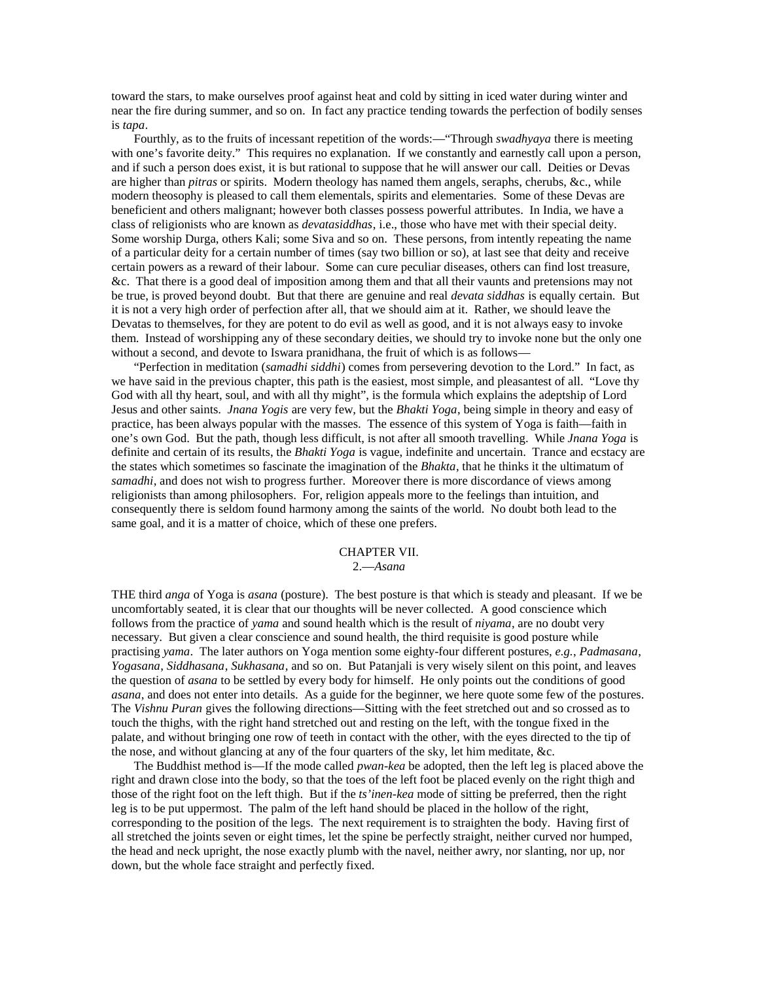toward the stars, to make ourselves proof against heat and cold by sitting in iced water during winter and near the fire during summer, and so on. In fact any practice tending towards the perfection of bodily senses is *tapa*.

Fourthly, as to the fruits of incessant repetition of the words:—"Through *swadhyaya* there is meeting with one's favorite deity." This requires no explanation. If we constantly and earnestly call upon a person, and if such a person does exist, it is but rational to suppose that he will answer our call. Deities or Devas are higher than *pitras* or spirits. Modern theology has named them angels, seraphs, cherubs, &c., while modern theosophy is pleased to call them elementals, spirits and elementaries. Some of these Devas are beneficient and others malignant; however both classes possess powerful attributes. In India, we have a class of religionists who are known as *devatasiddhas*, i.e., those who have met with their special deity. Some worship Durga, others Kali; some Siva and so on. These persons, from intently repeating the name of a particular deity for a certain number of times (say two billion or so), at last see that deity and receive certain powers as a reward of their labour. Some can cure peculiar diseases, others can find lost treasure, &c. That there is a good deal of imposition among them and that all their vaunts and pretensions may not be true, is proved beyond doubt. But that there are genuine and real *devata siddhas* is equally certain. But it is not a very high order of perfection after all, that we should aim at it. Rather, we should leave the Devatas to themselves, for they are potent to do evil as well as good, and it is not always easy to invoke them. Instead of worshipping any of these secondary deities, we should try to invoke none but the only one without a second, and devote to Iswara pranidhana, the fruit of which is as follows—

"Perfection in meditation (*samadhi siddhi*) comes from persevering devotion to the Lord." In fact, as we have said in the previous chapter, this path is the easiest, most simple, and pleasantest of all. "Love thy God with all thy heart, soul, and with all thy might", is the formula which explains the adeptship of Lord Jesus and other saints. *Jnana Yogis* are very few, but the *Bhakti Yoga*, being simple in theory and easy of practice, has been always popular with the masses. The essence of this system of Yoga is faith—faith in one's own God. But the path, though less difficult, is not after all smooth travelling. While *Jnana Yoga* is definite and certain of its results, the *Bhakti Yoga* is vague, indefinite and uncertain. Trance and ecstacy are the states which sometimes so fascinate the imagination of the *Bhakta*, that he thinks it the ultimatum of *samadhi*, and does not wish to progress further. Moreover there is more discordance of views among religionists than among philosophers. For, religion appeals more to the feelings than intuition, and consequently there is seldom found harmony among the saints of the world. No doubt both lead to the same goal, and it is a matter of choice, which of these one prefers.

## CHAPTER VII. 2.—*Asana*

THE third *anga* of Yoga is *asana* (posture). The best posture is that which is steady and pleasant. If we be uncomfortably seated, it is clear that our thoughts will be never collected. A good conscience which follows from the practice of *yama* and sound health which is the result of *niyama*, are no doubt very necessary. But given a clear conscience and sound health, the third requisite is good posture while practising *yama*. The later authors on Yoga mention some eighty-four different postures, *e.g.*, *Padmasana*, *Yogasana*, *Siddhasana*, *Sukhasana*, and so on. But Patanjali is very wisely silent on this point, and leaves the question of *asana* to be settled by every body for himself. He only points out the conditions of good *asana*, and does not enter into details. As a guide for the beginner, we here quote some few of the postures. The *Vishnu Puran* gives the following directions—Sitting with the feet stretched out and so crossed as to touch the thighs, with the right hand stretched out and resting on the left, with the tongue fixed in the palate, and without bringing one row of teeth in contact with the other, with the eyes directed to the tip of the nose, and without glancing at any of the four quarters of the sky, let him meditate, &c.

The Buddhist method is—If the mode called *pwan-kea* be adopted, then the left leg is placed above the right and drawn close into the body, so that the toes of the left foot be placed evenly on the right thigh and those of the right foot on the left thigh. But if the *ts'inen-kea* mode of sitting be preferred, then the right leg is to be put uppermost. The palm of the left hand should be placed in the hollow of the right, corresponding to the position of the legs. The next requirement is to straighten the body. Having first of all stretched the joints seven or eight times, let the spine be perfectly straight, neither curved nor humped, the head and neck upright, the nose exactly plumb with the navel, neither awry, nor slanting, nor up, nor down, but the whole face straight and perfectly fixed.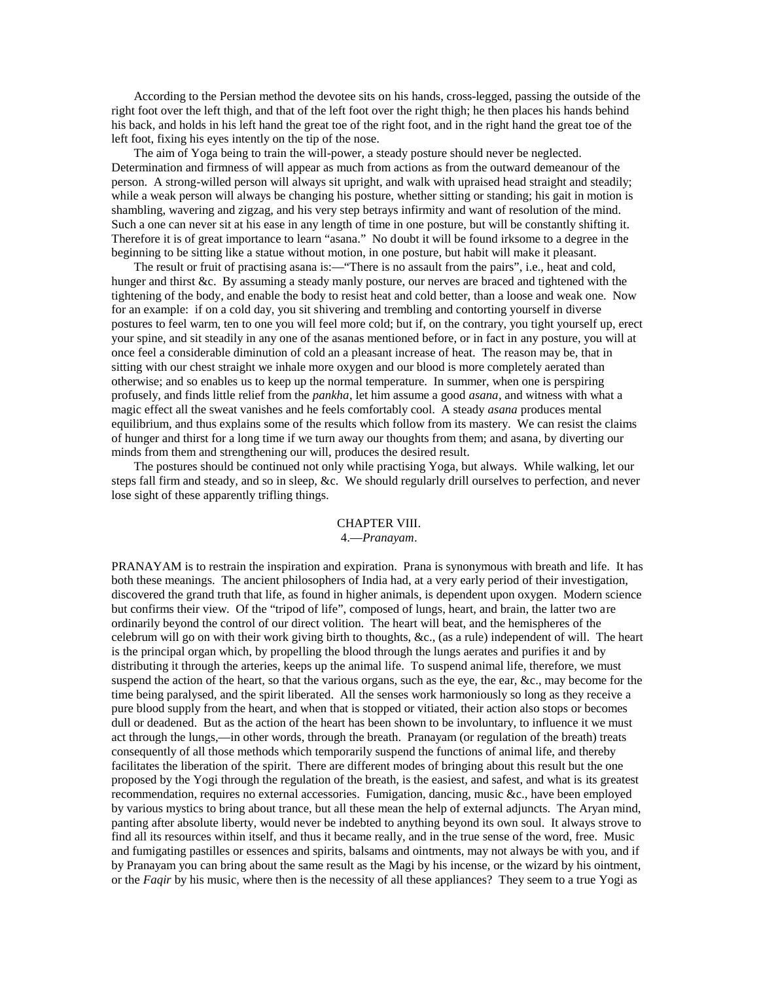According to the Persian method the devotee sits on his hands, cross-legged, passing the outside of the right foot over the left thigh, and that of the left foot over the right thigh; he then places his hands behind his back, and holds in his left hand the great toe of the right foot, and in the right hand the great toe of the left foot, fixing his eyes intently on the tip of the nose.

The aim of Yoga being to train the will-power, a steady posture should never be neglected. Determination and firmness of will appear as much from actions as from the outward demeanour of the person. A strong-willed person will always sit upright, and walk with upraised head straight and steadily; while a weak person will always be changing his posture, whether sitting or standing; his gait in motion is shambling, wavering and zigzag, and his very step betrays infirmity and want of resolution of the mind. Such a one can never sit at his ease in any length of time in one posture, but will be constantly shifting it. Therefore it is of great importance to learn "asana." No doubt it will be found irksome to a degree in the beginning to be sitting like a statue without motion, in one posture, but habit will make it pleasant.

The result or fruit of practising asana is:—"There is no assault from the pairs", i.e., heat and cold, hunger and thirst &c. By assuming a steady manly posture, our nerves are braced and tightened with the tightening of the body, and enable the body to resist heat and cold better, than a loose and weak one. Now for an example: if on a cold day, you sit shivering and trembling and contorting yourself in diverse postures to feel warm, ten to one you will feel more cold; but if, on the contrary, you tight yourself up, erect your spine, and sit steadily in any one of the asanas mentioned before, or in fact in any posture, you will at once feel a considerable diminution of cold an a pleasant increase of heat. The reason may be, that in sitting with our chest straight we inhale more oxygen and our blood is more completely aerated than otherwise; and so enables us to keep up the normal temperature. In summer, when one is perspiring profusely, and finds little relief from the *pankha*, let him assume a good *asana*, and witness with what a magic effect all the sweat vanishes and he feels comfortably cool. A steady *asana* produces mental equilibrium, and thus explains some of the results which follow from its mastery. We can resist the claims of hunger and thirst for a long time if we turn away our thoughts from them; and asana, by diverting our minds from them and strengthening our will, produces the desired result.

The postures should be continued not only while practising Yoga, but always. While walking, let our steps fall firm and steady, and so in sleep, &c. We should regularly drill ourselves to perfection, and never lose sight of these apparently trifling things.

## CHAPTER VIII. 4.—*Pranayam*.

PRANAYAM is to restrain the inspiration and expiration. Prana is synonymous with breath and life. It has both these meanings. The ancient philosophers of India had, at a very early period of their investigation, discovered the grand truth that life, as found in higher animals, is dependent upon oxygen. Modern science but confirms their view. Of the "tripod of life", composed of lungs, heart, and brain, the latter two are ordinarily beyond the control of our direct volition. The heart will beat, and the hemispheres of the celebrum will go on with their work giving birth to thoughts, &c., (as a rule) independent of will. The heart is the principal organ which, by propelling the blood through the lungs aerates and purifies it and by distributing it through the arteries, keeps up the animal life. To suspend animal life, therefore, we must suspend the action of the heart, so that the various organs, such as the eye, the ear, &c., may become for the time being paralysed, and the spirit liberated. All the senses work harmoniously so long as they receive a pure blood supply from the heart, and when that is stopped or vitiated, their action also stops or becomes dull or deadened. But as the action of the heart has been shown to be involuntary, to influence it we must act through the lungs,—in other words, through the breath. Pranayam (or regulation of the breath) treats consequently of all those methods which temporarily suspend the functions of animal life, and thereby facilitates the liberation of the spirit. There are different modes of bringing about this result but the one proposed by the Yogi through the regulation of the breath, is the easiest, and safest, and what is its greatest recommendation, requires no external accessories. Fumigation, dancing, music &c., have been employed by various mystics to bring about trance, but all these mean the help of external adjuncts. The Aryan mind, panting after absolute liberty, would never be indebted to anything beyond its own soul. It always strove to find all its resources within itself, and thus it became really, and in the true sense of the word, free. Music and fumigating pastilles or essences and spirits, balsams and ointments, may not always be with you, and if by Pranayam you can bring about the same result as the Magi by his incense, or the wizard by his ointment, or the *Faqir* by his music, where then is the necessity of all these appliances? They seem to a true Yogi as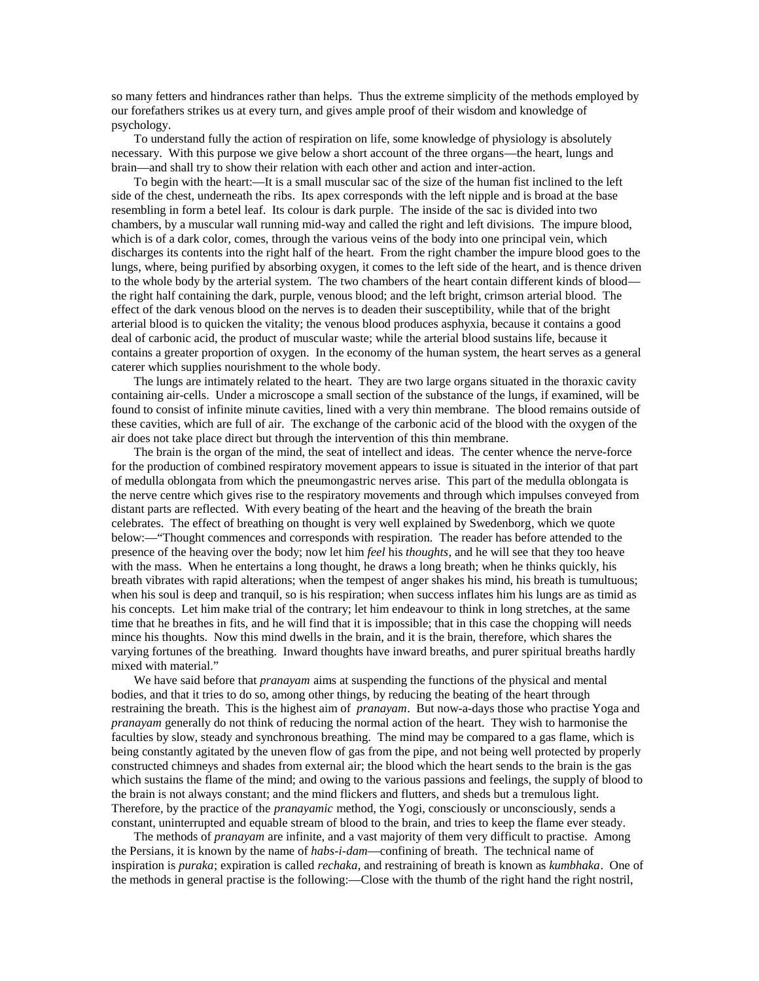so many fetters and hindrances rather than helps. Thus the extreme simplicity of the methods employed by our forefathers strikes us at every turn, and gives ample proof of their wisdom and knowledge of psychology.

To understand fully the action of respiration on life, some knowledge of physiology is absolutely necessary. With this purpose we give below a short account of the three organs—the heart, lungs and brain—and shall try to show their relation with each other and action and inter-action.

To begin with the heart:—It is a small muscular sac of the size of the human fist inclined to the left side of the chest, underneath the ribs. Its apex corresponds with the left nipple and is broad at the base resembling in form a betel leaf. Its colour is dark purple. The inside of the sac is divided into two chambers, by a muscular wall running mid-way and called the right and left divisions. The impure blood, which is of a dark color, comes, through the various veins of the body into one principal vein, which discharges its contents into the right half of the heart. From the right chamber the impure blood goes to the lungs, where, being purified by absorbing oxygen, it comes to the left side of the heart, and is thence driven to the whole body by the arterial system. The two chambers of the heart contain different kinds of blood the right half containing the dark, purple, venous blood; and the left bright, crimson arterial blood. The effect of the dark venous blood on the nerves is to deaden their susceptibility, while that of the bright arterial blood is to quicken the vitality; the venous blood produces asphyxia, because it contains a good deal of carbonic acid, the product of muscular waste; while the arterial blood sustains life, because it contains a greater proportion of oxygen. In the economy of the human system, the heart serves as a general caterer which supplies nourishment to the whole body.

The lungs are intimately related to the heart. They are two large organs situated in the thoraxic cavity containing air-cells. Under a microscope a small section of the substance of the lungs, if examined, will be found to consist of infinite minute cavities, lined with a very thin membrane. The blood remains outside of these cavities, which are full of air. The exchange of the carbonic acid of the blood with the oxygen of the air does not take place direct but through the intervention of this thin membrane.

The brain is the organ of the mind, the seat of intellect and ideas. The center whence the nerve-force for the production of combined respiratory movement appears to issue is situated in the interior of that part of medulla oblongata from which the pneumongastric nerves arise. This part of the medulla oblongata is the nerve centre which gives rise to the respiratory movements and through which impulses conveyed from distant parts are reflected. With every beating of the heart and the heaving of the breath the brain celebrates. The effect of breathing on thought is very well explained by Swedenborg, which we quote below:—"Thought commences and corresponds with respiration. The reader has before attended to the presence of the heaving over the body; now let him *feel* his *thoughts*, and he will see that they too heave with the mass. When he entertains a long thought, he draws a long breath; when he thinks quickly, his breath vibrates with rapid alterations; when the tempest of anger shakes his mind, his breath is tumultuous; when his soul is deep and tranquil, so is his respiration; when success inflates him his lungs are as timid as his concepts. Let him make trial of the contrary; let him endeavour to think in long stretches, at the same time that he breathes in fits, and he will find that it is impossible; that in this case the chopping will needs mince his thoughts. Now this mind dwells in the brain, and it is the brain, therefore, which shares the varying fortunes of the breathing. Inward thoughts have inward breaths, and purer spiritual breaths hardly mixed with material."

We have said before that *pranayam* aims at suspending the functions of the physical and mental bodies, and that it tries to do so, among other things, by reducing the beating of the heart through restraining the breath. This is the highest aim of *pranayam*. But now-a-days those who practise Yoga and *pranayam* generally do not think of reducing the normal action of the heart. They wish to harmonise the faculties by slow, steady and synchronous breathing. The mind may be compared to a gas flame, which is being constantly agitated by the uneven flow of gas from the pipe, and not being well protected by properly constructed chimneys and shades from external air; the blood which the heart sends to the brain is the gas which sustains the flame of the mind; and owing to the various passions and feelings, the supply of blood to the brain is not always constant; and the mind flickers and flutters, and sheds but a tremulous light. Therefore, by the practice of the *pranayamic* method, the Yogi, consciously or unconsciously, sends a constant, uninterrupted and equable stream of blood to the brain, and tries to keep the flame ever steady.

The methods of *pranayam* are infinite, and a vast majority of them very difficult to practise. Among the Persians, it is known by the name of *habs-i-dam*—confining of breath. The technical name of inspiration is *puraka*; expiration is called *rechaka*, and restraining of breath is known as *kumbhaka*. One of the methods in general practise is the following:—Close with the thumb of the right hand the right nostril,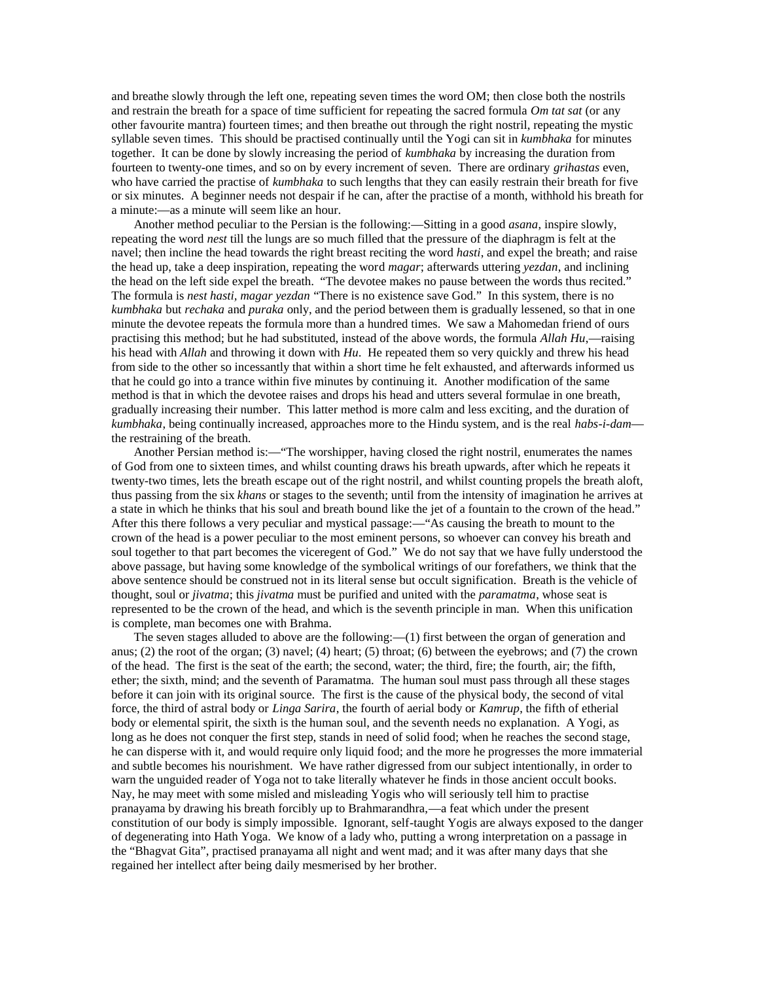and breathe slowly through the left one, repeating seven times the word OM; then close both the nostrils and restrain the breath for a space of time sufficient for repeating the sacred formula *Om tat sat* (or any other favourite mantra) fourteen times; and then breathe out through the right nostril, repeating the mystic syllable seven times. This should be practised continually until the Yogi can sit in *kumbhaka* for minutes together. It can be done by slowly increasing the period of *kumbhaka* by increasing the duration from fourteen to twenty-one times, and so on by every increment of seven. There are ordinary *grihastas* even, who have carried the practise of *kumbhaka* to such lengths that they can easily restrain their breath for five or six minutes. A beginner needs not despair if he can, after the practise of a month, withhold his breath for a minute:—as a minute will seem like an hour.

Another method peculiar to the Persian is the following:—Sitting in a good *asana*, inspire slowly, repeating the word *nest* till the lungs are so much filled that the pressure of the diaphragm is felt at the navel; then incline the head towards the right breast reciting the word *hasti*, and expel the breath; and raise the head up, take a deep inspiration, repeating the word *magar*; afterwards uttering *yezdan*, and inclining the head on the left side expel the breath. "The devotee makes no pause between the words thus recited." The formula is *nest hasti, magar yezdan* "There is no existence save God." In this system, there is no *kumbhaka* but *rechaka* and *puraka* only, and the period between them is gradually lessened, so that in one minute the devotee repeats the formula more than a hundred times. We saw a Mahomedan friend of ours practising this method; but he had substituted, instead of the above words, the formula *Allah Hu*,—raising his head with *Allah* and throwing it down with *Hu*. He repeated them so very quickly and threw his head from side to the other so incessantly that within a short time he felt exhausted, and afterwards informed us that he could go into a trance within five minutes by continuing it. Another modification of the same method is that in which the devotee raises and drops his head and utters several formulae in one breath, gradually increasing their number. This latter method is more calm and less exciting, and the duration of *kumbhaka*, being continually increased, approaches more to the Hindu system, and is the real *habs-i-dam* the restraining of the breath.

Another Persian method is:—"The worshipper, having closed the right nostril, enumerates the names of God from one to sixteen times, and whilst counting draws his breath upwards, after which he repeats it twenty-two times, lets the breath escape out of the right nostril, and whilst counting propels the breath aloft, thus passing from the six *khans* or stages to the seventh; until from the intensity of imagination he arrives at a state in which he thinks that his soul and breath bound like the jet of a fountain to the crown of the head." After this there follows a very peculiar and mystical passage:—"As causing the breath to mount to the crown of the head is a power peculiar to the most eminent persons, so whoever can convey his breath and soul together to that part becomes the viceregent of God." We do not say that we have fully understood the above passage, but having some knowledge of the symbolical writings of our forefathers, we think that the above sentence should be construed not in its literal sense but occult signification. Breath is the vehicle of thought, soul or *jivatma*; this *jivatma* must be purified and united with the *paramatma*, whose seat is represented to be the crown of the head, and which is the seventh principle in man. When this unification is complete, man becomes one with Brahma.

The seven stages alluded to above are the following:—(1) first between the organ of generation and anus; (2) the root of the organ; (3) navel; (4) heart; (5) throat; (6) between the eyebrows; and (7) the crown of the head. The first is the seat of the earth; the second, water; the third, fire; the fourth, air; the fifth, ether; the sixth, mind; and the seventh of Paramatma. The human soul must pass through all these stages before it can join with its original source. The first is the cause of the physical body, the second of vital force, the third of astral body or *Linga Sarira*, the fourth of aerial body or *Kamrup*, the fifth of etherial body or elemental spirit, the sixth is the human soul, and the seventh needs no explanation. A Yogi, as long as he does not conquer the first step, stands in need of solid food; when he reaches the second stage, he can disperse with it, and would require only liquid food; and the more he progresses the more immaterial and subtle becomes his nourishment. We have rather digressed from our subject intentionally, in order to warn the unguided reader of Yoga not to take literally whatever he finds in those ancient occult books. Nay, he may meet with some misled and misleading Yogis who will seriously tell him to practise pranayama by drawing his breath forcibly up to Brahmarandhra,—a feat which under the present constitution of our body is simply impossible. Ignorant, self-taught Yogis are always exposed to the danger of degenerating into Hath Yoga. We know of a lady who, putting a wrong interpretation on a passage in the "Bhagvat Gita", practised pranayama all night and went mad; and it was after many days that she regained her intellect after being daily mesmerised by her brother.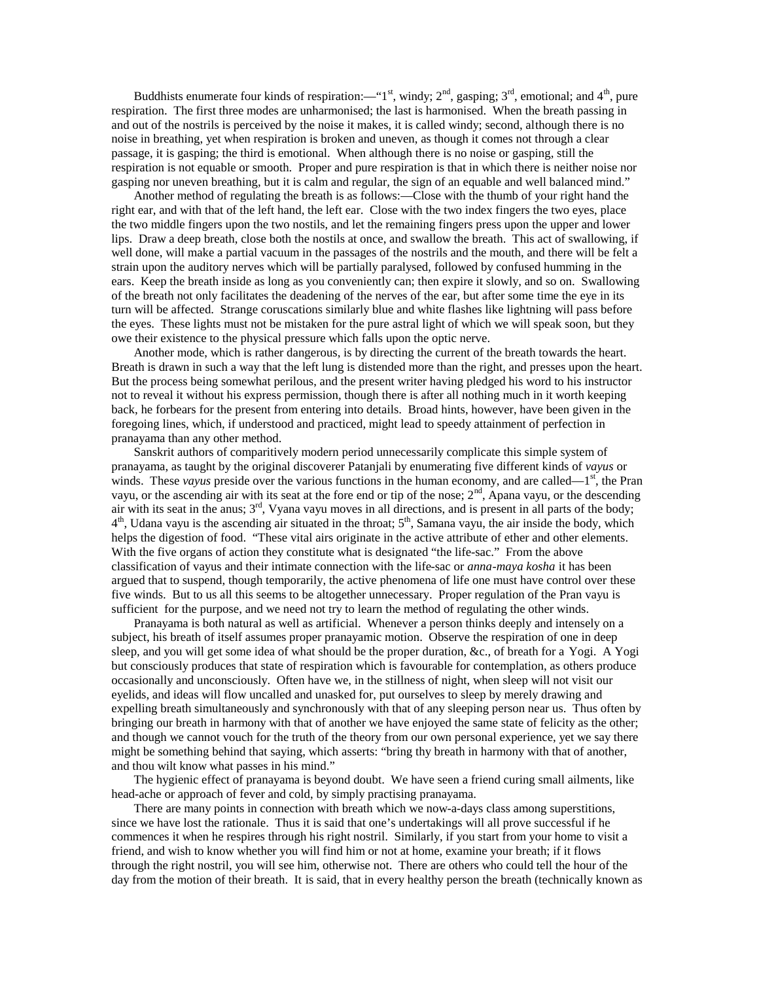Buddhists enumerate four kinds of respiration:—"1<sup>st</sup>, windy;  $2^{nd}$ , gasping;  $3^{rd}$ , emotional; and  $4^{th}$ , pure respiration. The first three modes are unharmonised; the last is harmonised. When the breath passing in and out of the nostrils is perceived by the noise it makes, it is called windy; second, although there is no noise in breathing, yet when respiration is broken and uneven, as though it comes not through a clear passage, it is gasping; the third is emotional. When although there is no noise or gasping, still the respiration is not equable or smooth. Proper and pure respiration is that in which there is neither noise nor gasping nor uneven breathing, but it is calm and regular, the sign of an equable and well balanced mind."

Another method of regulating the breath is as follows:—Close with the thumb of your right hand the right ear, and with that of the left hand, the left ear. Close with the two index fingers the two eyes, place the two middle fingers upon the two nostils, and let the remaining fingers press upon the upper and lower lips. Draw a deep breath, close both the nostils at once, and swallow the breath. This act of swallowing, if well done, will make a partial vacuum in the passages of the nostrils and the mouth, and there will be felt a strain upon the auditory nerves which will be partially paralysed, followed by confused humming in the ears. Keep the breath inside as long as you conveniently can; then expire it slowly, and so on. Swallowing of the breath not only facilitates the deadening of the nerves of the ear, but after some time the eye in its turn will be affected. Strange coruscations similarly blue and white flashes like lightning will pass before the eyes. These lights must not be mistaken for the pure astral light of which we will speak soon, but they owe their existence to the physical pressure which falls upon the optic nerve.

Another mode, which is rather dangerous, is by directing the current of the breath towards the heart. Breath is drawn in such a way that the left lung is distended more than the right, and presses upon the heart. But the process being somewhat perilous, and the present writer having pledged his word to his instructor not to reveal it without his express permission, though there is after all nothing much in it worth keeping back, he forbears for the present from entering into details. Broad hints, however, have been given in the foregoing lines, which, if understood and practiced, might lead to speedy attainment of perfection in pranayama than any other method.

Sanskrit authors of comparitively modern period unnecessarily complicate this simple system of pranayama, as taught by the original discoverer Patanjali by enumerating five different kinds of *vayus* or winds. These *vayus* preside over the various functions in the human economy, and are called—1<sup>st</sup>, the Pran vayu, or the ascending air with its seat at the fore end or tip of the nose;  $2<sup>nd</sup>$ , Apana vayu, or the descending air with its seat in the anus; 3<sup>rd</sup>, Vyana vayu moves in all directions, and is present in all parts of the body; 4<sup>th</sup>, Udana vayu is the ascending air situated in the throat; 5<sup>th</sup>, Samana vayu, the air inside the body, which helps the digestion of food. "These vital airs originate in the active attribute of ether and other elements. With the five organs of action they constitute what is designated "the life-sac." From the above classification of vayus and their intimate connection with the life-sac or *anna-maya kosha* it has been argued that to suspend, though temporarily, the active phenomena of life one must have control over these five winds. But to us all this seems to be altogether unnecessary. Proper regulation of the Pran vayu is sufficient for the purpose, and we need not try to learn the method of regulating the other winds.

Pranayama is both natural as well as artificial. Whenever a person thinks deeply and intensely on a subject, his breath of itself assumes proper pranayamic motion. Observe the respiration of one in deep sleep, and you will get some idea of what should be the proper duration, &c., of breath for a Yogi. A Yogi but consciously produces that state of respiration which is favourable for contemplation, as others produce occasionally and unconsciously. Often have we, in the stillness of night, when sleep will not visit our eyelids, and ideas will flow uncalled and unasked for, put ourselves to sleep by merely drawing and expelling breath simultaneously and synchronously with that of any sleeping person near us. Thus often by bringing our breath in harmony with that of another we have enjoyed the same state of felicity as the other; and though we cannot vouch for the truth of the theory from our own personal experience, yet we say there might be something behind that saying, which asserts: "bring thy breath in harmony with that of another, and thou wilt know what passes in his mind."

The hygienic effect of pranayama is beyond doubt. We have seen a friend curing small ailments, like head-ache or approach of fever and cold, by simply practising pranayama.

There are many points in connection with breath which we now-a-days class among superstitions, since we have lost the rationale. Thus it is said that one's undertakings will all prove successful if he commences it when he respires through his right nostril. Similarly, if you start from your home to visit a friend, and wish to know whether you will find him or not at home, examine your breath; if it flows through the right nostril, you will see him, otherwise not. There are others who could tell the hour of the day from the motion of their breath. It is said, that in every healthy person the breath (technically known as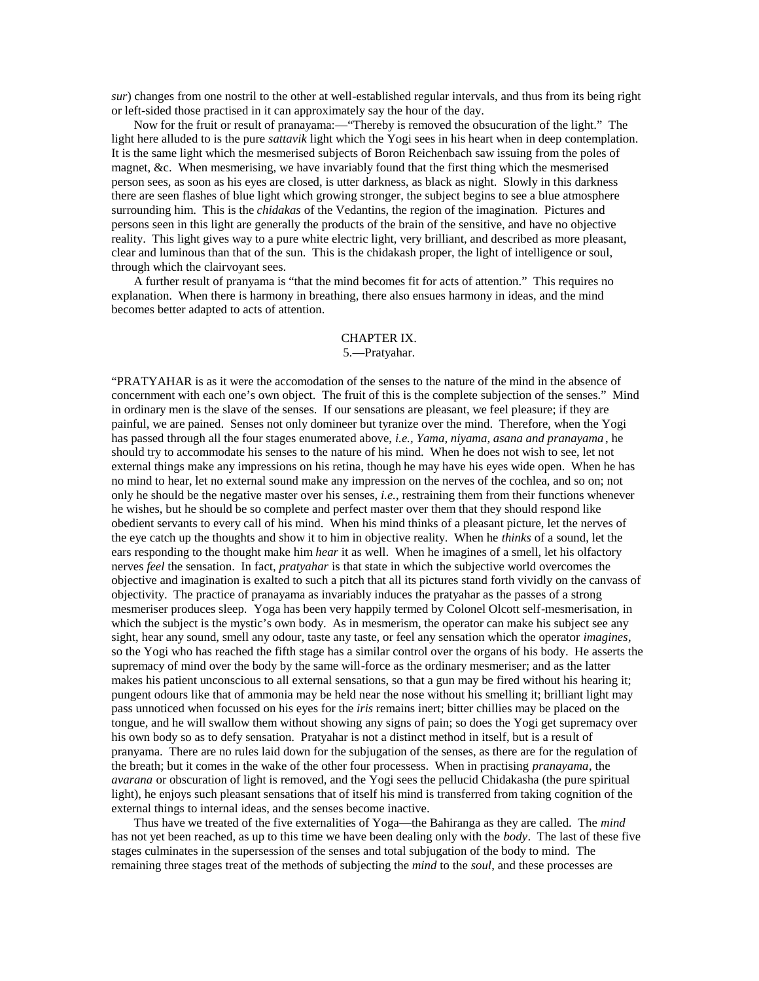*sur*) changes from one nostril to the other at well-established regular intervals, and thus from its being right or left-sided those practised in it can approximately say the hour of the day.

Now for the fruit or result of pranayama:—"Thereby is removed the obsucuration of the light." The light here alluded to is the pure *sattavik* light which the Yogi sees in his heart when in deep contemplation. It is the same light which the mesmerised subjects of Boron Reichenbach saw issuing from the poles of magnet, &c. When mesmerising, we have invariably found that the first thing which the mesmerised person sees, as soon as his eyes are closed, is utter darkness, as black as night. Slowly in this darkness there are seen flashes of blue light which growing stronger, the subject begins to see a blue atmosphere surrounding him. This is the *chidakas* of the Vedantins, the region of the imagination. Pictures and persons seen in this light are generally the products of the brain of the sensitive, and have no objective reality. This light gives way to a pure white electric light, very brilliant, and described as more pleasant, clear and luminous than that of the sun. This is the chidakash proper, the light of intelligence or soul, through which the clairvoyant sees.

A further result of pranyama is "that the mind becomes fit for acts of attention." This requires no explanation. When there is harmony in breathing, there also ensues harmony in ideas, and the mind becomes better adapted to acts of attention.

# CHAPTER IX.

## 5.—Pratyahar.

"PRATYAHAR is as it were the accomodation of the senses to the nature of the mind in the absence of concernment with each one's own object. The fruit of this is the complete subjection of the senses." Mind in ordinary men is the slave of the senses. If our sensations are pleasant, we feel pleasure; if they are painful, we are pained. Senses not only domineer but tyranize over the mind. Therefore, when the Yogi has passed through all the four stages enumerated above, *i.e., Yama, niyama, asana and pranayama* , he should try to accommodate his senses to the nature of his mind. When he does not wish to see, let not external things make any impressions on his retina, though he may have his eyes wide open. When he has no mind to hear, let no external sound make any impression on the nerves of the cochlea, and so on; not only he should be the negative master over his senses, *i.e.*, restraining them from their functions whenever he wishes, but he should be so complete and perfect master over them that they should respond like obedient servants to every call of his mind. When his mind thinks of a pleasant picture, let the nerves of the eye catch up the thoughts and show it to him in objective reality. When he *thinks* of a sound, let the ears responding to the thought make him *hear* it as well. When he imagines of a smell, let his olfactory nerves *feel* the sensation. In fact, *pratyahar* is that state in which the subjective world overcomes the objective and imagination is exalted to such a pitch that all its pictures stand forth vividly on the canvass of objectivity. The practice of pranayama as invariably induces the pratyahar as the passes of a strong mesmeriser produces sleep. Yoga has been very happily termed by Colonel Olcott self-mesmerisation, in which the subject is the mystic's own body. As in mesmerism, the operator can make his subject see any sight, hear any sound, smell any odour, taste any taste, or feel any sensation which the operator *imagines*, so the Yogi who has reached the fifth stage has a similar control over the organs of his body. He asserts the supremacy of mind over the body by the same will-force as the ordinary mesmeriser; and as the latter makes his patient unconscious to all external sensations, so that a gun may be fired without his hearing it; pungent odours like that of ammonia may be held near the nose without his smelling it; brilliant light may pass unnoticed when focussed on his eyes for the *iris* remains inert; bitter chillies may be placed on the tongue, and he will swallow them without showing any signs of pain; so does the Yogi get supremacy over his own body so as to defy sensation. Pratyahar is not a distinct method in itself, but is a result of pranyama. There are no rules laid down for the subjugation of the senses, as there are for the regulation of the breath; but it comes in the wake of the other four processess. When in practising *pranayama*, the *avarana* or obscuration of light is removed, and the Yogi sees the pellucid Chidakasha (the pure spiritual light), he enjoys such pleasant sensations that of itself his mind is transferred from taking cognition of the external things to internal ideas, and the senses become inactive.

Thus have we treated of the five externalities of Yoga—the Bahiranga as they are called. The *mind* has not yet been reached, as up to this time we have been dealing only with the *body*. The last of these five stages culminates in the supersession of the senses and total subjugation of the body to mind. The remaining three stages treat of the methods of subjecting the *mind* to the *soul*, and these processes are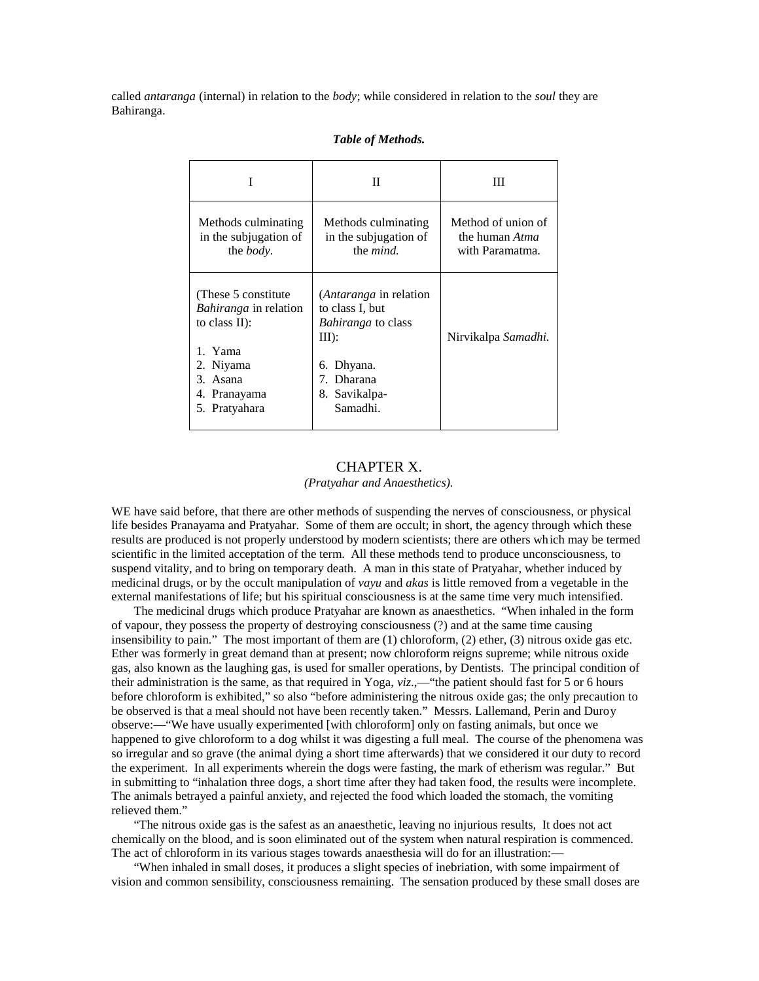called *antaranga* (internal) in relation to the *body*; while considered in relation to the *soul* they are Bahiranga.

|                                                                                                                                              | П                                                                                                                                          | Ш                                                              |
|----------------------------------------------------------------------------------------------------------------------------------------------|--------------------------------------------------------------------------------------------------------------------------------------------|----------------------------------------------------------------|
| Methods culminating<br>in the subjugation of<br>the <i>body</i> .                                                                            | Methods culminating<br>in the subjugation of<br>the <i>mind</i> .                                                                          | Method of union of<br>the human <i>Atma</i><br>with Paramatma. |
| (These 5 constitute)<br><i>Bahiranga</i> in relation<br>to class $II$ :<br>1. Yama<br>2. Niyama<br>3. Asana<br>4. Pranayama<br>5. Pratyahara | (Antaranga in relation<br>to class I, but<br><i>Bahiranga</i> to class<br>$III$ :<br>6. Dhyana.<br>7. Dharana<br>8. Savikalpa-<br>Samadhi. | Nirvikalpa Samadhi.                                            |

## *Table of Methods.*

# CHAPTER X. *(Pratyahar and Anaesthetics).*

WE have said before, that there are other methods of suspending the nerves of consciousness, or physical life besides Pranayama and Pratyahar. Some of them are occult; in short, the agency through which these results are produced is not properly understood by modern scientists; there are others which may be termed scientific in the limited acceptation of the term. All these methods tend to produce unconsciousness, to suspend vitality, and to bring on temporary death. A man in this state of Pratyahar, whether induced by medicinal drugs, or by the occult manipulation of *vayu* and *akas* is little removed from a vegetable in the external manifestations of life; but his spiritual consciousness is at the same time very much intensified.

The medicinal drugs which produce Pratyahar are known as anaesthetics. "When inhaled in the form of vapour, they possess the property of destroying consciousness (?) and at the same time causing insensibility to pain." The most important of them are (1) chloroform, (2) ether, (3) nitrous oxide gas etc. Ether was formerly in great demand than at present; now chloroform reigns supreme; while nitrous oxide gas, also known as the laughing gas, is used for smaller operations, by Dentists. The principal condition of their administration is the same, as that required in Yoga, *viz*.,—"the patient should fast for 5 or 6 hours before chloroform is exhibited," so also "before administering the nitrous oxide gas; the only precaution to be observed is that a meal should not have been recently taken." Messrs. Lallemand, Perin and Duroy observe:—"We have usually experimented [with chloroform] only on fasting animals, but once we happened to give chloroform to a dog whilst it was digesting a full meal. The course of the phenomena was so irregular and so grave (the animal dying a short time afterwards) that we considered it our duty to record the experiment. In all experiments wherein the dogs were fasting, the mark of etherism was regular." But in submitting to "inhalation three dogs, a short time after they had taken food, the results were incomplete. The animals betrayed a painful anxiety, and rejected the food which loaded the stomach, the vomiting relieved them."

"The nitrous oxide gas is the safest as an anaesthetic, leaving no injurious results, It does not act chemically on the blood, and is soon eliminated out of the system when natural respiration is commenced. The act of chloroform in its various stages towards anaesthesia will do for an illustration:—

"When inhaled in small doses, it produces a slight species of inebriation, with some impairment of vision and common sensibility, consciousness remaining. The sensation produced by these small doses are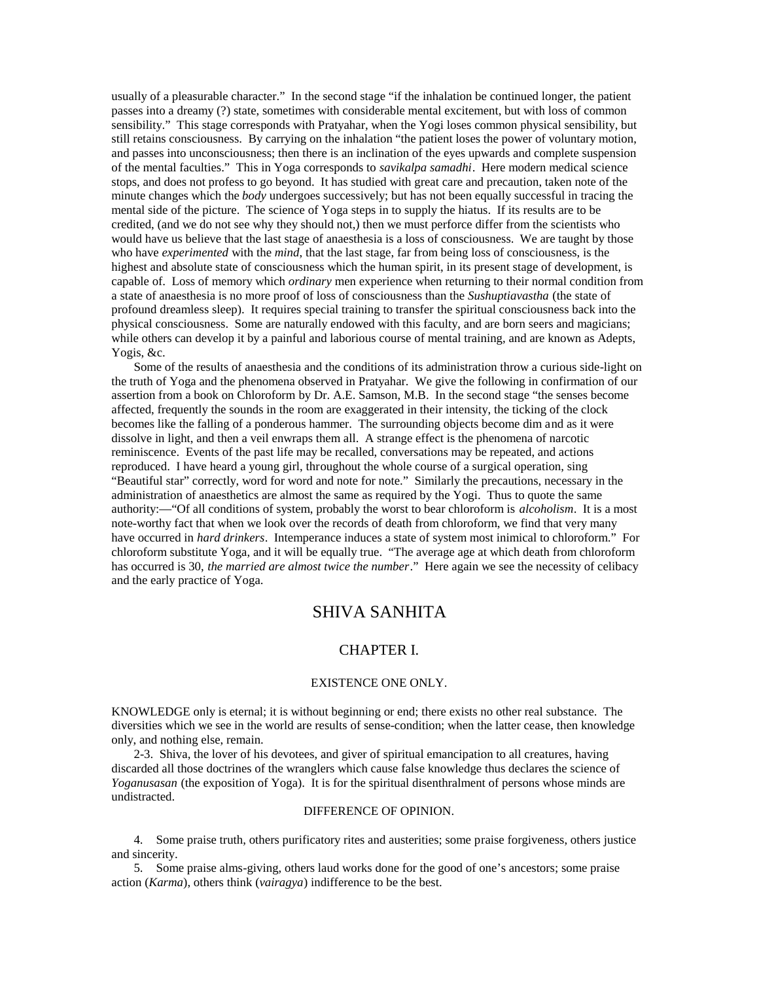usually of a pleasurable character." In the second stage "if the inhalation be continued longer, the patient passes into a dreamy (?) state, sometimes with considerable mental excitement, but with loss of common sensibility." This stage corresponds with Pratyahar, when the Yogi loses common physical sensibility, but still retains consciousness. By carrying on the inhalation "the patient loses the power of voluntary motion, and passes into unconsciousness; then there is an inclination of the eyes upwards and complete suspension of the mental faculties." This in Yoga corresponds to *savikalpa samadhi*. Here modern medical science stops, and does not profess to go beyond. It has studied with great care and precaution, taken note of the minute changes which the *body* undergoes successively; but has not been equally successful in tracing the mental side of the picture. The science of Yoga steps in to supply the hiatus. If its results are to be credited, (and we do not see why they should not,) then we must perforce differ from the scientists who would have us believe that the last stage of anaesthesia is a loss of consciousness. We are taught by those who have *experimented* with the *mind*, that the last stage, far from being loss of consciousness, is the highest and absolute state of consciousness which the human spirit, in its present stage of development, is capable of. Loss of memory which *ordinary* men experience when returning to their normal condition from a state of anaesthesia is no more proof of loss of consciousness than the *Sushuptiavastha* (the state of profound dreamless sleep). It requires special training to transfer the spiritual consciousness back into the physical consciousness. Some are naturally endowed with this faculty, and are born seers and magicians; while others can develop it by a painful and laborious course of mental training, and are known as Adepts, Yogis, &c.

Some of the results of anaesthesia and the conditions of its administration throw a curious side-light on the truth of Yoga and the phenomena observed in Pratyahar. We give the following in confirmation of our assertion from a book on Chloroform by Dr. A.E. Samson, M.B. In the second stage "the senses become affected, frequently the sounds in the room are exaggerated in their intensity, the ticking of the clock becomes like the falling of a ponderous hammer. The surrounding objects become dim and as it were dissolve in light, and then a veil enwraps them all. A strange effect is the phenomena of narcotic reminiscence. Events of the past life may be recalled, conversations may be repeated, and actions reproduced. I have heard a young girl, throughout the whole course of a surgical operation, sing "Beautiful star" correctly, word for word and note for note." Similarly the precautions, necessary in the administration of anaesthetics are almost the same as required by the Yogi. Thus to quote the same authority:—"Of all conditions of system, probably the worst to bear chloroform is *alcoholism*. It is a most note-worthy fact that when we look over the records of death from chloroform, we find that very many have occurred in *hard drinkers*. Intemperance induces a state of system most inimical to chloroform." For chloroform substitute Yoga, and it will be equally true. "The average age at which death from chloroform has occurred is 30, *the married are almost twice the number*." Here again we see the necessity of celibacy and the early practice of Yoga.

# SHIVA SANHITA

# CHAPTER I.

#### EXISTENCE ONE ONLY.

KNOWLEDGE only is eternal; it is without beginning or end; there exists no other real substance. The diversities which we see in the world are results of sense-condition; when the latter cease, then knowledge only, and nothing else, remain.

2-3. Shiva, the lover of his devotees, and giver of spiritual emancipation to all creatures, having discarded all those doctrines of the wranglers which cause false knowledge thus declares the science of *Yoganusasan* (the exposition of Yoga). It is for the spiritual disenthralment of persons whose minds are undistracted.

## DIFFERENCE OF OPINION.

4. Some praise truth, others purificatory rites and austerities; some praise forgiveness, others justice and sincerity.

5. Some praise alms-giving, others laud works done for the good of one's ancestors; some praise action (*Karma*), others think (*vairagya*) indifference to be the best.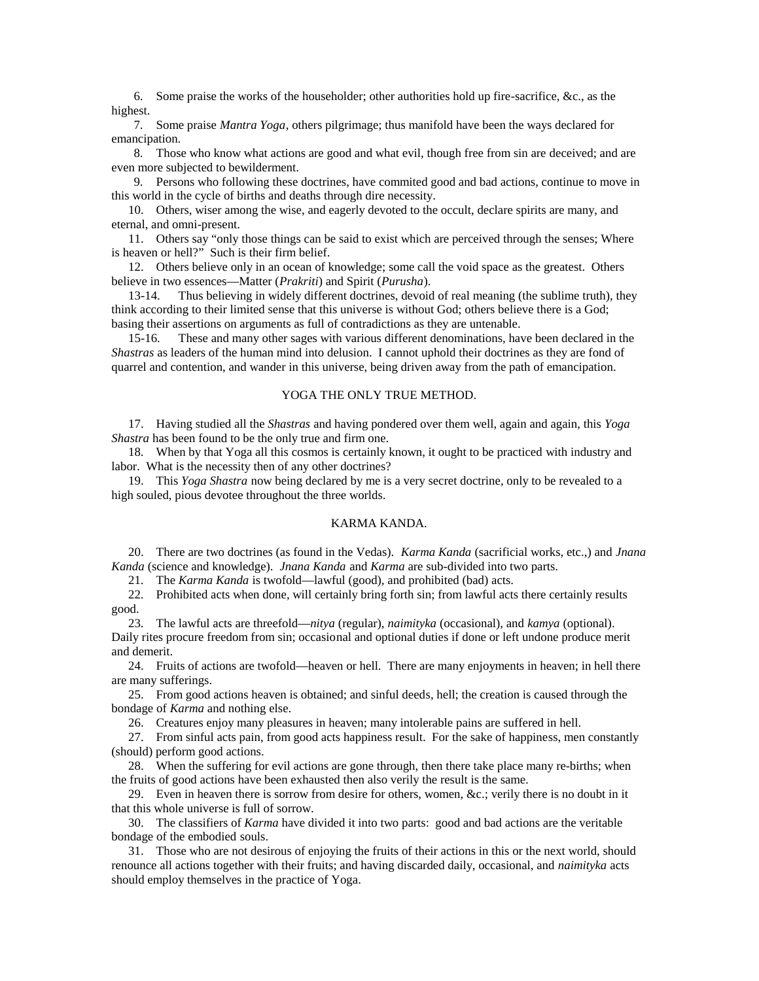6. Some praise the works of the householder; other authorities hold up fire-sacrifice, &c., as the highest.

7. Some praise *Mantra Yoga*, others pilgrimage; thus manifold have been the ways declared for emancipation.

8. Those who know what actions are good and what evil, though free from sin are deceived; and are even more subjected to bewilderment.

9. Persons who following these doctrines, have commited good and bad actions, continue to move in this world in the cycle of births and deaths through dire necessity.

10. Others, wiser among the wise, and eagerly devoted to the occult, declare spirits are many, and eternal, and omni-present.

11. Others say "only those things can be said to exist which are perceived through the senses; Where is heaven or hell?" Such is their firm belief.

12. Others believe only in an ocean of knowledge; some call the void space as the greatest. Others believe in two essences—Matter (*Prakriti*) and Spirit (*Purusha*).

13-14. Thus believing in widely different doctrines, devoid of real meaning (the sublime truth), they think according to their limited sense that this universe is without God; others believe there is a God; basing their assertions on arguments as full of contradictions as they are untenable.

15-16. These and many other sages with various different denominations, have been declared in the *Shastras* as leaders of the human mind into delusion. I cannot uphold their doctrines as they are fond of quarrel and contention, and wander in this universe, being driven away from the path of emancipation.

# YOGA THE ONLY TRUE METHOD.

17. Having studied all the *Shastras* and having pondered over them well, again and again, this *Yoga Shastra* has been found to be the only true and firm one.

18. When by that Yoga all this cosmos is certainly known, it ought to be practiced with industry and labor. What is the necessity then of any other doctrines?

19. This *Yoga Shastra* now being declared by me is a very secret doctrine, only to be revealed to a high souled, pious devotee throughout the three worlds.

# KARMA KANDA.

20. There are two doctrines (as found in the Vedas). *Karma Kanda* (sacrificial works, etc.,) and *Jnana Kanda* (science and knowledge). *Jnana Kanda* and *Karma* are sub-divided into two parts.

21. The *Karma Kanda* is twofold—lawful (good), and prohibited (bad) acts.

22. Prohibited acts when done, will certainly bring forth sin; from lawful acts there certainly results good.

23. The lawful acts are threefold—*nitya* (regular), *naimityka* (occasional), and *kamya* (optional). Daily rites procure freedom from sin; occasional and optional duties if done or left undone produce merit and demerit.

24. Fruits of actions are twofold—heaven or hell. There are many enjoyments in heaven; in hell there are many sufferings.

25. From good actions heaven is obtained; and sinful deeds, hell; the creation is caused through the bondage of *Karma* and nothing else.

26. Creatures enjoy many pleasures in heaven; many intolerable pains are suffered in hell.

27. From sinful acts pain, from good acts happiness result. For the sake of happiness, men constantly (should) perform good actions.

28. When the suffering for evil actions are gone through, then there take place many re-births; when the fruits of good actions have been exhausted then also verily the result is the same.

29. Even in heaven there is sorrow from desire for others, women, &c.; verily there is no doubt in it that this whole universe is full of sorrow.

30. The classifiers of *Karma* have divided it into two parts: good and bad actions are the veritable bondage of the embodied souls.

31. Those who are not desirous of enjoying the fruits of their actions in this or the next world, should renounce all actions together with their fruits; and having discarded daily, occasional, and *naimityka* acts should employ themselves in the practice of Yoga.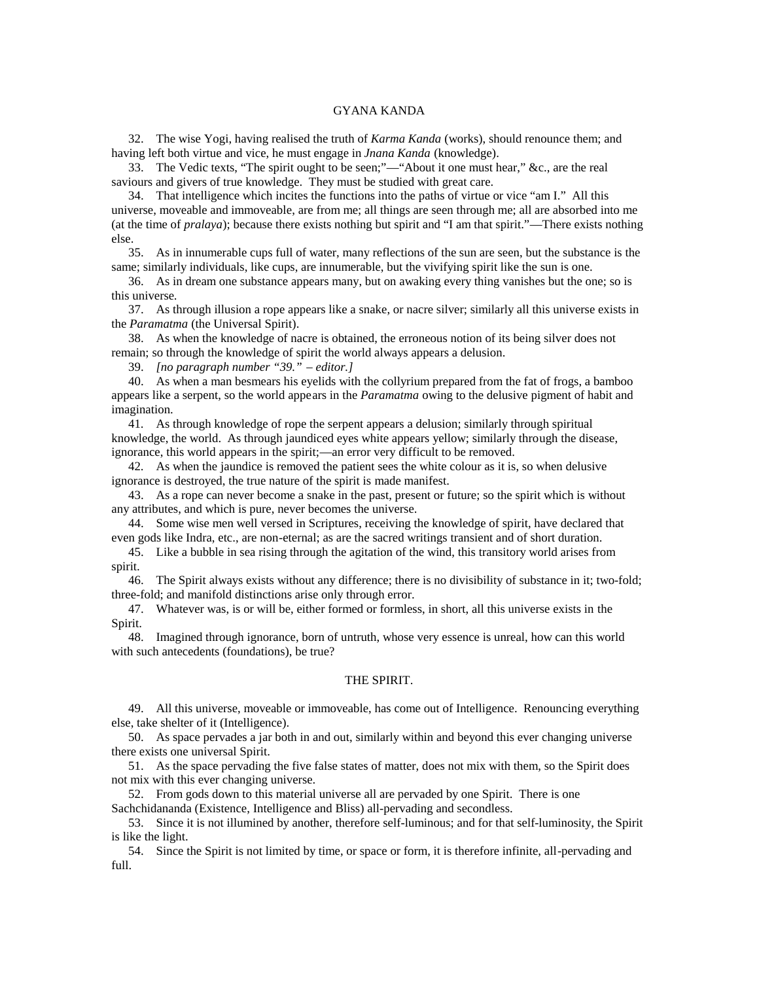## GYANA KANDA

32. The wise Yogi, having realised the truth of *Karma Kanda* (works), should renounce them; and having left both virtue and vice, he must engage in *Jnana Kanda* (knowledge).

33. The Vedic texts, "The spirit ought to be seen;"—"About it one must hear," &c., are the real saviours and givers of true knowledge. They must be studied with great care.

34. That intelligence which incites the functions into the paths of virtue or vice "am I." All this universe, moveable and immoveable, are from me; all things are seen through me; all are absorbed into me (at the time of *pralaya*); because there exists nothing but spirit and "I am that spirit."—There exists nothing else.

35. As in innumerable cups full of water, many reflections of the sun are seen, but the substance is the same; similarly individuals, like cups, are innumerable, but the vivifying spirit like the sun is one.

36. As in dream one substance appears many, but on awaking every thing vanishes but the one; so is this universe.

37. As through illusion a rope appears like a snake, or nacre silver; similarly all this universe exists in the *Paramatma* (the Universal Spirit).

38. As when the knowledge of nacre is obtained, the erroneous notion of its being silver does not remain; so through the knowledge of spirit the world always appears a delusion.

39. *[no paragraph number "39." – editor.]*

40. As when a man besmears his eyelids with the collyrium prepared from the fat of frogs, a bamboo appears like a serpent, so the world appears in the *Paramatma* owing to the delusive pigment of habit and imagination.

41. As through knowledge of rope the serpent appears a delusion; similarly through spiritual knowledge, the world. As through jaundiced eyes white appears yellow; similarly through the disease, ignorance, this world appears in the spirit;—an error very difficult to be removed.

42. As when the jaundice is removed the patient sees the white colour as it is, so when delusive ignorance is destroyed, the true nature of the spirit is made manifest.

43. As a rope can never become a snake in the past, present or future; so the spirit which is without any attributes, and which is pure, never becomes the universe.

44. Some wise men well versed in Scriptures, receiving the knowledge of spirit, have declared that even gods like Indra, etc., are non-eternal; as are the sacred writings transient and of short duration.

45. Like a bubble in sea rising through the agitation of the wind, this transitory world arises from spirit.

46. The Spirit always exists without any difference; there is no divisibility of substance in it; two-fold; three-fold; and manifold distinctions arise only through error.

47. Whatever was, is or will be, either formed or formless, in short, all this universe exists in the Spirit.

48. Imagined through ignorance, born of untruth, whose very essence is unreal, how can this world with such antecedents (foundations), be true?

# THE SPIRIT.

49. All this universe, moveable or immoveable, has come out of Intelligence. Renouncing everything else, take shelter of it (Intelligence).

50. As space pervades a jar both in and out, similarly within and beyond this ever changing universe there exists one universal Spirit.

51. As the space pervading the five false states of matter, does not mix with them, so the Spirit does not mix with this ever changing universe.

52. From gods down to this material universe all are pervaded by one Spirit. There is one Sachchidananda (Existence, Intelligence and Bliss) all-pervading and secondless.

53. Since it is not illumined by another, therefore self-luminous; and for that self-luminosity, the Spirit is like the light.

54. Since the Spirit is not limited by time, or space or form, it is therefore infinite, all-pervading and full.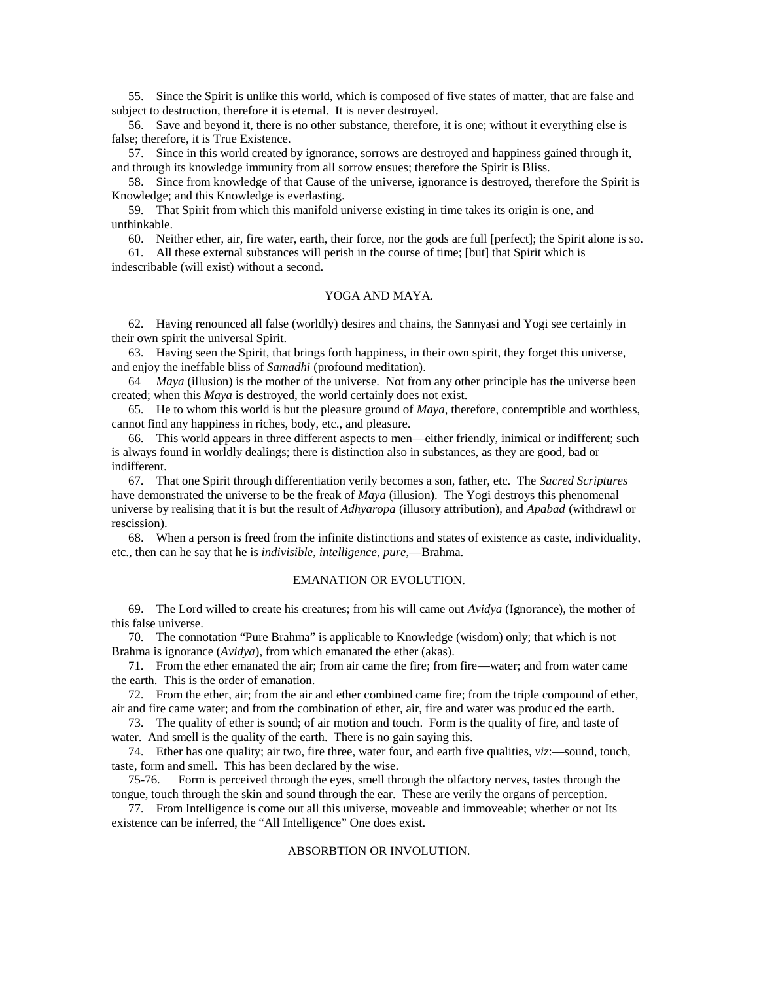55. Since the Spirit is unlike this world, which is composed of five states of matter, that are false and subject to destruction, therefore it is eternal. It is never destroyed.

56. Save and beyond it, there is no other substance, therefore, it is one; without it everything else is false; therefore, it is True Existence.

57. Since in this world created by ignorance, sorrows are destroyed and happiness gained through it, and through its knowledge immunity from all sorrow ensues; therefore the Spirit is Bliss.

58. Since from knowledge of that Cause of the universe, ignorance is destroyed, therefore the Spirit is Knowledge; and this Knowledge is everlasting.

59. That Spirit from which this manifold universe existing in time takes its origin is one, and unthinkable.

60. Neither ether, air, fire water, earth, their force, nor the gods are full [perfect]; the Spirit alone is so.

61. All these external substances will perish in the course of time; [but] that Spirit which is indescribable (will exist) without a second.

# YOGA AND MAYA.

62. Having renounced all false (worldly) desires and chains, the Sannyasi and Yogi see certainly in their own spirit the universal Spirit.

63. Having seen the Spirit, that brings forth happiness, in their own spirit, they forget this universe, and enjoy the ineffable bliss of *Samadhi* (profound meditation).

64 *Maya* (illusion) is the mother of the universe. Not from any other principle has the universe been created; when this *Maya* is destroyed, the world certainly does not exist.

65. He to whom this world is but the pleasure ground of *Maya*, therefore, contemptible and worthless, cannot find any happiness in riches, body, etc., and pleasure.

66. This world appears in three different aspects to men—either friendly, inimical or indifferent; such is always found in worldly dealings; there is distinction also in substances, as they are good, bad or indifferent.

67. That one Spirit through differentiation verily becomes a son, father, etc. The *Sacred Scriptures* have demonstrated the universe to be the freak of *Maya* (illusion). The Yogi destroys this phenomenal universe by realising that it is but the result of *Adhyaropa* (illusory attribution), and *Apabad* (withdrawl or rescission).

68. When a person is freed from the infinite distinctions and states of existence as caste, individuality, etc., then can he say that he is *indivisible*, *intelligence*, *pure*,—Brahma.

# EMANATION OR EVOLUTION.

69. The Lord willed to create his creatures; from his will came out *Avidya* (Ignorance), the mother of this false universe.

70. The connotation "Pure Brahma" is applicable to Knowledge (wisdom) only; that which is not Brahma is ignorance (*Avidya*), from which emanated the ether (akas).

71. From the ether emanated the air; from air came the fire; from fire—water; and from water came the earth. This is the order of emanation.

72. From the ether, air; from the air and ether combined came fire; from the triple compound of ether, air and fire came water; and from the combination of ether, air, fire and water was produced the earth.

73. The quality of ether is sound; of air motion and touch. Form is the quality of fire, and taste of water. And smell is the quality of the earth. There is no gain saying this.

74. Ether has one quality; air two, fire three, water four, and earth five qualities, *viz*:—sound, touch, taste, form and smell. This has been declared by the wise.

75-76. Form is perceived through the eyes, smell through the olfactory nerves, tastes through the tongue, touch through the skin and sound through the ear. These are verily the organs of perception.

77. From Intelligence is come out all this universe, moveable and immoveable; whether or not Its existence can be inferred, the "All Intelligence" One does exist.

# ABSORBTION OR INVOLUTION.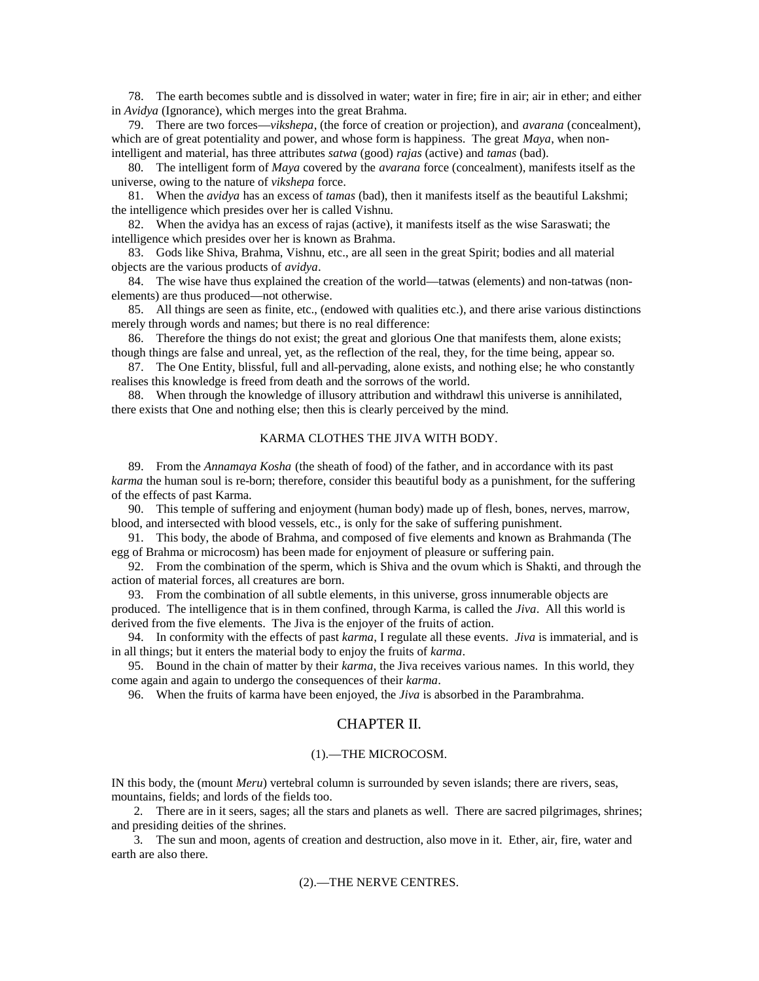78. The earth becomes subtle and is dissolved in water; water in fire; fire in air; air in ether; and either in *Avidya* (Ignorance), which merges into the great Brahma.

79. There are two forces—*vikshepa*, (the force of creation or projection), and *avarana* (concealment), which are of great potentiality and power, and whose form is happiness. The great *Maya*, when nonintelligent and material, has three attributes *satwa* (good) *rajas* (active) and *tamas* (bad).

80. The intelligent form of *Maya* covered by the *avarana* force (concealment), manifests itself as the universe, owing to the nature of *vikshepa* force.

81. When the *avidya* has an excess of *tamas* (bad), then it manifests itself as the beautiful Lakshmi; the intelligence which presides over her is called Vishnu.

82. When the avidya has an excess of rajas (active), it manifests itself as the wise Saraswati; the intelligence which presides over her is known as Brahma.

83. Gods like Shiva, Brahma, Vishnu, etc., are all seen in the great Spirit; bodies and all material objects are the various products of *avidya*.

84. The wise have thus explained the creation of the world—tatwas (elements) and non-tatwas (nonelements) are thus produced—not otherwise.

85. All things are seen as finite, etc., (endowed with qualities etc.), and there arise various distinctions merely through words and names; but there is no real difference:

86. Therefore the things do not exist; the great and glorious One that manifests them, alone exists; though things are false and unreal, yet, as the reflection of the real, they, for the time being, appear so.

87. The One Entity, blissful, full and all-pervading, alone exists, and nothing else; he who constantly realises this knowledge is freed from death and the sorrows of the world.

88. When through the knowledge of illusory attribution and withdrawl this universe is annihilated, there exists that One and nothing else; then this is clearly perceived by the mind.

#### KARMA CLOTHES THE JIVA WITH BODY.

89. From the *Annamaya Kosha* (the sheath of food) of the father, and in accordance with its past *karma* the human soul is re-born; therefore, consider this beautiful body as a punishment, for the suffering of the effects of past Karma.

90. This temple of suffering and enjoyment (human body) made up of flesh, bones, nerves, marrow, blood, and intersected with blood vessels, etc., is only for the sake of suffering punishment.

91. This body, the abode of Brahma, and composed of five elements and known as Brahmanda (The egg of Brahma or microcosm) has been made for enjoyment of pleasure or suffering pain.

92. From the combination of the sperm, which is Shiva and the ovum which is Shakti, and through the action of material forces, all creatures are born.

93. From the combination of all subtle elements, in this universe, gross innumerable objects are produced. The intelligence that is in them confined, through Karma, is called the *Jiva*. All this world is derived from the five elements. The Jiva is the enjoyer of the fruits of action.

94. In conformity with the effects of past *karma*, I regulate all these events. *Jiva* is immaterial, and is in all things; but it enters the material body to enjoy the fruits of *karma*.

95. Bound in the chain of matter by their *karma*, the Jiva receives various names. In this world, they come again and again to undergo the consequences of their *karma*.

96. When the fruits of karma have been enjoyed, the *Jiva* is absorbed in the Parambrahma.

# CHAPTER II.

#### (1).—THE MICROCOSM.

IN this body, the (mount *Meru*) vertebral column is surrounded by seven islands; there are rivers, seas, mountains, fields; and lords of the fields too.

2. There are in it seers, sages; all the stars and planets as well. There are sacred pilgrimages, shrines; and presiding deities of the shrines.

3. The sun and moon, agents of creation and destruction, also move in it. Ether, air, fire, water and earth are also there.

#### (2).—THE NERVE CENTRES.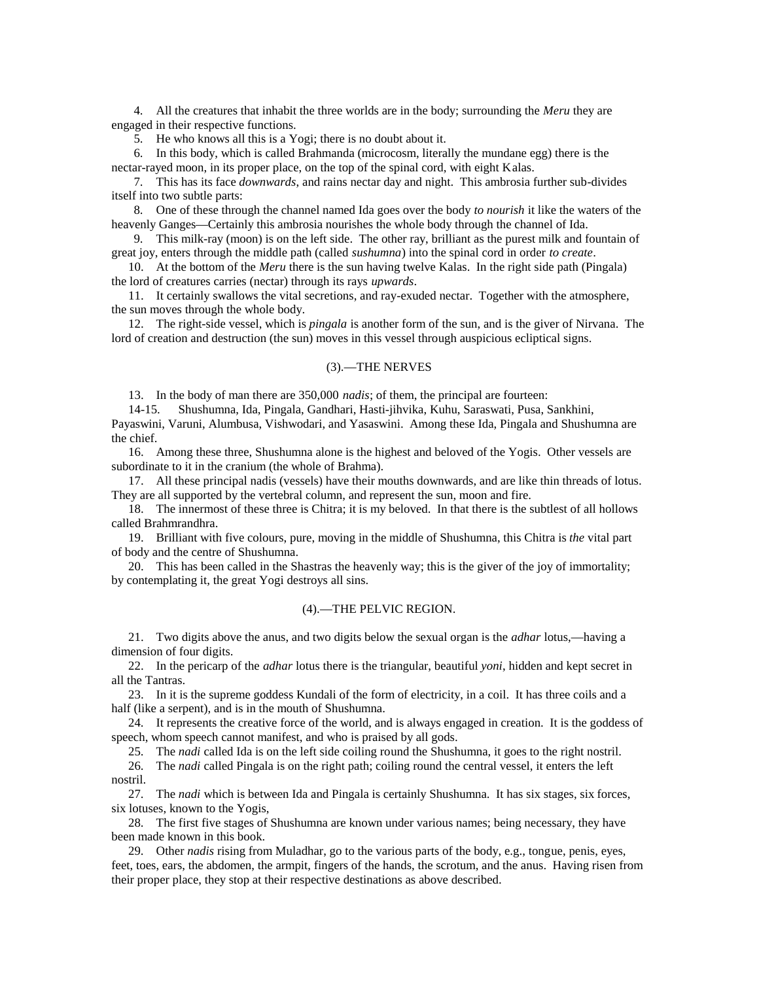4. All the creatures that inhabit the three worlds are in the body; surrounding the *Meru* they are engaged in their respective functions.

5. He who knows all this is a Yogi; there is no doubt about it.

6. In this body, which is called Brahmanda (microcosm, literally the mundane egg) there is the nectar-rayed moon, in its proper place, on the top of the spinal cord, with eight Kalas.

7. This has its face *downwards*, and rains nectar day and night. This ambrosia further sub-divides itself into two subtle parts:

8. One of these through the channel named Ida goes over the body *to nourish* it like the waters of the heavenly Ganges—Certainly this ambrosia nourishes the whole body through the channel of Ida.

9. This milk-ray (moon) is on the left side. The other ray, brilliant as the purest milk and fountain of great joy, enters through the middle path (called *sushumna*) into the spinal cord in order *to create*.

10. At the bottom of the *Meru* there is the sun having twelve Kalas. In the right side path (Pingala) the lord of creatures carries (nectar) through its rays *upwards*.

11. It certainly swallows the vital secretions, and ray-exuded nectar. Together with the atmosphere, the sun moves through the whole body.

12. The right-side vessel, which is *pingala* is another form of the sun, and is the giver of Nirvana. The lord of creation and destruction (the sun) moves in this vessel through auspicious ecliptical signs.

## (3).—THE NERVES

13. In the body of man there are 350,000 *nadis*; of them, the principal are fourteen:

14-15. Shushumna, Ida, Pingala, Gandhari, Hasti-jihvika, Kuhu, Saraswati, Pusa, Sankhini,

Payaswini, Varuni, Alumbusa, Vishwodari, and Yasaswini. Among these Ida, Pingala and Shushumna are the chief.

16. Among these three, Shushumna alone is the highest and beloved of the Yogis. Other vessels are subordinate to it in the cranium (the whole of Brahma).

17. All these principal nadis (vessels) have their mouths downwards, and are like thin threads of lotus. They are all supported by the vertebral column, and represent the sun, moon and fire.

18. The innermost of these three is Chitra; it is my beloved. In that there is the subtlest of all hollows called Brahmrandhra.

19. Brilliant with five colours, pure, moving in the middle of Shushumna, this Chitra is *the* vital part of body and the centre of Shushumna.

20. This has been called in the Shastras the heavenly way; this is the giver of the joy of immortality; by contemplating it, the great Yogi destroys all sins.

## (4).—THE PELVIC REGION.

21. Two digits above the anus, and two digits below the sexual organ is the *adhar* lotus,—having a dimension of four digits.

22. In the pericarp of the *adhar* lotus there is the triangular, beautiful *yoni*, hidden and kept secret in all the Tantras.

23. In it is the supreme goddess Kundali of the form of electricity, in a coil. It has three coils and a half (like a serpent), and is in the mouth of Shushumna.

24. It represents the creative force of the world, and is always engaged in creation. It is the goddess of speech, whom speech cannot manifest, and who is praised by all gods.

25. The *nadi* called Ida is on the left side coiling round the Shushumna, it goes to the right nostril.

26. The *nadi* called Pingala is on the right path; coiling round the central vessel, it enters the left nostril.

27. The *nadi* which is between Ida and Pingala is certainly Shushumna. It has six stages, six forces, six lotuses, known to the Yogis,

28. The first five stages of Shushumna are known under various names; being necessary, they have been made known in this book.

29. Other *nadis* rising from Muladhar, go to the various parts of the body, e.g., tongue, penis, eyes, feet, toes, ears, the abdomen, the armpit, fingers of the hands, the scrotum, and the anus. Having risen from their proper place, they stop at their respective destinations as above described.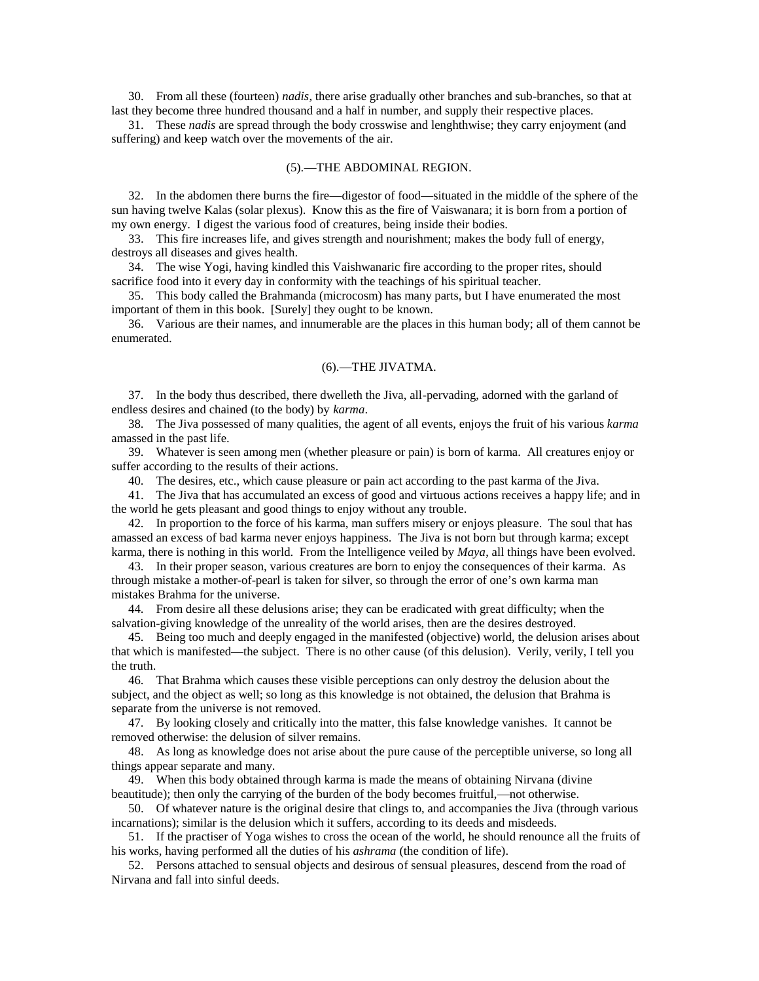30. From all these (fourteen) *nadis*, there arise gradually other branches and sub-branches, so that at last they become three hundred thousand and a half in number, and supply their respective places.

31. These *nadis* are spread through the body crosswise and lenghthwise; they carry enjoyment (and suffering) and keep watch over the movements of the air.

#### (5).—THE ABDOMINAL REGION.

32. In the abdomen there burns the fire—digestor of food—situated in the middle of the sphere of the sun having twelve Kalas (solar plexus). Know this as the fire of Vaiswanara; it is born from a portion of my own energy. I digest the various food of creatures, being inside their bodies.

33. This fire increases life, and gives strength and nourishment; makes the body full of energy, destroys all diseases and gives health.

34. The wise Yogi, having kindled this Vaishwanaric fire according to the proper rites, should sacrifice food into it every day in conformity with the teachings of his spiritual teacher.

35. This body called the Brahmanda (microcosm) has many parts, but I have enumerated the most important of them in this book. [Surely] they ought to be known.

36. Various are their names, and innumerable are the places in this human body; all of them cannot be enumerated.

# (6).—THE JIVATMA.

37. In the body thus described, there dwelleth the Jiva, all-pervading, adorned with the garland of endless desires and chained (to the body) by *karma*.

38. The Jiva possessed of many qualities, the agent of all events, enjoys the fruit of his various *karma* amassed in the past life.

39. Whatever is seen among men (whether pleasure or pain) is born of karma. All creatures enjoy or suffer according to the results of their actions.

40. The desires, etc., which cause pleasure or pain act according to the past karma of the Jiva.

41. The Jiva that has accumulated an excess of good and virtuous actions receives a happy life; and in the world he gets pleasant and good things to enjoy without any trouble.

42. In proportion to the force of his karma, man suffers misery or enjoys pleasure. The soul that has amassed an excess of bad karma never enjoys happiness. The Jiva is not born but through karma; except karma, there is nothing in this world. From the Intelligence veiled by *Maya*, all things have been evolved.

43. In their proper season, various creatures are born to enjoy the consequences of their karma. As through mistake a mother-of-pearl is taken for silver, so through the error of one's own karma man mistakes Brahma for the universe.

44. From desire all these delusions arise; they can be eradicated with great difficulty; when the salvation-giving knowledge of the unreality of the world arises, then are the desires destroyed.

45. Being too much and deeply engaged in the manifested (objective) world, the delusion arises about that which is manifested—the subject. There is no other cause (of this delusion). Verily, verily, I tell you the truth.

46. That Brahma which causes these visible perceptions can only destroy the delusion about the subject, and the object as well; so long as this knowledge is not obtained, the delusion that Brahma is separate from the universe is not removed.

47. By looking closely and critically into the matter, this false knowledge vanishes. It cannot be removed otherwise: the delusion of silver remains.

48. As long as knowledge does not arise about the pure cause of the perceptible universe, so long all things appear separate and many.

49. When this body obtained through karma is made the means of obtaining Nirvana (divine beautitude); then only the carrying of the burden of the body becomes fruitful,—not otherwise.

50. Of whatever nature is the original desire that clings to, and accompanies the Jiva (through various incarnations); similar is the delusion which it suffers, according to its deeds and misdeeds.

51. If the practiser of Yoga wishes to cross the ocean of the world, he should renounce all the fruits of his works, having performed all the duties of his *ashrama* (the condition of life).

52. Persons attached to sensual objects and desirous of sensual pleasures, descend from the road of Nirvana and fall into sinful deeds.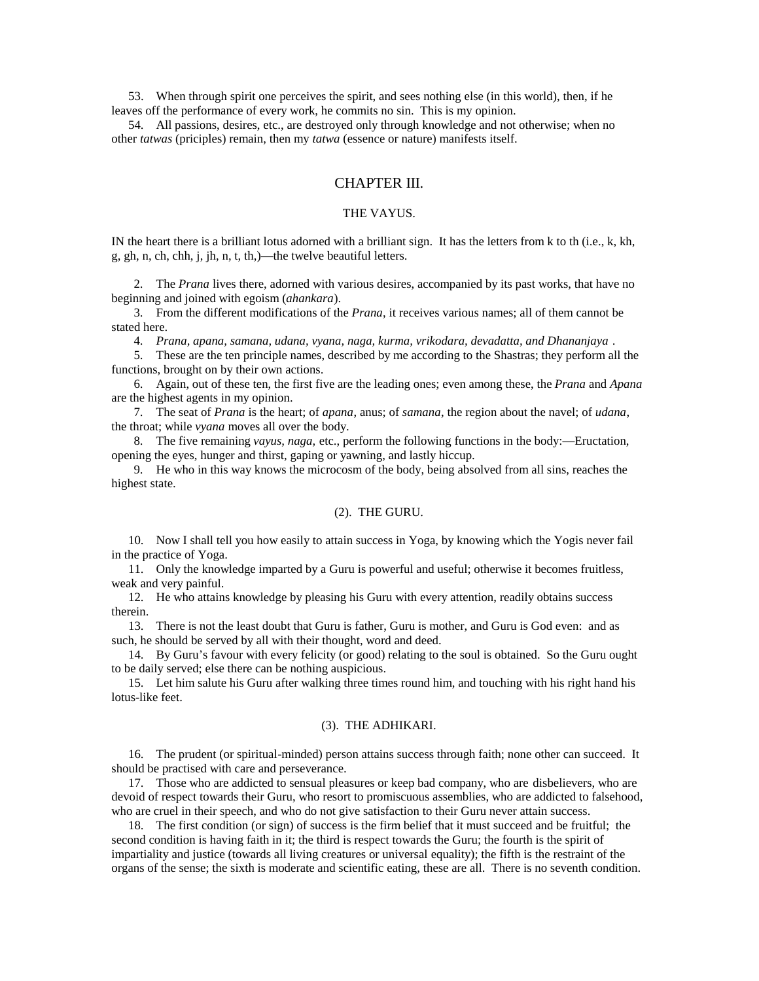53. When through spirit one perceives the spirit, and sees nothing else (in this world), then, if he leaves off the performance of every work, he commits no sin. This is my opinion.

54. All passions, desires, etc., are destroyed only through knowledge and not otherwise; when no other *tatwas* (priciples) remain, then my *tatwa* (essence or nature) manifests itself.

# CHAPTER III.

# THE VAYUS.

IN the heart there is a brilliant lotus adorned with a brilliant sign. It has the letters from k to th (i.e., k, kh, g, gh, n, ch, chh, j, jh, n, t, th,)—the twelve beautiful letters.

2. The *Prana* lives there, adorned with various desires, accompanied by its past works, that have no beginning and joined with egoism (*ahankara*).

3. From the different modifications of the *Prana*, it receives various names; all of them cannot be stated here.

4. *Prana, apana, samana, udana, vyana, naga, kurma, vrikodara, devadatta, and Dhananjaya* .

5. These are the ten principle names, described by me according to the Shastras; they perform all the functions, brought on by their own actions.

6. Again, out of these ten, the first five are the leading ones; even among these, the *Prana* and *Apana* are the highest agents in my opinion.

7. The seat of *Prana* is the heart; of *apana*, anus; of *samana*, the region about the navel; of *udana*, the throat; while *vyana* moves all over the body.

8. The five remaining *vayus, naga,* etc., perform the following functions in the body:—Eructation, opening the eyes, hunger and thirst, gaping or yawning, and lastly hiccup.

9. He who in this way knows the microcosm of the body, being absolved from all sins, reaches the highest state.

#### (2). THE GURU.

10. Now I shall tell you how easily to attain success in Yoga, by knowing which the Yogis never fail in the practice of Yoga.

11. Only the knowledge imparted by a Guru is powerful and useful; otherwise it becomes fruitless, weak and very painful.

12. He who attains knowledge by pleasing his Guru with every attention, readily obtains success therein.

13. There is not the least doubt that Guru is father, Guru is mother, and Guru is God even: and as such, he should be served by all with their thought, word and deed.

14. By Guru's favour with every felicity (or good) relating to the soul is obtained. So the Guru ought to be daily served; else there can be nothing auspicious.

15. Let him salute his Guru after walking three times round him, and touching with his right hand his lotus-like feet.

### (3). THE ADHIKARI.

16. The prudent (or spiritual-minded) person attains success through faith; none other can succeed. It should be practised with care and perseverance.

17. Those who are addicted to sensual pleasures or keep bad company, who are disbelievers, who are devoid of respect towards their Guru, who resort to promiscuous assemblies, who are addicted to falsehood, who are cruel in their speech, and who do not give satisfaction to their Guru never attain success.

18. The first condition (or sign) of success is the firm belief that it must succeed and be fruitful; the second condition is having faith in it; the third is respect towards the Guru; the fourth is the spirit of impartiality and justice (towards all living creatures or universal equality); the fifth is the restraint of the organs of the sense; the sixth is moderate and scientific eating, these are all. There is no seventh condition.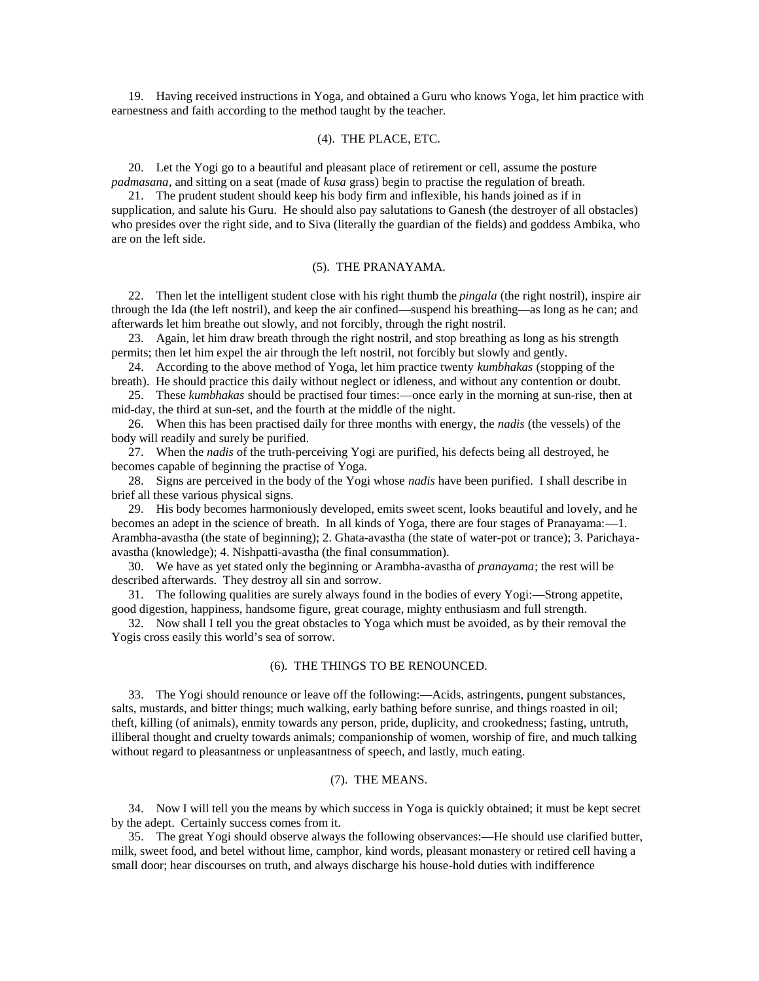19. Having received instructions in Yoga, and obtained a Guru who knows Yoga, let him practice with earnestness and faith according to the method taught by the teacher.

#### (4). THE PLACE, ETC.

20. Let the Yogi go to a beautiful and pleasant place of retirement or cell, assume the posture *padmasana*, and sitting on a seat (made of *kusa* grass) begin to practise the regulation of breath.

21. The prudent student should keep his body firm and inflexible, his hands joined as if in supplication, and salute his Guru. He should also pay salutations to Ganesh (the destroyer of all obstacles) who presides over the right side, and to Siva (literally the guardian of the fields) and goddess Ambika, who are on the left side.

## (5). THE PRANAYAMA.

22. Then let the intelligent student close with his right thumb the *pingala* (the right nostril), inspire air through the Ida (the left nostril), and keep the air confined—suspend his breathing—as long as he can; and afterwards let him breathe out slowly, and not forcibly, through the right nostril.

23. Again, let him draw breath through the right nostril, and stop breathing as long as his strength permits; then let him expel the air through the left nostril, not forcibly but slowly and gently.

24. According to the above method of Yoga, let him practice twenty *kumbhakas* (stopping of the breath). He should practice this daily without neglect or idleness, and without any contention or doubt.

25. These *kumbhakas* should be practised four times:—once early in the morning at sun-rise, then at mid-day, the third at sun-set, and the fourth at the middle of the night.

26. When this has been practised daily for three months with energy, the *nadis* (the vessels) of the body will readily and surely be purified.

27. When the *nadis* of the truth-perceiving Yogi are purified, his defects being all destroyed, he becomes capable of beginning the practise of Yoga.

28. Signs are perceived in the body of the Yogi whose *nadis* have been purified. I shall describe in brief all these various physical signs.

29. His body becomes harmoniously developed, emits sweet scent, looks beautiful and lovely, and he becomes an adept in the science of breath. In all kinds of Yoga, there are four stages of Pranayama:—1. Arambha-avastha (the state of beginning); 2. Ghata-avastha (the state of water-pot or trance); 3. Parichayaavastha (knowledge); 4. Nishpatti-avastha (the final consummation).

30. We have as yet stated only the beginning or Arambha-avastha of *pranayama*; the rest will be described afterwards. They destroy all sin and sorrow.

31. The following qualities are surely always found in the bodies of every Yogi:—Strong appetite, good digestion, happiness, handsome figure, great courage, mighty enthusiasm and full strength.

32. Now shall I tell you the great obstacles to Yoga which must be avoided, as by their removal the Yogis cross easily this world's sea of sorrow.

#### (6). THE THINGS TO BE RENOUNCED.

33. The Yogi should renounce or leave off the following:—Acids, astringents, pungent substances, salts, mustards, and bitter things; much walking, early bathing before sunrise, and things roasted in oil; theft, killing (of animals), enmity towards any person, pride, duplicity, and crookedness; fasting, untruth, illiberal thought and cruelty towards animals; companionship of women, worship of fire, and much talking without regard to pleasantness or unpleasantness of speech, and lastly, much eating.

## (7). THE MEANS.

34. Now I will tell you the means by which success in Yoga is quickly obtained; it must be kept secret by the adept. Certainly success comes from it.

35. The great Yogi should observe always the following observances:—He should use clarified butter, milk, sweet food, and betel without lime, camphor, kind words, pleasant monastery or retired cell having a small door; hear discourses on truth, and always discharge his house-hold duties with indifference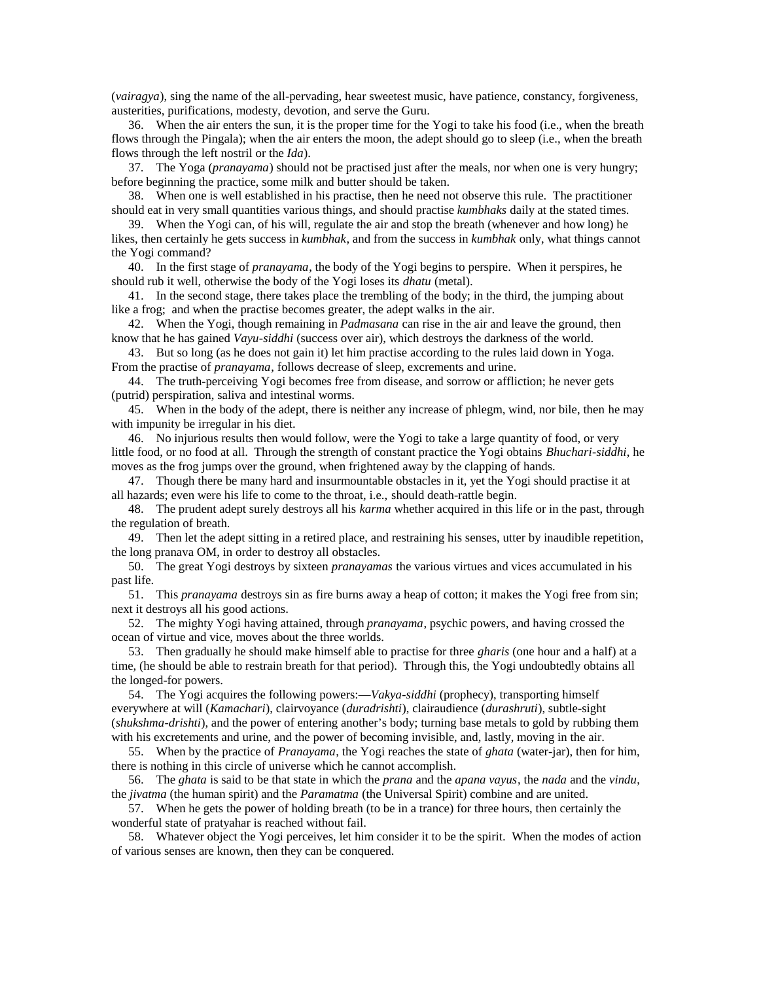(*vairagya*), sing the name of the all-pervading, hear sweetest music, have patience, constancy, forgiveness, austerities, purifications, modesty, devotion, and serve the Guru.

36. When the air enters the sun, it is the proper time for the Yogi to take his food (i.e., when the breath flows through the Pingala); when the air enters the moon, the adept should go to sleep (i.e., when the breath flows through the left nostril or the *Ida*).

37. The Yoga (*pranayama*) should not be practised just after the meals, nor when one is very hungry; before beginning the practice, some milk and butter should be taken.

38. When one is well established in his practise, then he need not observe this rule. The practitioner should eat in very small quantities various things, and should practise *kumbhaks* daily at the stated times.

39. When the Yogi can, of his will, regulate the air and stop the breath (whenever and how long) he likes, then certainly he gets success in *kumbhak*, and from the success in *kumbhak* only, what things cannot the Yogi command?

40. In the first stage of *pranayama*, the body of the Yogi begins to perspire. When it perspires, he should rub it well, otherwise the body of the Yogi loses its *dhatu* (metal).

41. In the second stage, there takes place the trembling of the body; in the third, the jumping about like a frog; and when the practise becomes greater, the adept walks in the air.

42. When the Yogi, though remaining in *Padmasana* can rise in the air and leave the ground, then know that he has gained *Vayu-siddhi* (success over air), which destroys the darkness of the world.

43. But so long (as he does not gain it) let him practise according to the rules laid down in Yoga. From the practise of *pranayama*, follows decrease of sleep, excrements and urine.

44. The truth-perceiving Yogi becomes free from disease, and sorrow or affliction; he never gets (putrid) perspiration, saliva and intestinal worms.

45. When in the body of the adept, there is neither any increase of phlegm, wind, nor bile, then he may with impunity be irregular in his diet.

46. No injurious results then would follow, were the Yogi to take a large quantity of food, or very little food, or no food at all. Through the strength of constant practice the Yogi obtains *Bhuchari-siddhi*, he moves as the frog jumps over the ground, when frightened away by the clapping of hands.

47. Though there be many hard and insurmountable obstacles in it, yet the Yogi should practise it at all hazards; even were his life to come to the throat, i.e., should death-rattle begin.

48. The prudent adept surely destroys all his *karma* whether acquired in this life or in the past, through the regulation of breath.

49. Then let the adept sitting in a retired place, and restraining his senses, utter by inaudible repetition, the long pranava OM, in order to destroy all obstacles.

50. The great Yogi destroys by sixteen *pranayamas* the various virtues and vices accumulated in his past life.

51. This *pranayama* destroys sin as fire burns away a heap of cotton; it makes the Yogi free from sin; next it destroys all his good actions.

52. The mighty Yogi having attained, through *pranayama*, psychic powers, and having crossed the ocean of virtue and vice, moves about the three worlds.

53. Then gradually he should make himself able to practise for three *gharis* (one hour and a half) at a time, (he should be able to restrain breath for that period). Through this, the Yogi undoubtedly obtains all the longed-for powers.

54. The Yogi acquires the following powers:—*Vakya-siddhi* (prophecy), transporting himself everywhere at will (*Kamachari*), clairvoyance (*duradrishti*), clairaudience (*durashruti*), subtle-sight (*shukshma-drishti*), and the power of entering another's body; turning base metals to gold by rubbing them with his excretements and urine, and the power of becoming invisible, and, lastly, moving in the air.

55. When by the practice of *Pranayama*, the Yogi reaches the state of *ghata* (water-jar), then for him, there is nothing in this circle of universe which he cannot accomplish.

56. The *ghata* is said to be that state in which the *prana* and the *apana vayus*, the *nada* and the *vindu*, the *jivatma* (the human spirit) and the *Paramatma* (the Universal Spirit) combine and are united.

57. When he gets the power of holding breath (to be in a trance) for three hours, then certainly the wonderful state of pratyahar is reached without fail.

58. Whatever object the Yogi perceives, let him consider it to be the spirit. When the modes of action of various senses are known, then they can be conquered.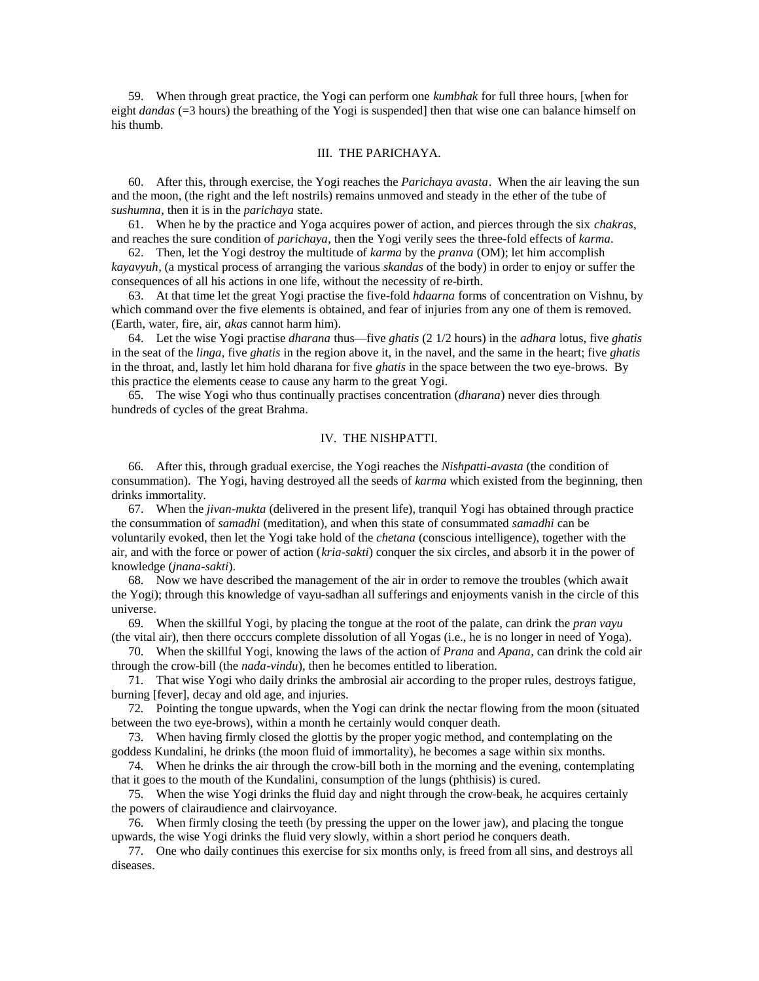59. When through great practice, the Yogi can perform one *kumbhak* for full three hours, [when for eight *dandas* (=3 hours) the breathing of the Yogi is suspended] then that wise one can balance himself on his thumb.

#### III. THE PARICHAYA.

60. After this, through exercise, the Yogi reaches the *Parichaya avasta*. When the air leaving the sun and the moon, (the right and the left nostrils) remains unmoved and steady in the ether of the tube of *sushumna*, then it is in the *parichaya* state.

61. When he by the practice and Yoga acquires power of action, and pierces through the six *chakras*, and reaches the sure condition of *parichaya*, then the Yogi verily sees the three-fold effects of *karma*.

62. Then, let the Yogi destroy the multitude of *karma* by the *pranva* (OM); let him accomplish *kayavyuh*, (a mystical process of arranging the various *skandas* of the body) in order to enjoy or suffer the consequences of all his actions in one life, without the necessity of re-birth.

63. At that time let the great Yogi practise the five-fold *hdaarna* forms of concentration on Vishnu, by which command over the five elements is obtained, and fear of injuries from any one of them is removed. (Earth, water, fire, air, *akas* cannot harm him).

64. Let the wise Yogi practise *dharana* thus—five *ghatis* (2 1/2 hours) in the *adhara* lotus, five *ghatis* in the seat of the *linga*, five *ghatis* in the region above it, in the navel, and the same in the heart; five *ghatis* in the throat, and, lastly let him hold dharana for five *ghatis* in the space between the two eye-brows. By this practice the elements cease to cause any harm to the great Yogi.

65. The wise Yogi who thus continually practises concentration (*dharana*) never dies through hundreds of cycles of the great Brahma.

#### IV. THE NISHPATTI.

66. After this, through gradual exercise, the Yogi reaches the *Nishpatti-avasta* (the condition of consummation). The Yogi, having destroyed all the seeds of *karma* which existed from the beginning, then drinks immortality.

67. When the *jivan-mukta* (delivered in the present life), tranquil Yogi has obtained through practice the consummation of *samadhi* (meditation), and when this state of consummated *samadhi* can be voluntarily evoked, then let the Yogi take hold of the *chetana* (conscious intelligence), together with the air, and with the force or power of action (*kria-sakti*) conquer the six circles, and absorb it in the power of knowledge (*jnana-sakti*).

68. Now we have described the management of the air in order to remove the troubles (which await the Yogi); through this knowledge of vayu-sadhan all sufferings and enjoyments vanish in the circle of this universe.

69. When the skillful Yogi, by placing the tongue at the root of the palate, can drink the *pran vayu* (the vital air), then there occcurs complete dissolution of all Yogas (i.e., he is no longer in need of Yoga).

70. When the skillful Yogi, knowing the laws of the action of *Prana* and *Apana*, can drink the cold air through the crow-bill (the *nada-vindu*), then he becomes entitled to liberation.

71. That wise Yogi who daily drinks the ambrosial air according to the proper rules, destroys fatigue, burning [fever], decay and old age, and injuries.

72. Pointing the tongue upwards, when the Yogi can drink the nectar flowing from the moon (situated between the two eye-brows), within a month he certainly would conquer death.

73. When having firmly closed the glottis by the proper yogic method, and contemplating on the goddess Kundalini, he drinks (the moon fluid of immortality), he becomes a sage within six months.

74. When he drinks the air through the crow-bill both in the morning and the evening, contemplating that it goes to the mouth of the Kundalini, consumption of the lungs (phthisis) is cured.

75. When the wise Yogi drinks the fluid day and night through the crow-beak, he acquires certainly the powers of clairaudience and clairvoyance.

76. When firmly closing the teeth (by pressing the upper on the lower jaw), and placing the tongue upwards, the wise Yogi drinks the fluid very slowly, within a short period he conquers death.

77. One who daily continues this exercise for six months only, is freed from all sins, and destroys all diseases.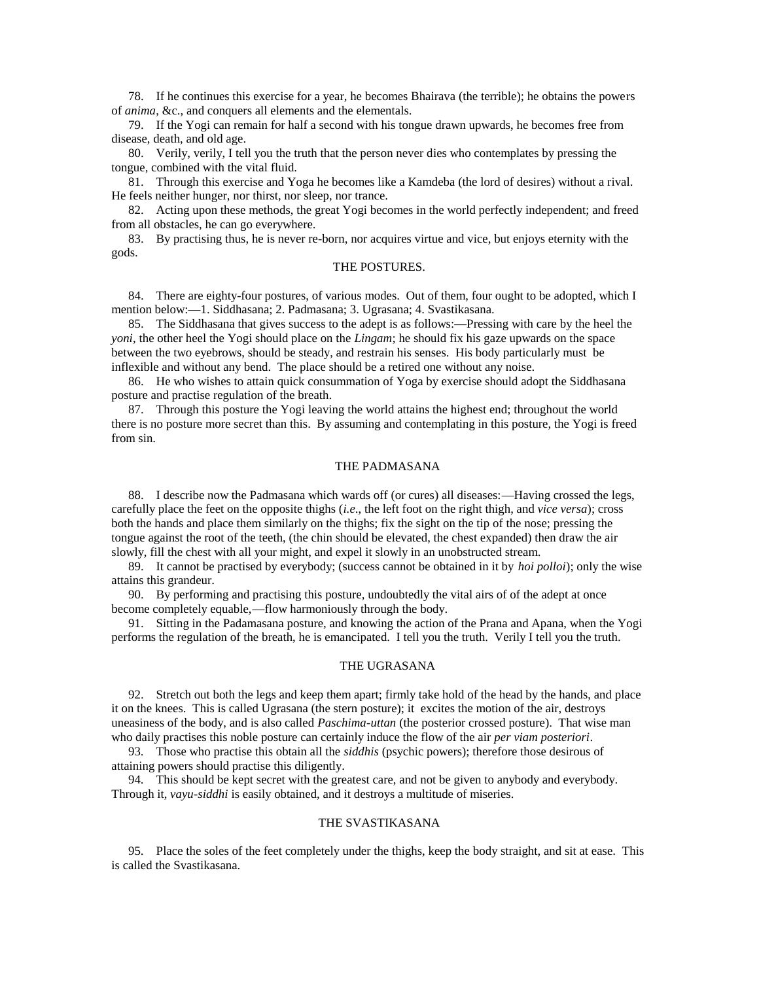78. If he continues this exercise for a year, he becomes Bhairava (the terrible); he obtains the powers of *anima*, &c., and conquers all elements and the elementals.

79. If the Yogi can remain for half a second with his tongue drawn upwards, he becomes free from disease, death, and old age.

80. Verily, verily, I tell you the truth that the person never dies who contemplates by pressing the tongue, combined with the vital fluid.

81. Through this exercise and Yoga he becomes like a Kamdeba (the lord of desires) without a rival. He feels neither hunger, nor thirst, nor sleep, nor trance.

82. Acting upon these methods, the great Yogi becomes in the world perfectly independent; and freed from all obstacles, he can go everywhere.

83. By practising thus, he is never re-born, nor acquires virtue and vice, but enjoys eternity with the gods.

#### THE POSTURES.

84. There are eighty-four postures, of various modes. Out of them, four ought to be adopted, which I mention below:—1. Siddhasana; 2. Padmasana; 3. Ugrasana; 4. Svastikasana.

85. The Siddhasana that gives success to the adept is as follows:—Pressing with care by the heel the *yoni*, the other heel the Yogi should place on the *Lingam*; he should fix his gaze upwards on the space between the two eyebrows, should be steady, and restrain his senses. His body particularly must be inflexible and without any bend. The place should be a retired one without any noise.

86. He who wishes to attain quick consummation of Yoga by exercise should adopt the Siddhasana posture and practise regulation of the breath.

87. Through this posture the Yogi leaving the world attains the highest end; throughout the world there is no posture more secret than this. By assuming and contemplating in this posture, the Yogi is freed from sin.

#### THE PADMASANA

88. I describe now the Padmasana which wards off (or cures) all diseases:—Having crossed the legs, carefully place the feet on the opposite thighs (*i.e*., the left foot on the right thigh, and *vice versa*); cross both the hands and place them similarly on the thighs; fix the sight on the tip of the nose; pressing the tongue against the root of the teeth, (the chin should be elevated, the chest expanded) then draw the air slowly, fill the chest with all your might, and expel it slowly in an unobstructed stream.

89. It cannot be practised by everybody; (success cannot be obtained in it by *hoi polloi*); only the wise attains this grandeur.

90. By performing and practising this posture, undoubtedly the vital airs of of the adept at once become completely equable,—flow harmoniously through the body.

91. Sitting in the Padamasana posture, and knowing the action of the Prana and Apana, when the Yogi performs the regulation of the breath, he is emancipated. I tell you the truth. Verily I tell you the truth.

#### THE UGRASANA

92. Stretch out both the legs and keep them apart; firmly take hold of the head by the hands, and place it on the knees. This is called Ugrasana (the stern posture); it excites the motion of the air, destroys uneasiness of the body, and is also called *Paschima-uttan* (the posterior crossed posture). That wise man who daily practises this noble posture can certainly induce the flow of the air *per viam posteriori*.

93. Those who practise this obtain all the *siddhis* (psychic powers); therefore those desirous of attaining powers should practise this diligently.

94. This should be kept secret with the greatest care, and not be given to anybody and everybody. Through it, *vayu-siddhi* is easily obtained, and it destroys a multitude of miseries.

#### THE SVASTIKASANA

95. Place the soles of the feet completely under the thighs, keep the body straight, and sit at ease. This is called the Svastikasana.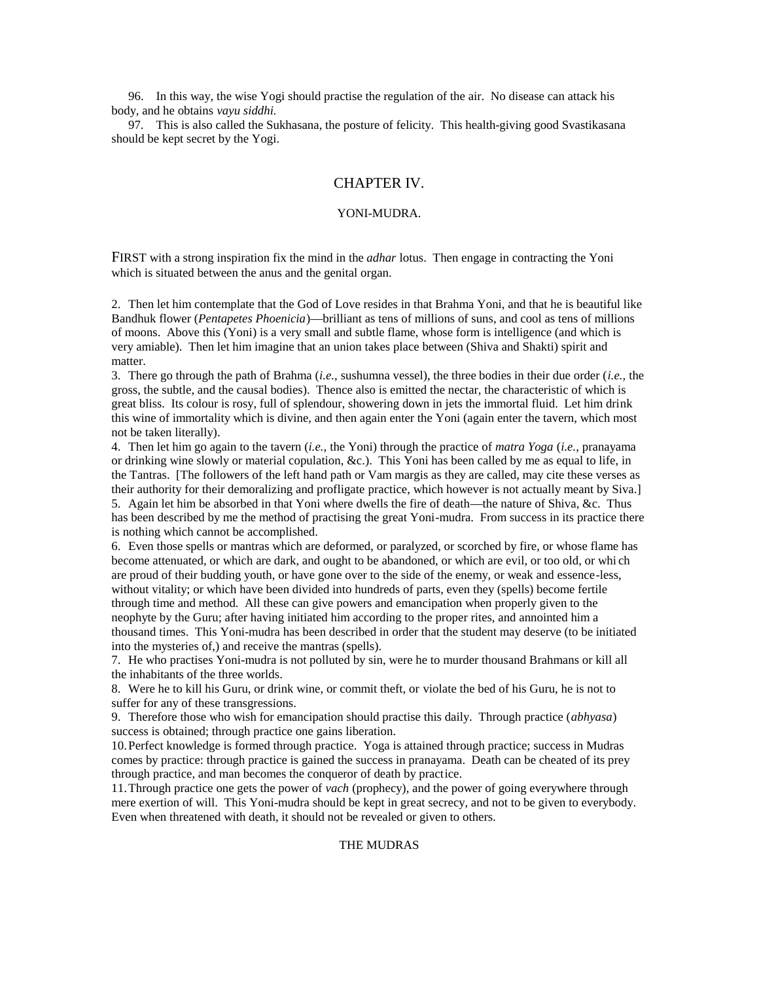96. In this way, the wise Yogi should practise the regulation of the air. No disease can attack his body, and he obtains *vayu siddhi.*

97. This is also called the Sukhasana, the posture of felicity. This health-giving good Svastikasana should be kept secret by the Yogi.

# CHAPTER IV.

# YONI-MUDRA.

FIRST with a strong inspiration fix the mind in the *adhar* lotus. Then engage in contracting the Yoni which is situated between the anus and the genital organ.

2. Then let him contemplate that the God of Love resides in that Brahma Yoni, and that he is beautiful like Bandhuk flower (*Pentapetes Phoenicia*)—brilliant as tens of millions of suns, and cool as tens of millions of moons. Above this (Yoni) is a very small and subtle flame, whose form is intelligence (and which is very amiable). Then let him imagine that an union takes place between (Shiva and Shakti) spirit and matter.

3. There go through the path of Brahma (*i.e.,* sushumna vessel), the three bodies in their due order (*i.e.,* the gross, the subtle, and the causal bodies). Thence also is emitted the nectar, the characteristic of which is great bliss. Its colour is rosy, full of splendour, showering down in jets the immortal fluid. Let him drink this wine of immortality which is divine, and then again enter the Yoni (again enter the tavern, which most not be taken literally).

4. Then let him go again to the tavern (*i.e.,* the Yoni) through the practice of *matra Yoga* (*i.e.,* pranayama or drinking wine slowly or material copulation, &c.). This Yoni has been called by me as equal to life, in the Tantras. [The followers of the left hand path or Vam margis as they are called, may cite these verses as their authority for their demoralizing and profligate practice, which however is not actually meant by Siva.] 5. Again let him be absorbed in that Yoni where dwells the fire of death—the nature of Shiva, &c. Thus has been described by me the method of practising the great Yoni-mudra. From success in its practice there is nothing which cannot be accomplished.

6. Even those spells or mantras which are deformed, or paralyzed, or scorched by fire, or whose flame has become attenuated, or which are dark, and ought to be abandoned, or which are evil, or too old, or whi ch are proud of their budding youth, or have gone over to the side of the enemy, or weak and essence-less, without vitality; or which have been divided into hundreds of parts, even they (spells) become fertile through time and method. All these can give powers and emancipation when properly given to the neophyte by the Guru; after having initiated him according to the proper rites, and annointed him a thousand times. This Yoni-mudra has been described in order that the student may deserve (to be initiated into the mysteries of,) and receive the mantras (spells).

7. He who practises Yoni-mudra is not polluted by sin, were he to murder thousand Brahmans or kill all the inhabitants of the three worlds.

8. Were he to kill his Guru, or drink wine, or commit theft, or violate the bed of his Guru, he is not to suffer for any of these transgressions.

9. Therefore those who wish for emancipation should practise this daily. Through practice (*abhyasa*) success is obtained; through practice one gains liberation.

10.Perfect knowledge is formed through practice. Yoga is attained through practice; success in Mudras comes by practice: through practice is gained the success in pranayama. Death can be cheated of its prey through practice, and man becomes the conqueror of death by practice.

11.Through practice one gets the power of *vach* (prophecy), and the power of going everywhere through mere exertion of will. This Yoni-mudra should be kept in great secrecy, and not to be given to everybody. Even when threatened with death, it should not be revealed or given to others.

# THE MUDRAS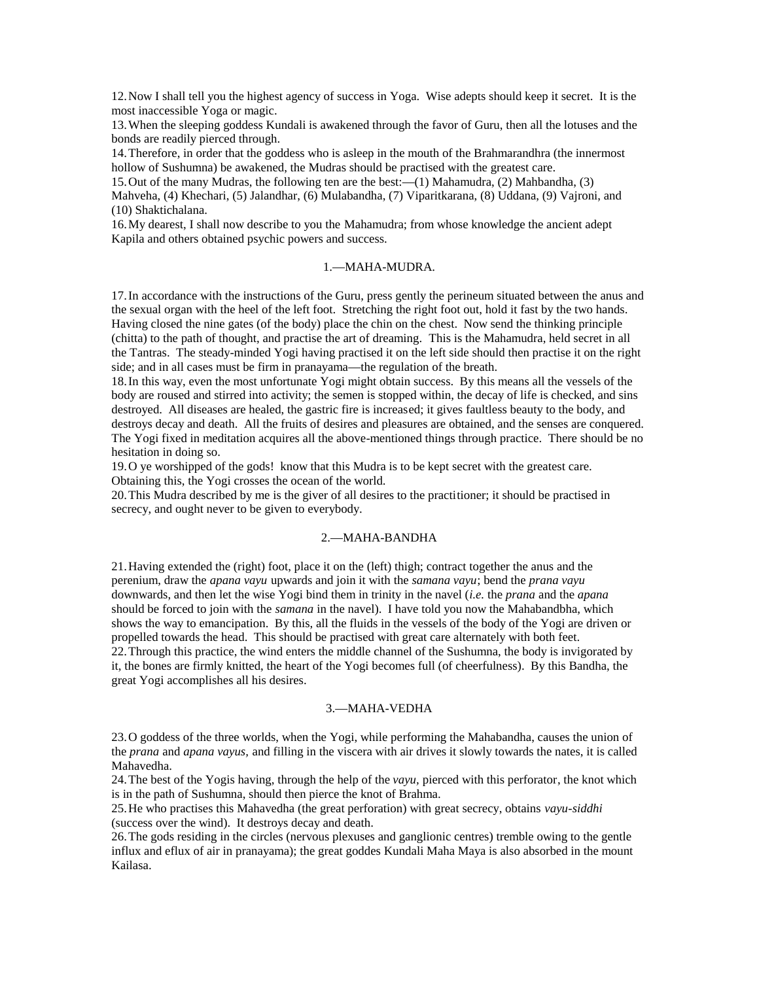12.Now I shall tell you the highest agency of success in Yoga. Wise adepts should keep it secret. It is the most inaccessible Yoga or magic.

13.When the sleeping goddess Kundali is awakened through the favor of Guru, then all the lotuses and the bonds are readily pierced through.

14.Therefore, in order that the goddess who is asleep in the mouth of the Brahmarandhra (the innermost hollow of Sushumna) be awakened, the Mudras should be practised with the greatest care.

15.Out of the many Mudras, the following ten are the best:—(1) Mahamudra, (2) Mahbandha, (3) Mahveha, (4) Khechari, (5) Jalandhar, (6) Mulabandha, (7) Viparitkarana, (8) Uddana, (9) Vajroni, and (10) Shaktichalana.

16.My dearest, I shall now describe to you the Mahamudra; from whose knowledge the ancient adept Kapila and others obtained psychic powers and success.

#### 1.—MAHA-MUDRA.

17.In accordance with the instructions of the Guru, press gently the perineum situated between the anus and the sexual organ with the heel of the left foot. Stretching the right foot out, hold it fast by the two hands. Having closed the nine gates (of the body) place the chin on the chest. Now send the thinking principle (chitta) to the path of thought, and practise the art of dreaming. This is the Mahamudra, held secret in all the Tantras. The steady-minded Yogi having practised it on the left side should then practise it on the right side; and in all cases must be firm in pranayama—the regulation of the breath.

18.In this way, even the most unfortunate Yogi might obtain success. By this means all the vessels of the body are roused and stirred into activity; the semen is stopped within, the decay of life is checked, and sins destroyed. All diseases are healed, the gastric fire is increased; it gives faultless beauty to the body, and destroys decay and death. All the fruits of desires and pleasures are obtained, and the senses are conquered. The Yogi fixed in meditation acquires all the above-mentioned things through practice. There should be no hesitation in doing so.

19.O ye worshipped of the gods! know that this Mudra is to be kept secret with the greatest care. Obtaining this, the Yogi crosses the ocean of the world.

20.This Mudra described by me is the giver of all desires to the practitioner; it should be practised in secrecy, and ought never to be given to everybody.

# 2.—MAHA-BANDHA

21.Having extended the (right) foot, place it on the (left) thigh; contract together the anus and the perenium, draw the *apana vayu* upwards and join it with the *samana vayu*; bend the *prana vayu* downwards, and then let the wise Yogi bind them in trinity in the navel (*i.e.* the *prana* and the *apana* should be forced to join with the *samana* in the navel). I have told you now the Mahabandbha, which shows the way to emancipation. By this, all the fluids in the vessels of the body of the Yogi are driven or propelled towards the head. This should be practised with great care alternately with both feet. 22.Through this practice, the wind enters the middle channel of the Sushumna, the body is invigorated by it, the bones are firmly knitted, the heart of the Yogi becomes full (of cheerfulness). By this Bandha, the great Yogi accomplishes all his desires.

#### 3.—MAHA-VEDHA

23.O goddess of the three worlds, when the Yogi, while performing the Mahabandha, causes the union of the *prana* and *apana vayus,* and filling in the viscera with air drives it slowly towards the nates, it is called Mahavedha.

24.The best of the Yogis having, through the help of the *vayu,* pierced with this perforator, the knot which is in the path of Sushumna, should then pierce the knot of Brahma.

25.He who practises this Mahavedha (the great perforation) with great secrecy, obtains *vayu-siddhi* (success over the wind). It destroys decay and death.

26.The gods residing in the circles (nervous plexuses and ganglionic centres) tremble owing to the gentle influx and eflux of air in pranayama); the great goddes Kundali Maha Maya is also absorbed in the mount Kailasa.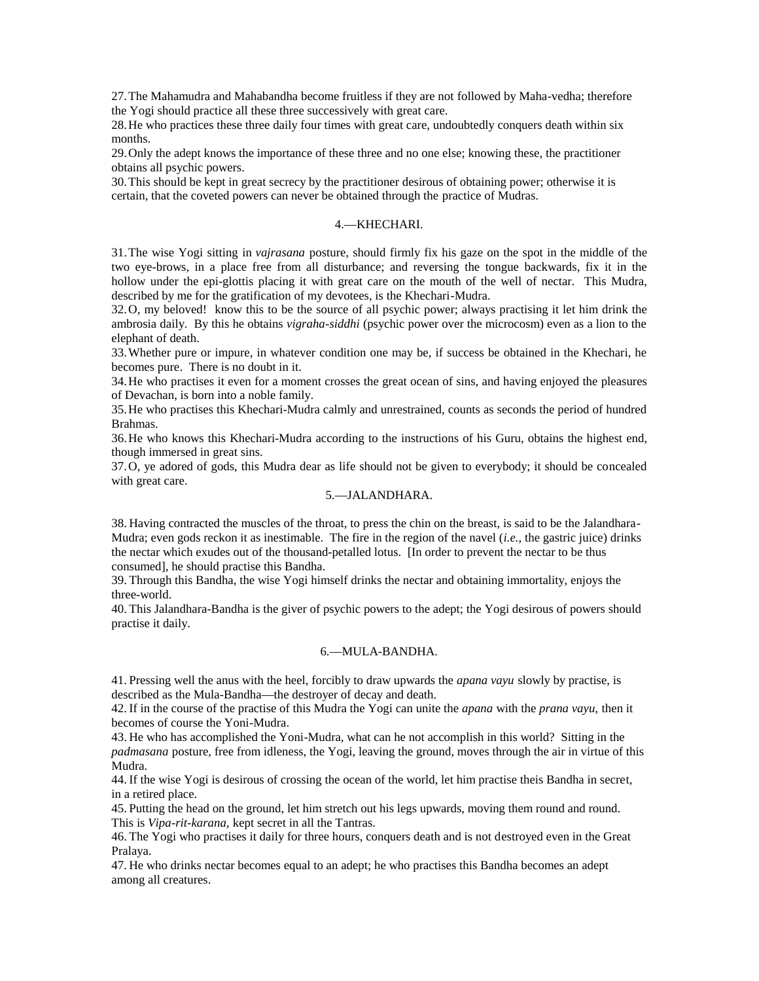27.The Mahamudra and Mahabandha become fruitless if they are not followed by Maha-vedha; therefore the Yogi should practice all these three successively with great care.

28.He who practices these three daily four times with great care, undoubtedly conquers death within six months.

29.Only the adept knows the importance of these three and no one else; knowing these, the practitioner obtains all psychic powers.

30.This should be kept in great secrecy by the practitioner desirous of obtaining power; otherwise it is certain, that the coveted powers can never be obtained through the practice of Mudras.

# 4.—KHECHARI.

31.The wise Yogi sitting in *vajrasana* posture, should firmly fix his gaze on the spot in the middle of the two eye-brows, in a place free from all disturbance; and reversing the tongue backwards, fix it in the hollow under the epi-glottis placing it with great care on the mouth of the well of nectar. This Mudra, described by me for the gratification of my devotees, is the Khechari-Mudra.

32.O, my beloved! know this to be the source of all psychic power; always practising it let him drink the ambrosia daily. By this he obtains *vigraha-siddhi* (psychic power over the microcosm) even as a lion to the elephant of death.

33.Whether pure or impure, in whatever condition one may be, if success be obtained in the Khechari, he becomes pure. There is no doubt in it.

34.He who practises it even for a moment crosses the great ocean of sins, and having enjoyed the pleasures of Devachan, is born into a noble family.

35.He who practises this Khechari-Mudra calmly and unrestrained, counts as seconds the period of hundred Brahmas.

36.He who knows this Khechari-Mudra according to the instructions of his Guru, obtains the highest end, though immersed in great sins.

37.O, ye adored of gods, this Mudra dear as life should not be given to everybody; it should be concealed with great care.

# 5.—JALANDHARA.

38. Having contracted the muscles of the throat, to press the chin on the breast, is said to be the Jalandhara-Mudra; even gods reckon it as inestimable. The fire in the region of the navel (*i.e.,* the gastric juice) drinks the nectar which exudes out of the thousand-petalled lotus. [In order to prevent the nectar to be thus consumed], he should practise this Bandha.

39. Through this Bandha, the wise Yogi himself drinks the nectar and obtaining immortality, enjoys the three-world.

40. This Jalandhara-Bandha is the giver of psychic powers to the adept; the Yogi desirous of powers should practise it daily.

#### 6.—MULA-BANDHA.

41. Pressing well the anus with the heel, forcibly to draw upwards the *apana vayu* slowly by practise, is described as the Mula-Bandha—the destroyer of decay and death.

42. If in the course of the practise of this Mudra the Yogi can unite the *apana* with the *prana vayu,* then it becomes of course the Yoni-Mudra.

43. He who has accomplished the Yoni-Mudra, what can he not accomplish in this world? Sitting in the *padmasana* posture, free from idleness, the Yogi, leaving the ground, moves through the air in virtue of this Mudra.

44. If the wise Yogi is desirous of crossing the ocean of the world, let him practise theis Bandha in secret, in a retired place.

45. Putting the head on the ground, let him stretch out his legs upwards, moving them round and round. This is *Vipa-rit-karana,* kept secret in all the Tantras.

46. The Yogi who practises it daily for three hours, conquers death and is not destroyed even in the Great Pralaya.

47. He who drinks nectar becomes equal to an adept; he who practises this Bandha becomes an adept among all creatures.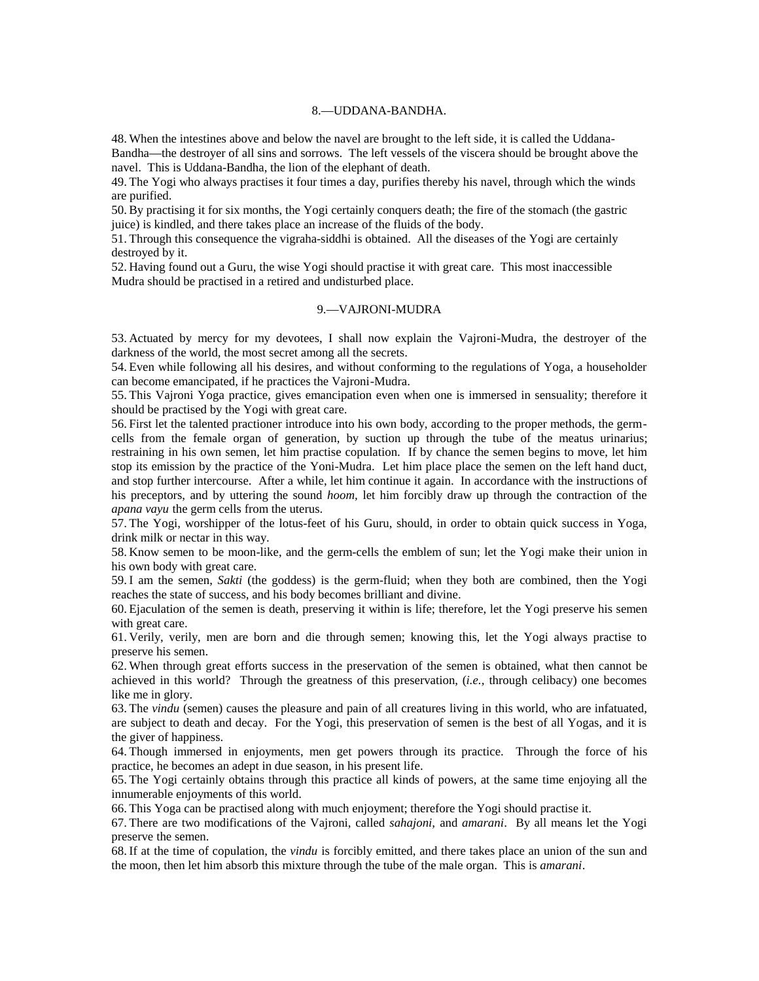## 8.—UDDANA-BANDHA.

48. When the intestines above and below the navel are brought to the left side, it is called the Uddana-Bandha—the destroyer of all sins and sorrows. The left vessels of the viscera should be brought above the navel. This is Uddana-Bandha, the lion of the elephant of death.

49. The Yogi who always practises it four times a day, purifies thereby his navel, through which the winds are purified.

50. By practising it for six months, the Yogi certainly conquers death; the fire of the stomach (the gastric juice) is kindled, and there takes place an increase of the fluids of the body.

51. Through this consequence the vigraha-siddhi is obtained. All the diseases of the Yogi are certainly destroyed by it.

52. Having found out a Guru, the wise Yogi should practise it with great care. This most inaccessible Mudra should be practised in a retired and undisturbed place.

#### 9.—VAJRONI-MUDRA

53. Actuated by mercy for my devotees, I shall now explain the Vajroni-Mudra, the destroyer of the darkness of the world, the most secret among all the secrets.

54. Even while following all his desires, and without conforming to the regulations of Yoga, a householder can become emancipated, if he practices the Vajroni-Mudra.

55. This Vajroni Yoga practice, gives emancipation even when one is immersed in sensuality; therefore it should be practised by the Yogi with great care.

56. First let the talented practioner introduce into his own body, according to the proper methods, the germcells from the female organ of generation, by suction up through the tube of the meatus urinarius; restraining in his own semen, let him practise copulation. If by chance the semen begins to move, let him stop its emission by the practice of the Yoni-Mudra. Let him place place the semen on the left hand duct, and stop further intercourse. After a while, let him continue it again. In accordance with the instructions of his preceptors, and by uttering the sound *hoom,* let him forcibly draw up through the contraction of the *apana vayu* the germ cells from the uterus.

57. The Yogi, worshipper of the lotus-feet of his Guru, should, in order to obtain quick success in Yoga, drink milk or nectar in this way.

58. Know semen to be moon-like, and the germ-cells the emblem of sun; let the Yogi make their union in his own body with great care.

59. I am the semen, *Sakti* (the goddess) is the germ-fluid; when they both are combined, then the Yogi reaches the state of success, and his body becomes brilliant and divine.

60. Ejaculation of the semen is death, preserving it within is life; therefore, let the Yogi preserve his semen with great care.

61. Verily, verily, men are born and die through semen; knowing this, let the Yogi always practise to preserve his semen.

62. When through great efforts success in the preservation of the semen is obtained, what then cannot be achieved in this world? Through the greatness of this preservation, (*i.e.,* through celibacy) one becomes like me in glory.

63. The *vindu* (semen) causes the pleasure and pain of all creatures living in this world, who are infatuated, are subject to death and decay. For the Yogi, this preservation of semen is the best of all Yogas, and it is the giver of happiness.

64. Though immersed in enjoyments, men get powers through its practice. Through the force of his practice, he becomes an adept in due season, in his present life.

65. The Yogi certainly obtains through this practice all kinds of powers, at the same time enjoying all the innumerable enjoyments of this world.

66. This Yoga can be practised along with much enjoyment; therefore the Yogi should practise it.

67. There are two modifications of the Vajroni, called *sahajoni,* and *amarani*. By all means let the Yogi preserve the semen.

68. If at the time of copulation, the *vindu* is forcibly emitted, and there takes place an union of the sun and the moon, then let him absorb this mixture through the tube of the male organ. This is *amarani*.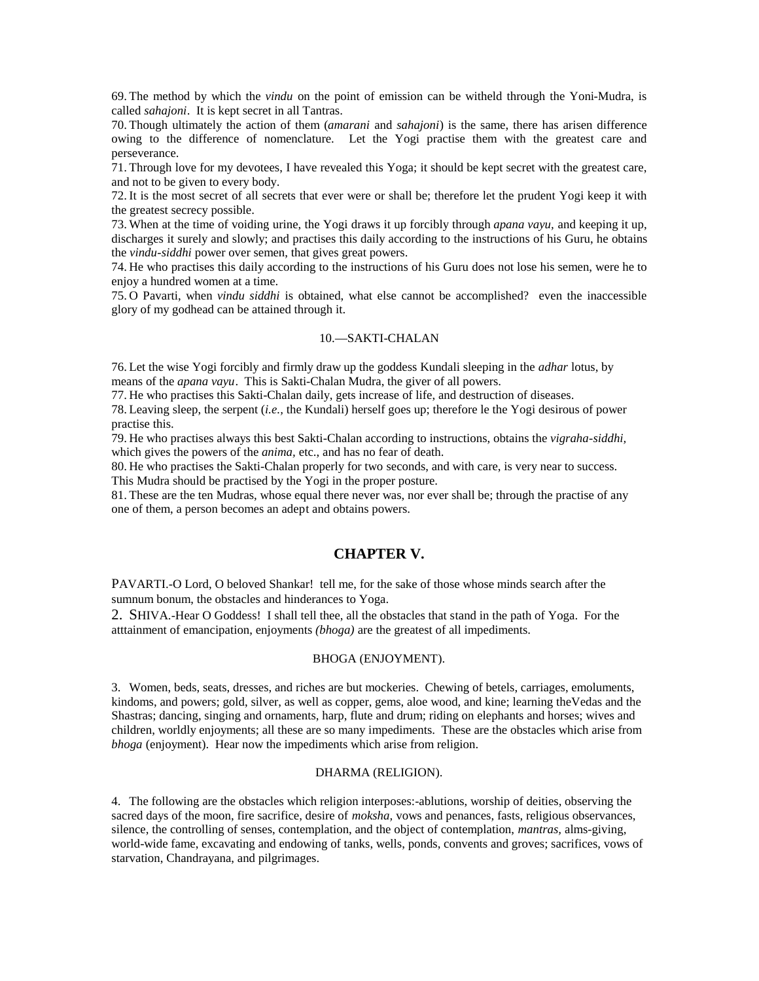69. The method by which the *vindu* on the point of emission can be witheld through the Yoni-Mudra, is called *sahajoni*. It is kept secret in all Tantras.

70. Though ultimately the action of them (*amarani* and *sahajoni*) is the same, there has arisen difference owing to the difference of nomenclature. Let the Yogi practise them with the greatest care and perseverance.

71. Through love for my devotees, I have revealed this Yoga; it should be kept secret with the greatest care, and not to be given to every body.

72. It is the most secret of all secrets that ever were or shall be; therefore let the prudent Yogi keep it with the greatest secrecy possible.

73. When at the time of voiding urine, the Yogi draws it up forcibly through *apana vayu,* and keeping it up, discharges it surely and slowly; and practises this daily according to the instructions of his Guru, he obtains the *vindu-siddhi* power over semen, that gives great powers.

74. He who practises this daily according to the instructions of his Guru does not lose his semen, were he to enjoy a hundred women at a time.

75. O Pavarti, when *vindu siddhi* is obtained, what else cannot be accomplished? even the inaccessible glory of my godhead can be attained through it.

## 10.—SAKTI-CHALAN

76. Let the wise Yogi forcibly and firmly draw up the goddess Kundali sleeping in the *adhar* lotus, by means of the *apana vayu*. This is Sakti-Chalan Mudra, the giver of all powers.

77. He who practises this Sakti-Chalan daily, gets increase of life, and destruction of diseases.

78. Leaving sleep, the serpent (*i.e.,* the Kundali) herself goes up; therefore le the Yogi desirous of power practise this.

79. He who practises always this best Sakti-Chalan according to instructions, obtains the *vigraha-siddhi,* which gives the powers of the *anima,* etc., and has no fear of death.

80. He who practises the Sakti-Chalan properly for two seconds, and with care, is very near to success. This Mudra should be practised by the Yogi in the proper posture.

81. These are the ten Mudras, whose equal there never was, nor ever shall be; through the practise of any one of them, a person becomes an adept and obtains powers.

# **CHAPTER V.**

PAVARTI.-O Lord, O beloved Shankar! tell me, for the sake of those whose minds search after the sumnum bonum, the obstacles and hinderances to Yoga.

2. SHIVA.-Hear O Goddess! I shall tell thee, all the obstacles that stand in the path of Yoga. For the atttainment of emancipation, enjoyments *(bhoga)* are the greatest of all impediments.

#### BHOGA (ENJOYMENT).

3. Women, beds, seats, dresses, and riches are but mockeries. Chewing of betels, carriages, emoluments, kindoms, and powers; gold, silver, as well as copper, gems, aloe wood, and kine; learning theVedas and the Shastras; dancing, singing and ornaments, harp, flute and drum; riding on elephants and horses; wives and children, worldly enjoyments; all these are so many impediments. These are the obstacles which arise from *bhoga* (enjoyment). Hear now the impediments which arise from religion.

# DHARMA (RELIGION).

4. The following are the obstacles which religion interposes:-ablutions, worship of deities, observing the sacred days of the moon, fire sacrifice, desire of *moksha,* vows and penances, fasts, religious observances, silence, the controlling of senses, contemplation, and the object of contemplation, *mantras,* alms-giving, world-wide fame, excavating and endowing of tanks, wells, ponds, convents and groves; sacrifices, vows of starvation, Chandrayana, and pilgrimages.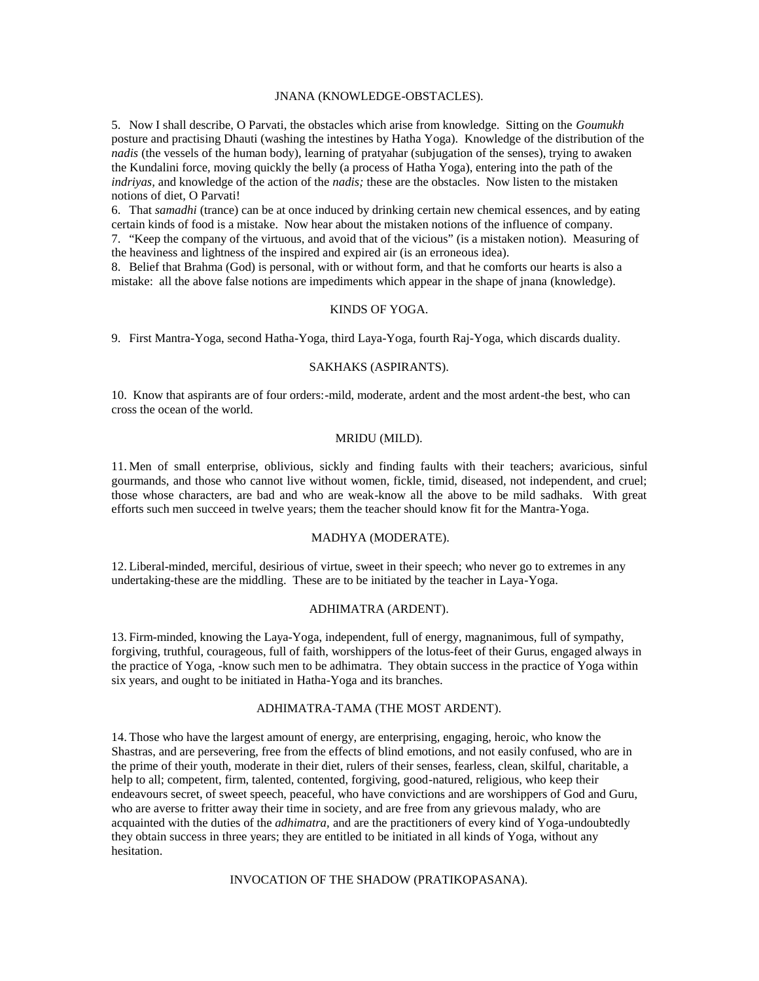#### JNANA (KNOWLEDGE-OBSTACLES).

5. Now I shall describe, O Parvati, the obstacles which arise from knowledge. Sitting on the *Goumukh* posture and practising Dhauti (washing the intestines by Hatha Yoga). Knowledge of the distribution of the *nadis* (the vessels of the human body), learning of pratyahar (subjugation of the senses), trying to awaken the Kundalini force, moving quickly the belly (a process of Hatha Yoga), entering into the path of the *indriyas,* and knowledge of the action of the *nadis;* these are the obstacles. Now listen to the mistaken notions of diet, O Parvati!

6. That *samadhi* (trance) can be at once induced by drinking certain new chemical essences, and by eating certain kinds of food is a mistake. Now hear about the mistaken notions of the influence of company. 7. "Keep the company of the virtuous, and avoid that of the vicious" (is a mistaken notion). Measuring of the heaviness and lightness of the inspired and expired air (is an erroneous idea).

8. Belief that Brahma (God) is personal, with or without form, and that he comforts our hearts is also a mistake: all the above false notions are impediments which appear in the shape of jnana (knowledge).

# KINDS OF YOGA.

9. First Mantra-Yoga, second Hatha-Yoga, third Laya-Yoga, fourth Raj-Yoga, which discards duality.

## SAKHAKS (ASPIRANTS).

10. Know that aspirants are of four orders:-mild, moderate, ardent and the most ardent-the best, who can cross the ocean of the world.

#### MRIDU (MILD).

11. Men of small enterprise, oblivious, sickly and finding faults with their teachers; avaricious, sinful gourmands, and those who cannot live without women, fickle, timid, diseased, not independent, and cruel; those whose characters, are bad and who are weak-know all the above to be mild sadhaks. With great efforts such men succeed in twelve years; them the teacher should know fit for the Mantra-Yoga.

## MADHYA (MODERATE).

12. Liberal-minded, merciful, desirious of virtue, sweet in their speech; who never go to extremes in any undertaking-these are the middling. These are to be initiated by the teacher in Laya-Yoga.

#### ADHIMATRA (ARDENT).

13. Firm-minded, knowing the Laya-Yoga, independent, full of energy, magnanimous, full of sympathy, forgiving, truthful, courageous, full of faith, worshippers of the lotus-feet of their Gurus, engaged always in the practice of Yoga, -know such men to be adhimatra. They obtain success in the practice of Yoga within six years, and ought to be initiated in Hatha-Yoga and its branches.

# ADHIMATRA-TAMA (THE MOST ARDENT).

14. Those who have the largest amount of energy, are enterprising, engaging, heroic, who know the Shastras, and are persevering, free from the effects of blind emotions, and not easily confused, who are in the prime of their youth, moderate in their diet, rulers of their senses, fearless, clean, skilful, charitable, a help to all; competent, firm, talented, contented, forgiving, good-natured, religious, who keep their endeavours secret, of sweet speech, peaceful, who have convictions and are worshippers of God and Guru, who are averse to fritter away their time in society, and are free from any grievous malady, who are acquainted with the duties of the *adhimatra,* and are the practitioners of every kind of Yoga-undoubtedly they obtain success in three years; they are entitled to be initiated in all kinds of Yoga, without any hesitation.

#### INVOCATION OF THE SHADOW (PRATIKOPASANA).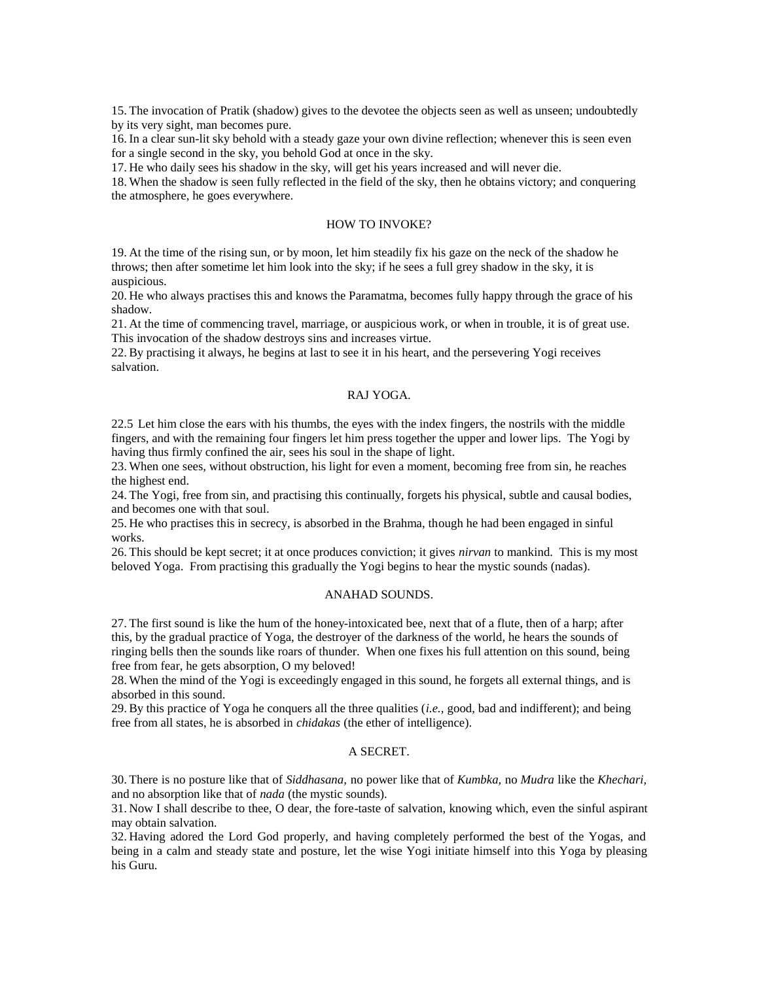15. The invocation of Pratik (shadow) gives to the devotee the objects seen as well as unseen; undoubtedly by its very sight, man becomes pure.

16. In a clear sun-lit sky behold with a steady gaze your own divine reflection; whenever this is seen even for a single second in the sky, you behold God at once in the sky.

17. He who daily sees his shadow in the sky, will get his years increased and will never die.

18. When the shadow is seen fully reflected in the field of the sky, then he obtains victory; and conquering the atmosphere, he goes everywhere.

#### HOW TO INVOKE?

19. At the time of the rising sun, or by moon, let him steadily fix his gaze on the neck of the shadow he throws; then after sometime let him look into the sky; if he sees a full grey shadow in the sky, it is auspicious.

20. He who always practises this and knows the Paramatma, becomes fully happy through the grace of his shadow.

21. At the time of commencing travel, marriage, or auspicious work, or when in trouble, it is of great use. This invocation of the shadow destroys sins and increases virtue.

22. By practising it always, he begins at last to see it in his heart, and the persevering Yogi receives salvation.

#### RAJ YOGA.

22.5 Let him close the ears with his thumbs, the eyes with the index fingers, the nostrils with the middle fingers, and with the remaining four fingers let him press together the upper and lower lips. The Yogi by having thus firmly confined the air, sees his soul in the shape of light.

23. When one sees, without obstruction, his light for even a moment, becoming free from sin, he reaches the highest end.

24. The Yogi, free from sin, and practising this continually, forgets his physical, subtle and causal bodies, and becomes one with that soul.

25. He who practises this in secrecy, is absorbed in the Brahma, though he had been engaged in sinful works.

26. This should be kept secret; it at once produces conviction; it gives *nirvan* to mankind. This is my most beloved Yoga. From practising this gradually the Yogi begins to hear the mystic sounds (nadas).

#### ANAHAD SOUNDS.

27. The first sound is like the hum of the honey-intoxicated bee, next that of a flute, then of a harp; after this, by the gradual practice of Yoga, the destroyer of the darkness of the world, he hears the sounds of ringing bells then the sounds like roars of thunder. When one fixes his full attention on this sound, being free from fear, he gets absorption, O my beloved!

28. When the mind of the Yogi is exceedingly engaged in this sound, he forgets all external things, and is absorbed in this sound.

29. By this practice of Yoga he conquers all the three qualities (*i.e.,* good, bad and indifferent); and being free from all states, he is absorbed in *chidakas* (the ether of intelligence).

#### A SECRET.

30. There is no posture like that of *Siddhasana,* no power like that of *Kumbka,* no *Mudra* like the *Khechari,* and no absorption like that of *nada* (the mystic sounds).

31. Now I shall describe to thee, O dear, the fore-taste of salvation, knowing which, even the sinful aspirant may obtain salvation.

32. Having adored the Lord God properly, and having completely performed the best of the Yogas, and being in a calm and steady state and posture, let the wise Yogi initiate himself into this Yoga by pleasing his Guru.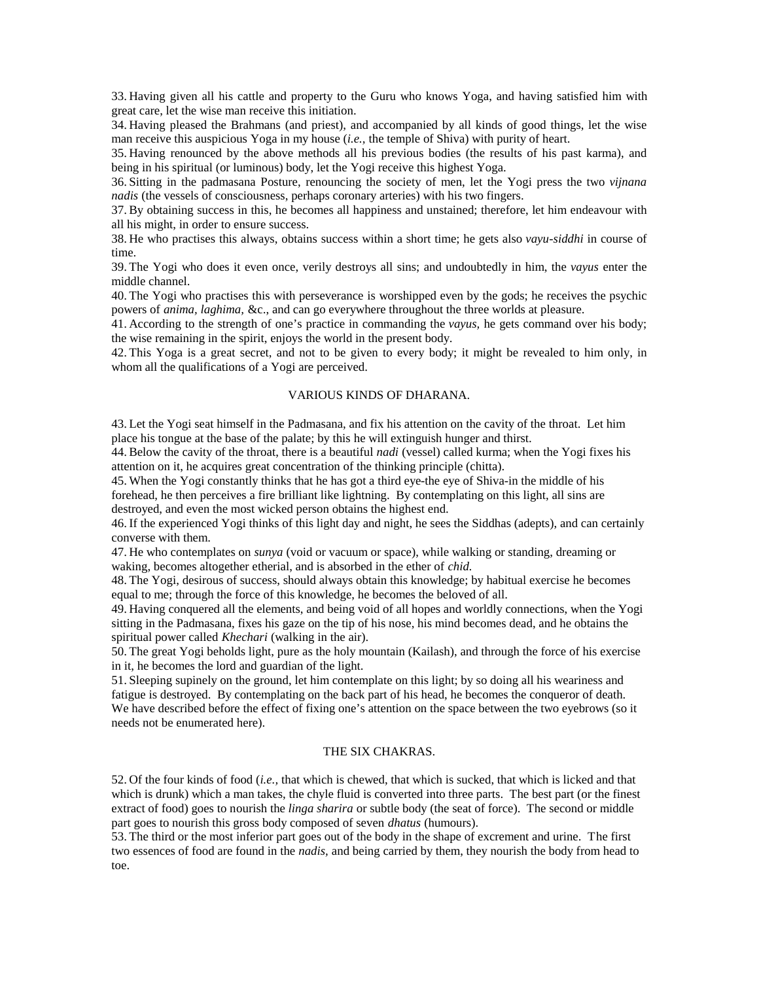33. Having given all his cattle and property to the Guru who knows Yoga, and having satisfied him with great care, let the wise man receive this initiation.

34. Having pleased the Brahmans (and priest), and accompanied by all kinds of good things, let the wise man receive this auspicious Yoga in my house (*i.e.,* the temple of Shiva) with purity of heart.

35. Having renounced by the above methods all his previous bodies (the results of his past karma), and being in his spiritual (or luminous) body, let the Yogi receive this highest Yoga.

36. Sitting in the padmasana Posture, renouncing the society of men, let the Yogi press the two *vijnana nadis* (the vessels of consciousness, perhaps coronary arteries) with his two fingers.

37. By obtaining success in this, he becomes all happiness and unstained; therefore, let him endeavour with all his might, in order to ensure success.

38. He who practises this always, obtains success within a short time; he gets also *vayu-siddhi* in course of time.

39. The Yogi who does it even once, verily destroys all sins; and undoubtedly in him, the *vayus* enter the middle channel.

40. The Yogi who practises this with perseverance is worshipped even by the gods; he receives the psychic powers of *anima, laghima,* &c., and can go everywhere throughout the three worlds at pleasure.

41. According to the strength of one's practice in commanding the *vayus,* he gets command over his body; the wise remaining in the spirit, enjoys the world in the present body.

42. This Yoga is a great secret, and not to be given to every body; it might be revealed to him only, in whom all the qualifications of a Yogi are perceived.

# VARIOUS KINDS OF DHARANA.

43. Let the Yogi seat himself in the Padmasana, and fix his attention on the cavity of the throat. Let him place his tongue at the base of the palate; by this he will extinguish hunger and thirst.

44. Below the cavity of the throat, there is a beautiful *nadi* (vessel) called kurma; when the Yogi fixes his attention on it, he acquires great concentration of the thinking principle (chitta).

45. When the Yogi constantly thinks that he has got a third eye-the eye of Shiva-in the middle of his forehead, he then perceives a fire brilliant like lightning. By contemplating on this light, all sins are destroyed, and even the most wicked person obtains the highest end.

46. If the experienced Yogi thinks of this light day and night, he sees the Siddhas (adepts), and can certainly converse with them.

47. He who contemplates on *sunya* (void or vacuum or space), while walking or standing, dreaming or waking, becomes altogether etherial, and is absorbed in the ether of *chid.*

48. The Yogi, desirous of success, should always obtain this knowledge; by habitual exercise he becomes equal to me; through the force of this knowledge, he becomes the beloved of all.

49. Having conquered all the elements, and being void of all hopes and worldly connections, when the Yogi sitting in the Padmasana, fixes his gaze on the tip of his nose, his mind becomes dead, and he obtains the spiritual power called *Khechari* (walking in the air).

50. The great Yogi beholds light, pure as the holy mountain (Kailash), and through the force of his exercise in it, he becomes the lord and guardian of the light.

51. Sleeping supinely on the ground, let him contemplate on this light; by so doing all his weariness and fatigue is destroyed. By contemplating on the back part of his head, he becomes the conqueror of death. We have described before the effect of fixing one's attention on the space between the two eyebrows (so it needs not be enumerated here).

# THE SIX CHAKRAS.

52. Of the four kinds of food (*i.e.,* that which is chewed, that which is sucked, that which is licked and that which is drunk) which a man takes, the chyle fluid is converted into three parts. The best part (or the finest extract of food) goes to nourish the *linga sharira* or subtle body (the seat of force). The second or middle part goes to nourish this gross body composed of seven *dhatus* (humours).

53. The third or the most inferior part goes out of the body in the shape of excrement and urine. The first two essences of food are found in the *nadis,* and being carried by them, they nourish the body from head to toe.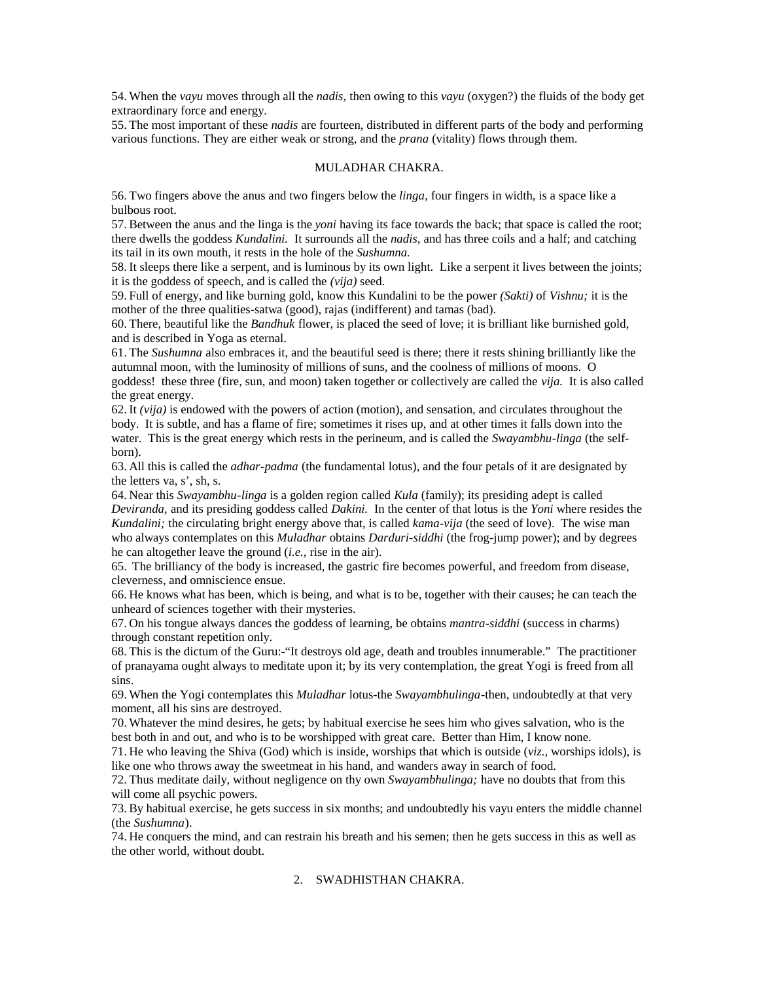54. When the *vayu* moves through all the *nadis,* then owing to this *vayu* (oxygen?) the fluids of the body get extraordinary force and energy.

55. The most important of these *nadis* are fourteen, distributed in different parts of the body and performing various functions. They are either weak or strong, and the *prana* (vitality) flows through them.

## MULADHAR CHAKRA.

56. Two fingers above the anus and two fingers below the *linga,* four fingers in width, is a space like a bulbous root.

57. Between the anus and the linga is the *yoni* having its face towards the back; that space is called the root; there dwells the goddess *Kundalini.* It surrounds all the *nadis,* and has three coils and a half; and catching its tail in its own mouth, it rests in the hole of the *Sushumna.*

58. It sleeps there like a serpent, and is luminous by its own light. Like a serpent it lives between the joints; it is the goddess of speech, and is called the *(vija)* seed.

59. Full of energy, and like burning gold, know this Kundalini to be the power *(Sakti)* of *Vishnu;* it is the mother of the three qualities-satwa (good), rajas (indifferent) and tamas (bad).

60. There, beautiful like the *Bandhuk* flower, is placed the seed of love; it is brilliant like burnished gold, and is described in Yoga as eternal.

61. The *Sushumna* also embraces it, and the beautiful seed is there; there it rests shining brilliantly like the autumnal moon, with the luminosity of millions of suns, and the coolness of millions of moons. O goddess! these three (fire, sun, and moon) taken together or collectively are called the *vija.* It is also called

the great energy. 62. It *(vija)* is endowed with the powers of action (motion), and sensation, and circulates throughout the

body. It is subtle, and has a flame of fire; sometimes it rises up, and at other times it falls down into the water. This is the great energy which rests in the perineum, and is called the *Swayambhu-linga* (the selfborn).

63. All this is called the *adhar-padma* (the fundamental lotus), and the four petals of it are designated by the letters va, s', sh, s.

64. Near this *Swayambhu-linga* is a golden region called *Kula* (family); its presiding adept is called *Deviranda,* and its presiding goddess called *Dakini.* In the center of that lotus is the *Yoni* where resides the *Kundalini;* the circulating bright energy above that, is called *kama-vija* (the seed of love). The wise man who always contemplates on this *Muladhar* obtains *Darduri-siddhi* (the frog-jump power); and by degrees he can altogether leave the ground (*i.e.,* rise in the air).

65. The brilliancy of the body is increased, the gastric fire becomes powerful, and freedom from disease, cleverness, and omniscience ensue.

66. He knows what has been, which is being, and what is to be, together with their causes; he can teach the unheard of sciences together with their mysteries.

67. On his tongue always dances the goddess of learning, be obtains *mantra-siddhi* (success in charms) through constant repetition only.

68. This is the dictum of the Guru:-"It destroys old age, death and troubles innumerable." The practitioner of pranayama ought always to meditate upon it; by its very contemplation, the great Yogi is freed from all sins.

69. When the Yogi contemplates this *Muladhar* lotus-the *Swayambhulinga*-then, undoubtedly at that very moment, all his sins are destroyed.

70. Whatever the mind desires, he gets; by habitual exercise he sees him who gives salvation, who is the best both in and out, and who is to be worshipped with great care. Better than Him, I know none.

71. He who leaving the Shiva (God) which is inside, worships that which is outside (*viz.,* worships idols), is like one who throws away the sweetmeat in his hand, and wanders away in search of food.

72. Thus meditate daily, without negligence on thy own *Swayambhulinga;* have no doubts that from this will come all psychic powers.

73. By habitual exercise, he gets success in six months; and undoubtedly his vayu enters the middle channel (the *Sushumna*).

74. He conquers the mind, and can restrain his breath and his semen; then he gets success in this as well as the other world, without doubt.

# 2. SWADHISTHAN CHAKRA.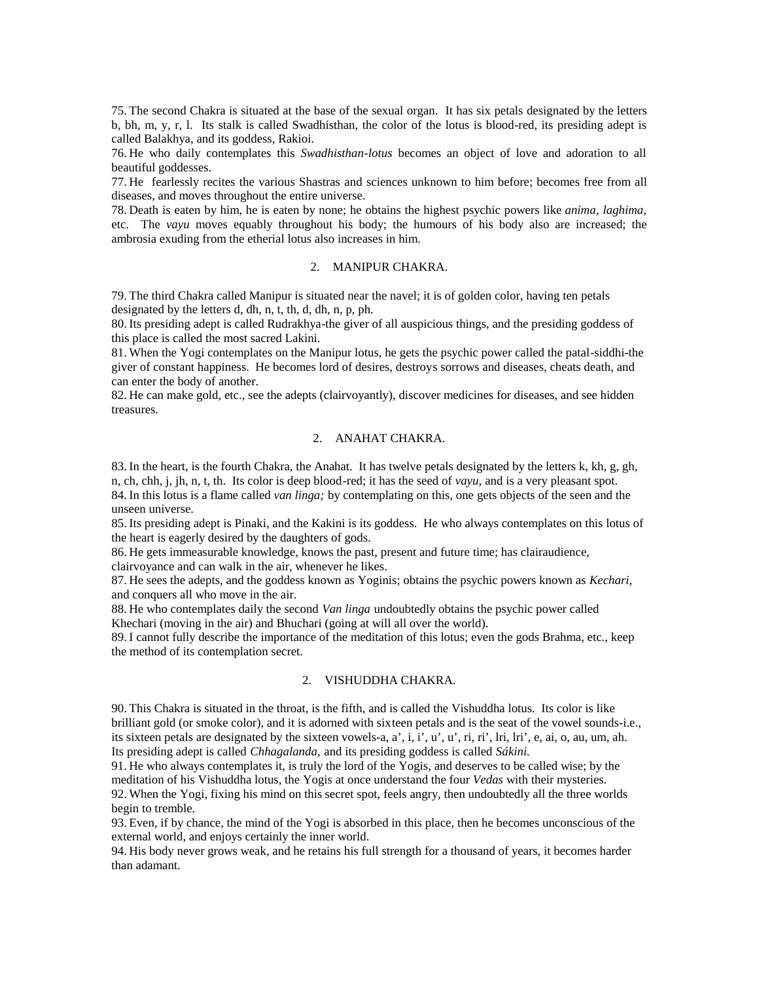75. The second Chakra is situated at the base of the sexual organ. It has six petals designated by the letters b, bh, m, y, r, l. Its stalk is called Swadhisthan, the color of the lotus is blood-red, its presiding adept is called Balakhya, and its goddess, Rakioi.

76. He who daily contemplates this *Swadhisthan-lotus* becomes an object of love and adoration to all beautiful goddesses.

77. He fearlessly recites the various Shastras and sciences unknown to him before; becomes free from all diseases, and moves throughout the entire universe.

78. Death is eaten by him, he is eaten by none; he obtains the highest psychic powers like *anima, laghima,* etc. The *vayu* moves equably throughout his body; the humours of his body also are increased; the ambrosia exuding from the etherial lotus also increases in him.

# 2. MANIPUR CHAKRA.

79. The third Chakra called Manipur is situated near the navel; it is of golden color, having ten petals designated by the letters d, dh, n, t, th, d, dh, n, p, ph.

80. Its presiding adept is called Rudrakhya-the giver of all auspicious things, and the presiding goddess of this place is called the most sacred Lakini.

81. When the Yogi contemplates on the Manipur lotus, he gets the psychic power called the patal-siddhi-the giver of constant happiness. He becomes lord of desires, destroys sorrows and diseases, cheats death, and can enter the body of another.

82. He can make gold, etc., see the adepts (clairvoyantly), discover medicines for diseases, and see hidden treasures.

# 2. ANAHAT CHAKRA.

83. In the heart, is the fourth Chakra, the Anahat. It has twelve petals designated by the letters k, kh, g, gh, n, ch, chh, j, jh, n, t, th. Its color is deep blood-red; it has the seed of *vayu,* and is a very pleasant spot. 84. In this lotus is a flame called *van linga;* by contemplating on this, one gets objects of the seen and the unseen universe.

85. Its presiding adept is Pinaki, and the Kakini is its goddess. He who always contemplates on this lotus of the heart is eagerly desired by the daughters of gods.

86. He gets immeasurable knowledge, knows the past, present and future time; has clairaudience, clairvoyance and can walk in the air, whenever he likes.

87. He sees the adepts, and the goddess known as Yoginis; obtains the psychic powers known as *Kechari,* and conquers all who move in the air.

88. He who contemplates daily the second *Van linga* undoubtedly obtains the psychic power called Khechari (moving in the air) and Bhuchari (going at will all over the world).

89. I cannot fully describe the importance of the meditation of this lotus; even the gods Brahma, etc., keep the method of its contemplation secret.

# 2. VISHUDDHA CHAKRA.

90. This Chakra is situated in the throat, is the fifth, and is called the Vishuddha lotus. Its color is like brilliant gold (or smoke color), and it is adorned with sixteen petals and is the seat of the vowel sounds-i.e., its sixteen petals are designated by the sixteen vowels-a, a', i, i', u', u', ri, ri', lri, lri', e, ai, o, au, um, ah. Its presiding adept is called *Chhagalanda,* and its presiding goddess is called *Sákini.*

91. He who always contemplates it, is truly the lord of the Yogis, and deserves to be called wise; by the meditation of his Vishuddha lotus, the Yogis at once understand the four *Vedas* with their mysteries. 92. When the Yogi, fixing his mind on this secret spot, feels angry, then undoubtedly all the three worlds begin to tremble.

93. Even, if by chance, the mind of the Yogi is absorbed in this place, then he becomes unconscious of the external world, and enjoys certainly the inner world.

94. His body never grows weak, and he retains his full strength for a thousand of years, it becomes harder than adamant.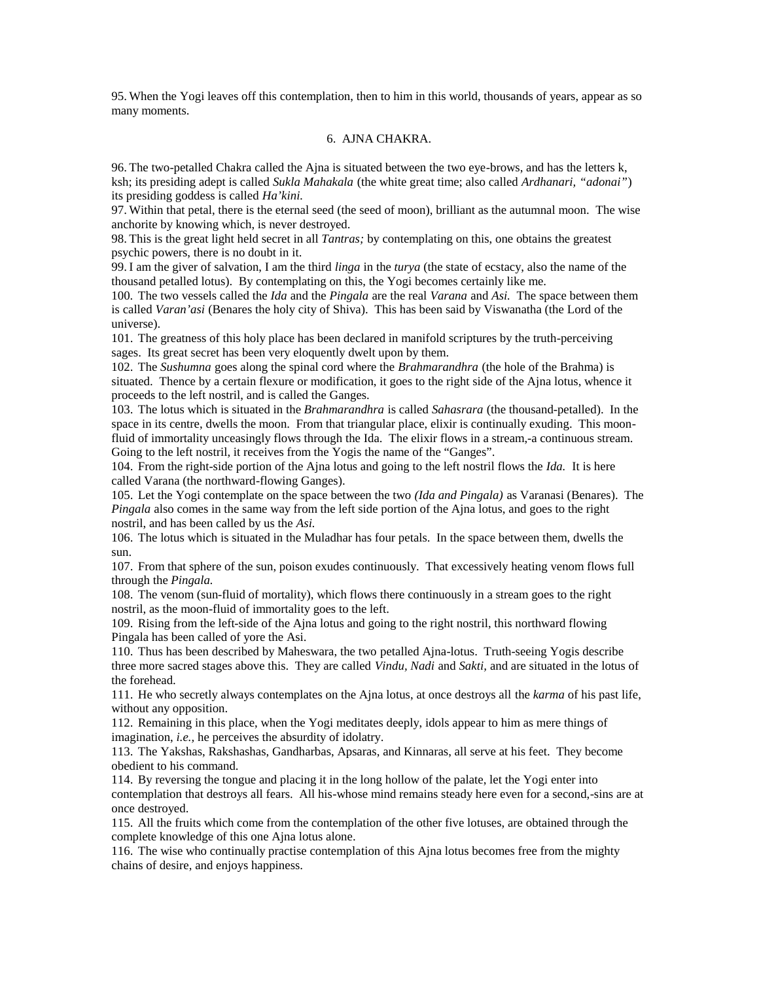95. When the Yogi leaves off this contemplation, then to him in this world, thousands of years, appear as so many moments.

# 6. AJNA CHAKRA.

96. The two-petalled Chakra called the Ajna is situated between the two eye-brows, and has the letters k, ksh; its presiding adept is called *Sukla Mahakala* (the white great time; also called *Ardhanari, "adonai"*) its presiding goddess is called *Ha'kini.*

97. Within that petal, there is the eternal seed (the seed of moon), brilliant as the autumnal moon. The wise anchorite by knowing which, is never destroyed.

98. This is the great light held secret in all *Tantras;* by contemplating on this, one obtains the greatest psychic powers, there is no doubt in it.

99. I am the giver of salvation, I am the third *linga* in the *turya* (the state of ecstacy, also the name of the thousand petalled lotus). By contemplating on this, the Yogi becomes certainly like me.

100. The two vessels called the *Ida* and the *Pingala* are the real *Varana* and *Asi.* The space between them is called *Varan'asi* (Benares the holy city of Shiva). This has been said by Viswanatha (the Lord of the universe).

101. The greatness of this holy place has been declared in manifold scriptures by the truth-perceiving sages. Its great secret has been very eloquently dwelt upon by them.

102. The *Sushumna* goes along the spinal cord where the *Brahmarandhra* (the hole of the Brahma) is situated. Thence by a certain flexure or modification, it goes to the right side of the Ajna lotus, whence it proceeds to the left nostril, and is called the Ganges.

103. The lotus which is situated in the *Brahmarandhra* is called *Sahasrara* (the thousand-petalled). In the space in its centre, dwells the moon. From that triangular place, elixir is continually exuding. This moonfluid of immortality unceasingly flows through the Ida. The elixir flows in a stream,-a continuous stream. Going to the left nostril, it receives from the Yogis the name of the "Ganges".

104. From the right-side portion of the Ajna lotus and going to the left nostril flows the *Ida.* It is here called Varana (the northward-flowing Ganges).

105. Let the Yogi contemplate on the space between the two *(Ida and Pingala)* as Varanasi (Benares). The *Pingala* also comes in the same way from the left side portion of the Ajna lotus, and goes to the right nostril, and has been called by us the *Asi.*

106. The lotus which is situated in the Muladhar has four petals. In the space between them, dwells the sun.

107. From that sphere of the sun, poison exudes continuously. That excessively heating venom flows full through the *Pingala.*

108. The venom (sun-fluid of mortality), which flows there continuously in a stream goes to the right nostril, as the moon-fluid of immortality goes to the left.

109. Rising from the left-side of the Ajna lotus and going to the right nostril, this northward flowing Pingala has been called of yore the Asi.

110. Thus has been described by Maheswara, the two petalled Ajna-lotus. Truth-seeing Yogis describe three more sacred stages above this. They are called *Vindu, Nadi* and *Sakti,* and are situated in the lotus of the forehead.

111. He who secretly always contemplates on the Ajna lotus, at once destroys all the *karma* of his past life, without any opposition.

112. Remaining in this place, when the Yogi meditates deeply, idols appear to him as mere things of imagination, *i.e.,* he perceives the absurdity of idolatry.

113. The Yakshas, Rakshashas, Gandharbas, Apsaras, and Kinnaras, all serve at his feet. They become obedient to his command.

114. By reversing the tongue and placing it in the long hollow of the palate, let the Yogi enter into contemplation that destroys all fears. All his-whose mind remains steady here even for a second,-sins are at once destroyed.

115. All the fruits which come from the contemplation of the other five lotuses, are obtained through the complete knowledge of this one Ajna lotus alone.

116. The wise who continually practise contemplation of this Ajna lotus becomes free from the mighty chains of desire, and enjoys happiness.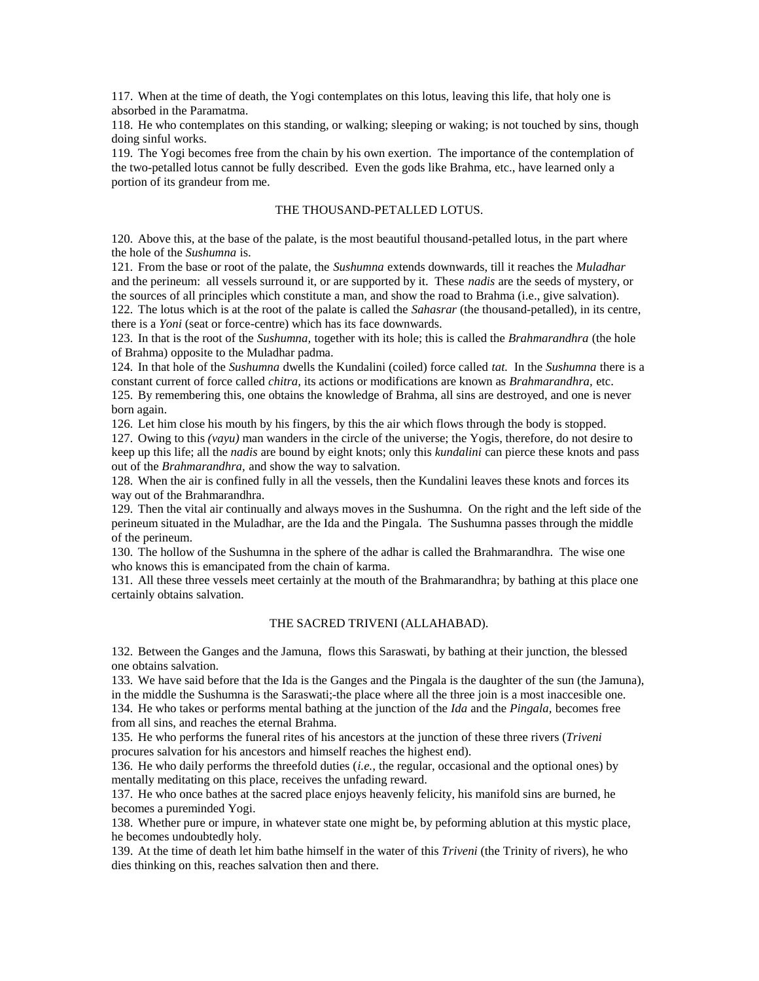117. When at the time of death, the Yogi contemplates on this lotus, leaving this life, that holy one is absorbed in the Paramatma.

118. He who contemplates on this standing, or walking; sleeping or waking; is not touched by sins, though doing sinful works.

119. The Yogi becomes free from the chain by his own exertion. The importance of the contemplation of the two-petalled lotus cannot be fully described. Even the gods like Brahma, etc., have learned only a portion of its grandeur from me.

# THE THOUSAND-PETALLED LOTUS.

120. Above this, at the base of the palate, is the most beautiful thousand-petalled lotus, in the part where the hole of the *Sushumna* is.

121. From the base or root of the palate, the *Sushumna* extends downwards, till it reaches the *Muladhar* and the perineum: all vessels surround it, or are supported by it. These *nadis* are the seeds of mystery, or the sources of all principles which constitute a man, and show the road to Brahma (i.e., give salvation). 122. The lotus which is at the root of the palate is called the *Sahasrar* (the thousand-petalled), in its centre, there is a *Yoni* (seat or force-centre) which has its face downwards.

123. In that is the root of the *Sushumna,* together with its hole; this is called the *Brahmarandhra* (the hole of Brahma) opposite to the Muladhar padma.

124. In that hole of the *Sushumna* dwells the Kundalini (coiled) force called *tat.* In the *Sushumna* there is a constant current of force called *chitra,* its actions or modifications are known as *Brahmarandhra,* etc.

125. By remembering this, one obtains the knowledge of Brahma, all sins are destroyed, and one is never born again.

126. Let him close his mouth by his fingers, by this the air which flows through the body is stopped.

127. Owing to this *(vayu)* man wanders in the circle of the universe; the Yogis, therefore, do not desire to keep up this life; all the *nadis* are bound by eight knots; only this *kundalini* can pierce these knots and pass out of the *Brahmarandhra,* and show the way to salvation.

128. When the air is confined fully in all the vessels, then the Kundalini leaves these knots and forces its way out of the Brahmarandhra.

129. Then the vital air continually and always moves in the Sushumna. On the right and the left side of the perineum situated in the Muladhar, are the Ida and the Pingala. The Sushumna passes through the middle of the perineum.

130. The hollow of the Sushumna in the sphere of the adhar is called the Brahmarandhra. The wise one who knows this is emancipated from the chain of karma.

131. All these three vessels meet certainly at the mouth of the Brahmarandhra; by bathing at this place one certainly obtains salvation.

# THE SACRED TRIVENI (ALLAHABAD).

132. Between the Ganges and the Jamuna, flows this Saraswati, by bathing at their junction, the blessed one obtains salvation.

133. We have said before that the Ida is the Ganges and the Pingala is the daughter of the sun (the Jamuna), in the middle the Sushumna is the Saraswati;-the place where all the three join is a most inaccesible one. 134. He who takes or performs mental bathing at the junction of the *Ida* and the *Pingala,* becomes free from all sins, and reaches the eternal Brahma.

135. He who performs the funeral rites of his ancestors at the junction of these three rivers (*Triveni*  procures salvation for his ancestors and himself reaches the highest end).

136. He who daily performs the threefold duties (*i.e.,* the regular, occasional and the optional ones) by mentally meditating on this place, receives the unfading reward.

137. He who once bathes at the sacred place enjoys heavenly felicity, his manifold sins are burned, he becomes a pureminded Yogi.

138. Whether pure or impure, in whatever state one might be, by peforming ablution at this mystic place, he becomes undoubtedly holy.

139. At the time of death let him bathe himself in the water of this *Triveni* (the Trinity of rivers), he who dies thinking on this, reaches salvation then and there.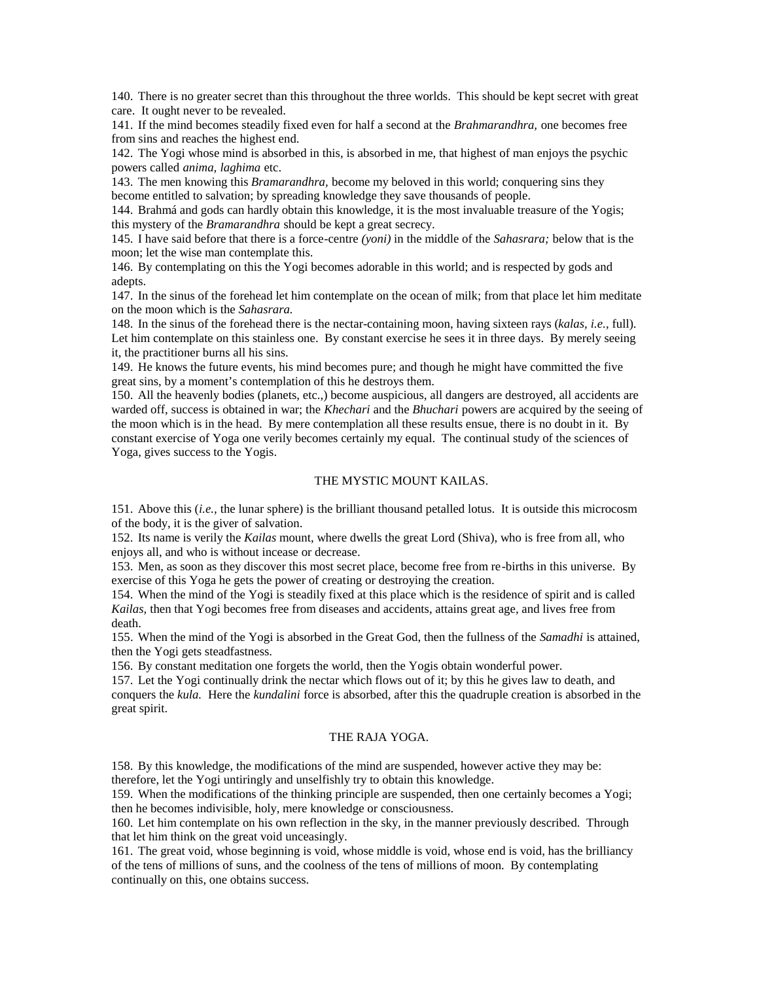140. There is no greater secret than this throughout the three worlds. This should be kept secret with great care. It ought never to be revealed.

141. If the mind becomes steadily fixed even for half a second at the *Brahmarandhra,* one becomes free from sins and reaches the highest end.

142. The Yogi whose mind is absorbed in this, is absorbed in me, that highest of man enjoys the psychic powers called *anima, laghima* etc.

143. The men knowing this *Bramarandhra,* become my beloved in this world; conquering sins they become entitled to salvation; by spreading knowledge they save thousands of people.

144. Brahmá and gods can hardly obtain this knowledge, it is the most invaluable treasure of the Yogis; this mystery of the *Bramarandhra* should be kept a great secrecy.

145. I have said before that there is a force-centre *(yoni)* in the middle of the *Sahasrara;* below that is the moon; let the wise man contemplate this.

146. By contemplating on this the Yogi becomes adorable in this world; and is respected by gods and adepts.

147. In the sinus of the forehead let him contemplate on the ocean of milk; from that place let him meditate on the moon which is the *Sahasrara.*

148. In the sinus of the forehead there is the nectar-containing moon, having sixteen rays (*kalas, i.e.,* full). Let him contemplate on this stainless one. By constant exercise he sees it in three days. By merely seeing it, the practitioner burns all his sins.

149. He knows the future events, his mind becomes pure; and though he might have committed the five great sins, by a moment's contemplation of this he destroys them.

150. All the heavenly bodies (planets, etc.,) become auspicious, all dangers are destroyed, all accidents are warded off, success is obtained in war; the *Khechari* and the *Bhuchari* powers are acquired by the seeing of the moon which is in the head. By mere contemplation all these results ensue, there is no doubt in it. By constant exercise of Yoga one verily becomes certainly my equal. The continual study of the sciences of Yoga, gives success to the Yogis.

### THE MYSTIC MOUNT KAILAS.

151. Above this (*i.e.,* the lunar sphere) is the brilliant thousand petalled lotus. It is outside this microcosm of the body, it is the giver of salvation.

152. Its name is verily the *Kailas* mount, where dwells the great Lord (Shiva), who is free from all, who enjoys all, and who is without incease or decrease.

153. Men, as soon as they discover this most secret place, become free from re-births in this universe. By exercise of this Yoga he gets the power of creating or destroying the creation.

154. When the mind of the Yogi is steadily fixed at this place which is the residence of spirit and is called *Kailas,* then that Yogi becomes free from diseases and accidents, attains great age, and lives free from death.

155. When the mind of the Yogi is absorbed in the Great God, then the fullness of the *Samadhi* is attained, then the Yogi gets steadfastness.

156. By constant meditation one forgets the world, then the Yogis obtain wonderful power.

157. Let the Yogi continually drink the nectar which flows out of it; by this he gives law to death, and conquers the *kula.* Here the *kundalini* force is absorbed, after this the quadruple creation is absorbed in the great spirit.

# THE RAJA YOGA.

158. By this knowledge, the modifications of the mind are suspended, however active they may be: therefore, let the Yogi untiringly and unselfishly try to obtain this knowledge.

159. When the modifications of the thinking principle are suspended, then one certainly becomes a Yogi; then he becomes indivisible, holy, mere knowledge or consciousness.

160. Let him contemplate on his own reflection in the sky, in the manner previously described. Through that let him think on the great void unceasingly.

161. The great void, whose beginning is void, whose middle is void, whose end is void, has the brilliancy of the tens of millions of suns, and the coolness of the tens of millions of moon. By contemplating continually on this, one obtains success.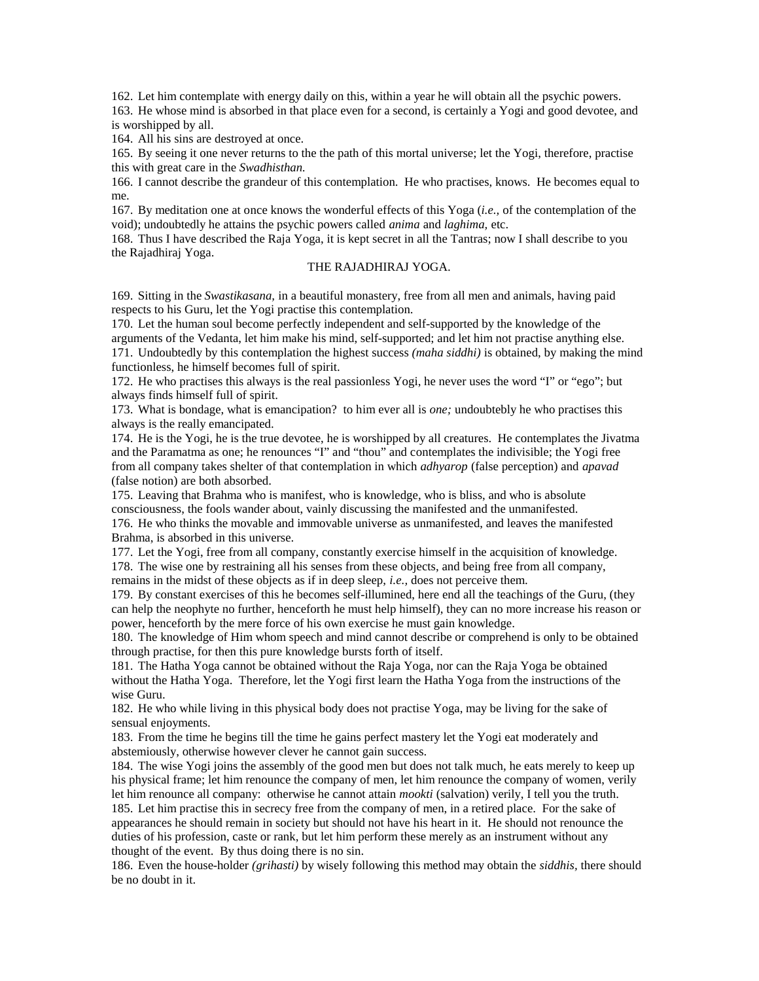162. Let him contemplate with energy daily on this, within a year he will obtain all the psychic powers. 163. He whose mind is absorbed in that place even for a second, is certainly a Yogi and good devotee, and is worshipped by all.

164. All his sins are destroyed at once.

165. By seeing it one never returns to the the path of this mortal universe; let the Yogi, therefore, practise this with great care in the *Swadhisthan.*

166. I cannot describe the grandeur of this contemplation. He who practises, knows. He becomes equal to me.

167. By meditation one at once knows the wonderful effects of this Yoga (*i.e.,* of the contemplation of the void); undoubtedly he attains the psychic powers called *anima* and *laghima,* etc.

168. Thus I have described the Raja Yoga, it is kept secret in all the Tantras; now I shall describe to you the Rajadhiraj Yoga.

## THE RAJADHIRAJ YOGA.

169. Sitting in the *Swastikasana,* in a beautiful monastery, free from all men and animals, having paid respects to his Guru, let the Yogi practise this contemplation.

170. Let the human soul become perfectly independent and self-supported by the knowledge of the arguments of the Vedanta, let him make his mind, self-supported; and let him not practise anything else. 171. Undoubtedly by this contemplation the highest success *(maha siddhi)* is obtained, by making the mind functionless, he himself becomes full of spirit.

172. He who practises this always is the real passionless Yogi, he never uses the word "I" or "ego"; but always finds himself full of spirit.

173. What is bondage, what is emancipation? to him ever all is *one;* undoubtebly he who practises this always is the really emancipated.

174. He is the Yogi, he is the true devotee, he is worshipped by all creatures. He contemplates the Jivatma and the Paramatma as one; he renounces "I" and "thou" and contemplates the indivisible; the Yogi free from all company takes shelter of that contemplation in which *adhyarop* (false perception) and *apavad* (false notion) are both absorbed.

175. Leaving that Brahma who is manifest, who is knowledge, who is bliss, and who is absolute consciousness, the fools wander about, vainly discussing the manifested and the unmanifested.

176. He who thinks the movable and immovable universe as unmanifested, and leaves the manifested Brahma, is absorbed in this universe.

177. Let the Yogi, free from all company, constantly exercise himself in the acquisition of knowledge. 178. The wise one by restraining all his senses from these objects, and being free from all company, remains in the midst of these objects as if in deep sleep, *i.e.,* does not perceive them.

179. By constant exercises of this he becomes self-illumined, here end all the teachings of the Guru, (they can help the neophyte no further, henceforth he must help himself), they can no more increase his reason or power, henceforth by the mere force of his own exercise he must gain knowledge.

180. The knowledge of Him whom speech and mind cannot describe or comprehend is only to be obtained through practise, for then this pure knowledge bursts forth of itself.

181. The Hatha Yoga cannot be obtained without the Raja Yoga, nor can the Raja Yoga be obtained without the Hatha Yoga. Therefore, let the Yogi first learn the Hatha Yoga from the instructions of the wise Guru.

182. He who while living in this physical body does not practise Yoga, may be living for the sake of sensual enjoyments.

183. From the time he begins till the time he gains perfect mastery let the Yogi eat moderately and abstemiously, otherwise however clever he cannot gain success.

184. The wise Yogi joins the assembly of the good men but does not talk much, he eats merely to keep up his physical frame; let him renounce the company of men, let him renounce the company of women, verily let him renounce all company: otherwise he cannot attain *mookti* (salvation) verily, I tell you the truth. 185. Let him practise this in secrecy free from the company of men, in a retired place. For the sake of appearances he should remain in society but should not have his heart in it. He should not renounce the duties of his profession, caste or rank, but let him perform these merely as an instrument without any thought of the event. By thus doing there is no sin.

186. Even the house-holder *(grihasti)* by wisely following this method may obtain the *siddhis,* there should be no doubt in it.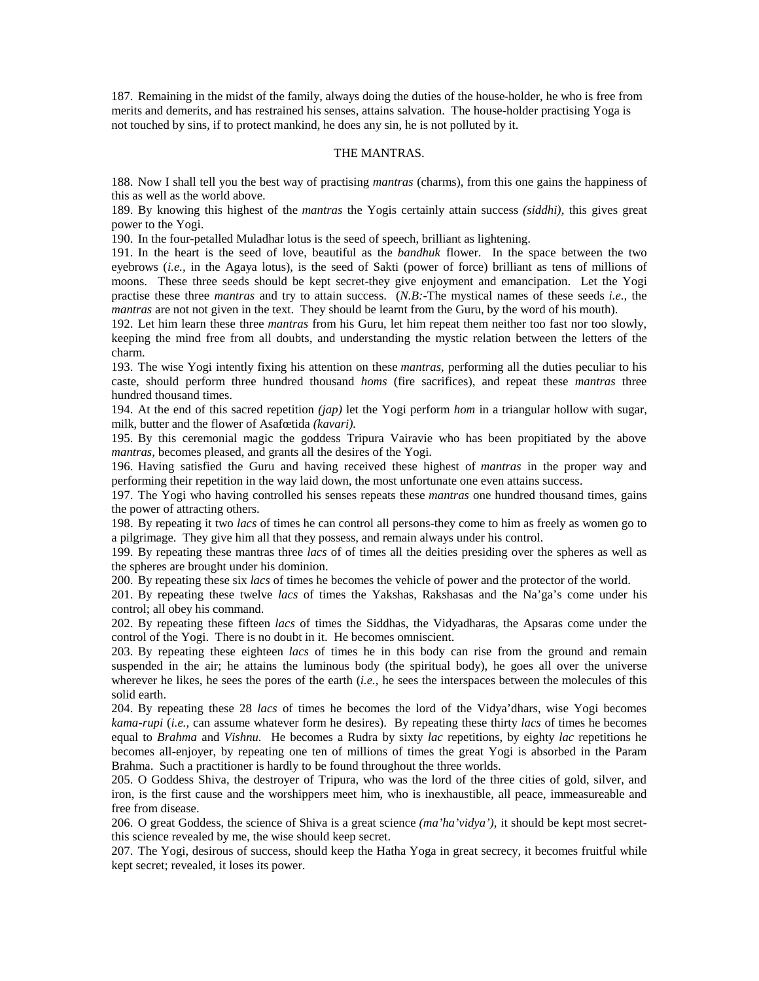187. Remaining in the midst of the family, always doing the duties of the house-holder, he who is free from merits and demerits, and has restrained his senses, attains salvation. The house-holder practising Yoga is not touched by sins, if to protect mankind, he does any sin, he is not polluted by it.

# THE MANTRAS.

188. Now I shall tell you the best way of practising *mantras* (charms), from this one gains the happiness of this as well as the world above.

189. By knowing this highest of the *mantras* the Yogis certainly attain success *(siddhi),* this gives great power to the Yogi.

190. In the four-petalled Muladhar lotus is the seed of speech, brilliant as lightening.

191. In the heart is the seed of love, beautiful as the *bandhuk* flower. In the space between the two eyebrows (*i.e.,* in the Agaya lotus), is the seed of Sakti (power of force) brilliant as tens of millions of moons. These three seeds should be kept secret-they give enjoyment and emancipation. Let the Yogi practise these three *mantras* and try to attain success. (*N.B:*-The mystical names of these seeds *i.e.,* the *mantras* are not not given in the text. They should be learnt from the Guru, by the word of his mouth).

192. Let him learn these three *mantras* from his Guru, let him repeat them neither too fast nor too slowly, keeping the mind free from all doubts, and understanding the mystic relation between the letters of the charm.

193. The wise Yogi intently fixing his attention on these *mantras,* performing all the duties peculiar to his caste, should perform three hundred thousand *homs* (fire sacrifices), and repeat these *mantras* three hundred thousand times.

194. At the end of this sacred repetition *(jap)* let the Yogi perform *hom* in a triangular hollow with sugar, milk, butter and the flower of Asafœtida *(kavari).*

195. By this ceremonial magic the goddess Tripura Vairavie who has been propitiated by the above *mantras,* becomes pleased, and grants all the desires of the Yogi.

196. Having satisfied the Guru and having received these highest of *mantras* in the proper way and performing their repetition in the way laid down, the most unfortunate one even attains success.

197. The Yogi who having controlled his senses repeats these *mantras* one hundred thousand times, gains the power of attracting others.

198. By repeating it two *lacs* of times he can control all persons-they come to him as freely as women go to a pilgrimage. They give him all that they possess, and remain always under his control.

199. By repeating these mantras three *lacs* of of times all the deities presiding over the spheres as well as the spheres are brought under his dominion.

200. By repeating these six *lacs* of times he becomes the vehicle of power and the protector of the world.

201. By repeating these twelve *lacs* of times the Yakshas, Rakshasas and the Na'ga's come under his control; all obey his command.

202. By repeating these fifteen *lacs* of times the Siddhas, the Vidyadharas, the Apsaras come under the control of the Yogi. There is no doubt in it. He becomes omniscient.

203. By repeating these eighteen *lacs* of times he in this body can rise from the ground and remain suspended in the air; he attains the luminous body (the spiritual body), he goes all over the universe wherever he likes, he sees the pores of the earth (*i.e.,* he sees the interspaces between the molecules of this solid earth.

204. By repeating these 28 *lacs* of times he becomes the lord of the Vidya'dhars, wise Yogi becomes *kama-rupi* (*i.e.,* can assume whatever form he desires). By repeating these thirty *lacs* of times he becomes equal to *Brahma* and *Vishnu.* He becomes a Rudra by sixty *lac* repetitions, by eighty *lac* repetitions he becomes all-enjoyer, by repeating one ten of millions of times the great Yogi is absorbed in the Param Brahma. Such a practitioner is hardly to be found throughout the three worlds.

205. O Goddess Shiva, the destroyer of Tripura, who was the lord of the three cities of gold, silver, and iron, is the first cause and the worshippers meet him, who is inexhaustible, all peace, immeasureable and free from disease.

206. O great Goddess, the science of Shiva is a great science *(ma'ha'vidya'),* it should be kept most secretthis science revealed by me, the wise should keep secret.

207. The Yogi, desirous of success, should keep the Hatha Yoga in great secrecy, it becomes fruitful while kept secret; revealed, it loses its power.